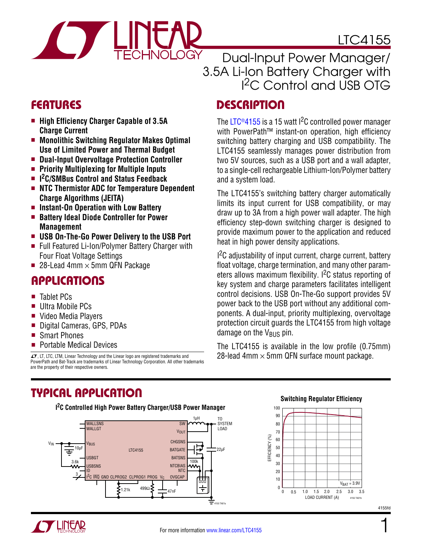

# LTC4155

Dual-Input Power Manager/ 3.5A Li-Ion Battery Charger with I 2C Control and USB OTG

- High Efficiency Charger Capable of 3.5A **Charge Current**
- Monolithic Switching Regulator Makes Optimal **Use of Limited Power and Thermal Budget**
- $\blacksquare$  Dual-Input Overvoltage Protection Controller
- <sup>n</sup> **Priority Multiplexing for Multiple Inputs**
- <sup>n</sup> **I 2C/SMBus Control and Status Feedback**
- **EXECUTE: NTC Thermistor ADC for Temperature Dependent Charge Algorithms (JEITA)**
- Instant-On Operation with Low Battery
- Battery Ideal Diode Controller for Power **Management**
- $\blacksquare$  **USB On-The-Go Power Delivery to the USB Port**
- Full Featured Li-Ion/Polymer Battery Charger with Four Float Voltage Settings
- 28-Lead 4mm  $\times$  5mm QFN Package

# **APPLICATIONS**

- Tablet PCs
- **Ultra Mobile PCs**
- Video Media Players
- Digital Cameras, GPS, PDAs
- **Smart Phones**
- **Portable Medical Devices**

 $I$ , LT, LTC, LTM, Linear Technology and the Linear logo are registered trademarks and PowerPath and Bat-Track are trademarks of Linear Technology Corporation. All other trademarks are the property of their respective owners.

# FEATURES DESCRIPTION

The LTC<sup>®</sup>4155 is a 15 watt <sup>12</sup>C controlled power manager with PowerPath<sup>™</sup> instant-on operation, high efficiency switching battery charging and USB compatibility. The LTC4155 seamlessly manages power distribution from two 5V sources, such as a USB port and a wall adapter, to a single-cell rechargeable Lithium-Ion/Polymer battery and a system load.

The LTC4155's switching battery charger automatically limits its input current for USB compatibility, or may draw up to 3A from a high power wall adapter. The high efficiency step-down switching charger is designed to provide maximum power to the application and reduced heat in high power density applications.

<sup>12</sup>C adjustability of input current, charge current, battery float voltage, charge termination, and many other parameters allows maximum flexibility. I<sup>2</sup>C status reporting of key system and charge parameters facilitates intelligent control decisions. USB On-The-Go support provides 5V power back to the USB port without any additional components. A dual-input, priority multiplexing, overvoltage protection circuit guards the LTC4155 from high voltage damage on the  $V_{\text{BUS}}$  pin.

The LTC4155 is available in the low profile (0.75mm) 28-lead 4mm  $\times$  5mm QFN surface mount package.

### Typical Application

**I 2C Controlled High Power Battery Charger/USB Power Manager**



#### **Switching Regulator Efficiency**



1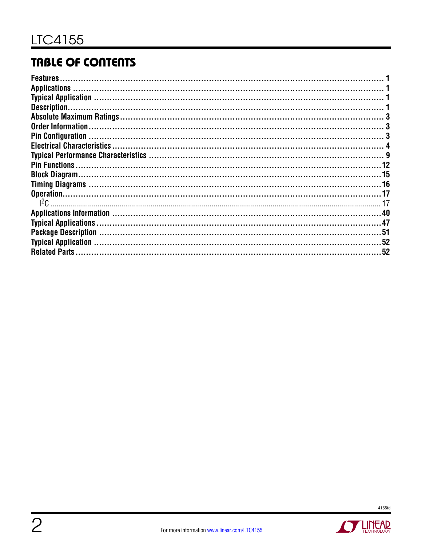# **TABLE OF CONTENTS**

| <b>Features</b>           |    |
|---------------------------|----|
|                           |    |
|                           |    |
| Description.              |    |
|                           |    |
| <b>Order Information.</b> |    |
| <b>Pin Configuration</b>  |    |
|                           |    |
|                           |    |
|                           |    |
|                           |    |
|                           |    |
|                           |    |
|                           |    |
|                           |    |
|                           |    |
|                           |    |
|                           |    |
| <b>Related Parts</b>      | 52 |
|                           |    |

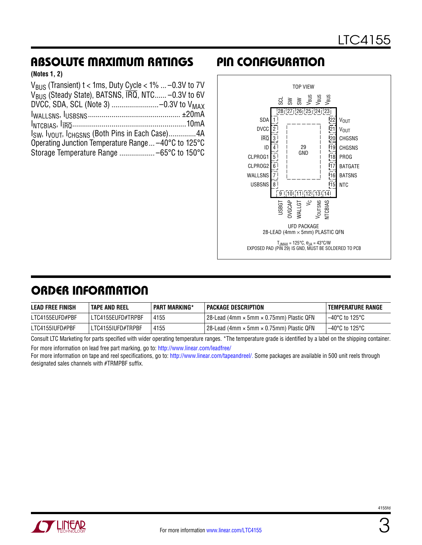# Absolute Maximum Ratings Pin Configuration

**(Notes 1, 2)**

| $V_{\rm RLS}$ (Transient) t < 1ms, Duty Cycle < 1%  -0.3V to 7V         |
|-------------------------------------------------------------------------|
| $V_{BUS}$ (Steady State), BATSNS, $\overline{IRQ}$ , NTC -0.3V to 6V    |
|                                                                         |
|                                                                         |
|                                                                         |
| Isw, I <sub>VOUT</sub> , I <sub>CHGSNS</sub> (Both Pins in Each Case)4A |
| Operating Junction Temperature Range -40°C to 125°C                     |
|                                                                         |
|                                                                         |



### ORDER INFORMATION

| <b>LEAD FREE FINISH</b> | <b>TAPE AND REEL</b> | <b>PART MARKING*</b> | <b>PACKAGE DESCRIPTION</b>                 | <b>TEMPERATURE RANGE</b> |
|-------------------------|----------------------|----------------------|--------------------------------------------|--------------------------|
| LTC4155EUFD#PBF         | LTC4155EUFD#TRPBF    | 4155                 | l 28-Lead (4mm × 5mm × 0.75mm) Plastic QFN | l –40°C to 125°C         |
| LTC4155IUFD#PBF         | LTC4155IUFD#TRPBF    | 4155                 | 28-Lead (4mm × 5mm × 0.75mm) Plastic QFN   | l –40°C to 125°C         |

Consult LTC Marketing for parts specified with wider operating temperature ranges. \*The temperature grade is identified by a label on the shipping container. For more information on lead free part marking, go to:<http://www.linear.com/leadfree/>

For more information on tape and reel specifications, go to: <http://www.linear.com/tapeandreel/>. Some packages are available in 500 unit reels through designated sales channels with #TRMPBF suffix.

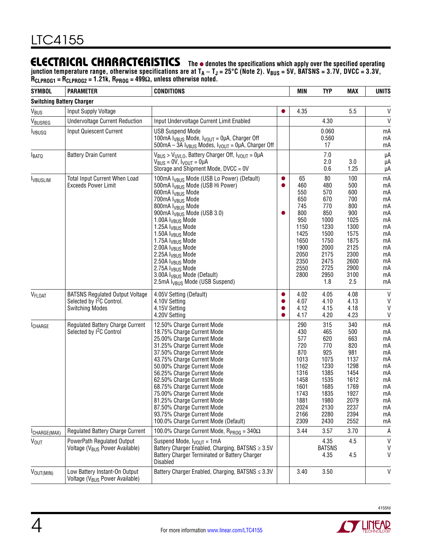### Electrical Characteristics

**The** l **denotes the specifications which apply over the specified operating**  junction temperature range, otherwise specifications are at T<sub>A</sub> ≈ T<sub>J</sub> = 25°C (Note 2). V<sub>BUS</sub> = 5V, BATSNS = 3.7V, DVCC = 3.3V, **RCLPROG1 = RCLPROG2 = 1.21k, RPROG = 499Ω, unless otherwise noted.**

| <b>SYMBOL</b>                    | <b>PARAMETER</b>                                                                                          | <b>CONDITIONS</b>                                                                                                                                                                                                                                                                                                                                                                                                                                                                                                                                                                                      |                                          | <b>MIN</b>                                                                                                      | <b>TYP</b>                                                                                                           | MAX                                                                                                                   | <b>UNITS</b>                                                                                 |
|----------------------------------|-----------------------------------------------------------------------------------------------------------|--------------------------------------------------------------------------------------------------------------------------------------------------------------------------------------------------------------------------------------------------------------------------------------------------------------------------------------------------------------------------------------------------------------------------------------------------------------------------------------------------------------------------------------------------------------------------------------------------------|------------------------------------------|-----------------------------------------------------------------------------------------------------------------|----------------------------------------------------------------------------------------------------------------------|-----------------------------------------------------------------------------------------------------------------------|----------------------------------------------------------------------------------------------|
| <b>Switching Battery Charger</b> |                                                                                                           |                                                                                                                                                                                                                                                                                                                                                                                                                                                                                                                                                                                                        |                                          |                                                                                                                 |                                                                                                                      |                                                                                                                       |                                                                                              |
| $V_{\text{BUS}}$                 | Input Supply Voltage                                                                                      |                                                                                                                                                                                                                                                                                                                                                                                                                                                                                                                                                                                                        | $\bullet$                                | 4.35                                                                                                            |                                                                                                                      | 5.5                                                                                                                   | V                                                                                            |
| VBUSREG                          | <b>Undervoltage Current Reduction</b>                                                                     | Input Undervoltage Current Limit Enabled                                                                                                                                                                                                                                                                                                                                                                                                                                                                                                                                                               |                                          |                                                                                                                 | 4.30                                                                                                                 |                                                                                                                       | $\mathsf{V}$                                                                                 |
| <b>I</b> vBUSQ                   | <b>Input Quiescent Current</b>                                                                            | <b>USB Suspend Mode</b><br>100mA $I_{VBUS}$ Mode, $I_{VOUT}$ = 0µA, Charger Off<br>500mA – 3A I <sub>VBUS</sub> Modes, I <sub>VOUT</sub> = 0µA, Charger Off                                                                                                                                                                                                                                                                                                                                                                                                                                            |                                          |                                                                                                                 | 0.060<br>0.560<br>17                                                                                                 |                                                                                                                       | mA<br>mA<br>mA                                                                               |
| <b>I</b> BATQ                    | <b>Battery Drain Current</b>                                                                              | $V_{BUS}$ > $V_{UVLO}$ , Battery Charger Off, $V_{VOUT} = 0\mu A$<br>$V_{BUS} = 0V$ , $V_{VOUT} = 0\mu A$<br>Storage and Shipment Mode, DVCC = 0V                                                                                                                                                                                                                                                                                                                                                                                                                                                      |                                          |                                                                                                                 | 7.0<br>2.0<br>0.6                                                                                                    | 3.0<br>1.25                                                                                                           | μA<br>μA<br>μA                                                                               |
| <b>IVBUSLIM</b>                  | <b>Total Input Current When Load</b><br><b>Exceeds Power Limit</b>                                        | 100mA I <sub>VBUS</sub> Mode (USB Lo Power) (Default)<br>500mA I <sub>VBUS</sub> Mode (USB Hi Power)<br>600mA I <sub>VBUS</sub> Mode<br>700mA I <sub>VBUS</sub> Mode<br>800mA I <sub>VBUS</sub> Mode<br>900mA I <sub>VBUS</sub> Mode (USB 3.0)<br>1.00A I <sub>VBUS</sub> Mode<br>1.25A I <sub>VBUS</sub> Mode<br>1.50A I <sub>VBUS</sub> Mode<br>1.75A I <sub>VBUS</sub> Mode<br>2.00A I <sub>VBUS</sub> Mode<br>2.25A I <sub>VBUS</sub> Mode<br>2.50A I <sub>VBUS</sub> Mode<br>2.75A I <sub>VBUS</sub> Mode<br>3.00A I <sub>VBUS</sub> Mode (Default)<br>2.5mA I <sub>VRUS</sub> Mode (USB Suspend) | $\bullet$<br>$\bullet$                   | 65<br>460<br>550<br>650<br>745<br>800<br>950<br>1150<br>1425<br>1650<br>1900<br>2050<br>2350<br>2550<br>2800    | 80<br>480<br>570<br>670<br>770<br>850<br>1000<br>1230<br>1500<br>1750<br>2000<br>2175<br>2475<br>2725<br>2950<br>1.8 | 100<br>500<br>600<br>700<br>800<br>900<br>1025<br>1300<br>1575<br>1875<br>2125<br>2300<br>2600<br>2900<br>3100<br>2.5 | mA<br>mA<br>mA<br>mA<br>mA<br>mA<br>mA<br>mA<br>mA<br>mA<br>mA<br>mA<br>mA<br>mA<br>mA<br>mA |
| V <sub>FLOAT</sub>               | <b>BATSNS Regulated Output Voltage</b><br>Selected by 1 <sup>2</sup> C Control.<br><b>Switching Modes</b> | 4.05V Setting (Default)<br>4.10V Setting<br>4.15V Setting<br>4.20V Setting                                                                                                                                                                                                                                                                                                                                                                                                                                                                                                                             | $\bullet$<br>$\bullet$<br>●<br>$\bullet$ | 4.02<br>4.07<br>4.12<br>4.17                                                                                    | 4.05<br>4.10<br>4.15<br>4.20                                                                                         | 4.08<br>4.13<br>4.18<br>4.23                                                                                          | $\mathsf{V}$<br>V<br>$\mathsf{V}$<br>V                                                       |
| ICHARGE                          | Regulated Battery Charge Current<br>Selected by 1 <sup>2</sup> C Control                                  | 12.50% Charge Current Mode<br>18.75% Charge Current Mode<br>25.00% Charge Current Mode<br>31.25% Charge Current Mode<br>37.50% Charge Current Mode<br>43.75% Charge Current Mode<br>50.00% Charge Current Mode<br>56.25% Charge Current Mode<br>62.50% Charge Current Mode<br>68.75% Charge Current Mode<br>75.00% Charge Current Mode<br>81.25% Charge Current Mode<br>87.50% Charge Current Mode<br>93.75% Charge Current Mode<br>100.0% Charge Current Mode (Default)                                                                                                                               |                                          | 290<br>430<br>577<br>720<br>870<br>1013<br>1162<br>1316<br>1458<br>1601<br>1743<br>1881<br>2024<br>2166<br>2309 | 315<br>465<br>620<br>770<br>925<br>1075<br>1230<br>1385<br>1535<br>1685<br>1835<br>1980<br>2130<br>2280<br>2430      | 340<br>500<br>663<br>820<br>981<br>1137<br>1298<br>1454<br>1612<br>1769<br>1927<br>2079<br>2237<br>2394<br>2552       | mA<br>mA<br>mA<br>mA<br>mA<br>mA<br>mA<br>mA<br>mA<br>mA<br>mA<br>mA<br>mA<br>mA<br>mA       |
| CHARGE(MAX)                      | <b>Regulated Battery Charge Current</b>                                                                   | 100.0% Charge Current Mode, $R_{PROG} = 340\Omega$                                                                                                                                                                                                                                                                                                                                                                                                                                                                                                                                                     |                                          | 3.44                                                                                                            | 3.57                                                                                                                 | 3.70                                                                                                                  | Α                                                                                            |
| <b>VOUT</b>                      | PowerPath Regulated Output<br>Voltage (V <sub>BUS</sub> Power Available)                                  | Suspend Mode, $I_{VOUT} = 1mA$<br>Battery Charger Enabled, Charging, BATSNS ≥ 3.5V<br>Battery Charger Terminated or Battery Charger<br><b>Disabled</b>                                                                                                                                                                                                                                                                                                                                                                                                                                                 |                                          |                                                                                                                 | 4.35<br><b>BATSNS</b><br>4.35                                                                                        | 4.5<br>4.5                                                                                                            | V<br>V<br>V                                                                                  |
| VOUT(MIN)                        | Low Battery Instant-On Output<br>Voltage (V <sub>BUS</sub> Power Available)                               | Battery Charger Enabled, Charging, BATSNS ≤ 3.3V                                                                                                                                                                                                                                                                                                                                                                                                                                                                                                                                                       |                                          | 3.40                                                                                                            | 3.50                                                                                                                 |                                                                                                                       | V                                                                                            |



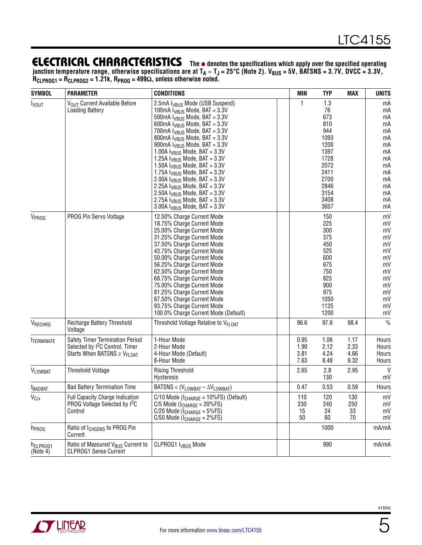junction temperature range, otherwise specifications are at T<sub>A</sub> ≈ T<sub>J</sub> = 25°C (Note 2). V<sub>BUS</sub> = 5V, BATSNS = 3.7V, DVCC = 3.3V, **RCLPROG1 = RCLPROG2 = 1.21k, RPROG = 499Ω, unless otherwise noted.**

| <b>SYMBOL</b>                    | <b>PARAMETER</b>                                                                                                               | <b>CONDITIONS</b>                                                                                                                                                                                                                                                                                                                                                                                                                                                                                                                                                                 | <b>MIN</b>                   | <b>TYP</b>                                                                                                     | <b>MAX</b>                   | <b>UNITS</b>                                                                           |
|----------------------------------|--------------------------------------------------------------------------------------------------------------------------------|-----------------------------------------------------------------------------------------------------------------------------------------------------------------------------------------------------------------------------------------------------------------------------------------------------------------------------------------------------------------------------------------------------------------------------------------------------------------------------------------------------------------------------------------------------------------------------------|------------------------------|----------------------------------------------------------------------------------------------------------------|------------------------------|----------------------------------------------------------------------------------------|
| <b>I</b> vout                    | VOUT Current Available Before<br><b>Loading Battery</b>                                                                        | 2.5mA I <sub>VBUS</sub> Mode (USB Suspend)<br>100mA $I_{VBUS}$ Mode, BAT = 3.3V<br>500mA $I_{VBUS}$ Mode, BAT = 3.3V<br>600mA $I_{VBUS}$ Mode, BAT = 3.3V<br>700mA $I_{VBUS}$ Mode, BAT = 3.3V<br>800mA $I_{VBUS}$ Mode, BAT = 3.3V<br>900mA $I_{VBUS}$ Mode, BAT = 3.3V<br>1.00A $I_{VBUS}$ Mode, BAT = 3.3V<br>1.25A $I_{VBUS}$ Mode, BAT = 3.3V<br>1.50A $I_{VBUS}$ Mode, BAT = 3.3V<br>1.75A $I_{VBUS}$ Mode, BAT = 3.3V<br>2.00A $I_{VBIIS}$ Mode, BAT = 3.3V<br>2.25A $I_{VBUS}$ Mode, BAT = 3.3V<br>2.50A $I_{VBUS}$ Mode, BAT = 3.3V<br>2.75A $I_{VBUS}$ Mode, BAT = 3.3V | $\mathbf{1}$                 | 1.3<br>76<br>673<br>810<br>944<br>1093<br>1200<br>1397<br>1728<br>2072<br>2411<br>2700<br>2846<br>3154<br>3408 |                              | mA<br>mA<br>mA<br>mA<br>mA<br>mA<br>mA<br>mA<br>mA<br>mA<br>mA<br>mA<br>mA<br>mA<br>mA |
| V <sub>PROG</sub>                | PROG Pin Servo Voltage                                                                                                         | 3.00A $I_{VBUS}$ Mode, BAT = 3.3V<br>12.50% Charge Current Mode<br>18.75% Charge Current Mode                                                                                                                                                                                                                                                                                                                                                                                                                                                                                     |                              | 3657<br>150<br>225                                                                                             |                              | mA<br>mV<br>mV                                                                         |
|                                  |                                                                                                                                | 25.00% Charge Current Mode<br>31.25% Charge Current Mode<br>37.50% Charge Current Mode<br>43.75% Charge Current Mode<br>50.00% Charge Current Mode<br>56.25% Charge Current Mode<br>62.50% Charge Current Mode<br>68.75% Charge Current Mode<br>75.00% Charge Current Mode<br>81.25% Charge Current Mode<br>87.50% Charge Current Mode<br>93.75% Charge Current Mode<br>100.0% Charge Current Mode (Default)                                                                                                                                                                      |                              | 300<br>375<br>450<br>525<br>600<br>675<br>750<br>825<br>900<br>975<br>1050<br>1125<br>1200                     |                              | mV<br>mV<br>mV<br>mV<br>mV<br>mV<br>mV<br>mV<br>mV<br>mV<br>mV<br>mV<br>mV             |
| VRECHRG                          | Recharge Battery Threshold<br>Voltage                                                                                          | Threshold Voltage Relative to V <sub>FLOAT</sub>                                                                                                                                                                                                                                                                                                                                                                                                                                                                                                                                  | 96.6                         | 97.6                                                                                                           | 98.4                         | $\frac{0}{0}$                                                                          |
| <sup>t</sup> TERMINATE           | Safety Timer Termination Period<br>Selected by I <sup>2</sup> C Control. Timer<br>Starts When BATSNS $\geq$ V <sub>FLOAT</sub> | 1-Hour Mode<br>2-Hour Mode<br>4-Hour Mode (Default)<br>8-Hour Mode                                                                                                                                                                                                                                                                                                                                                                                                                                                                                                                | 0.95<br>1.90<br>3.81<br>7.63 | 1.06<br>2.12<br>4.24<br>8.48                                                                                   | 1.17<br>2.33<br>4.66<br>9.32 | Hours<br>Hours<br>Hours<br>Hours                                                       |
| <b>VLOWBAT</b>                   | <b>Threshold Voltage</b>                                                                                                       | <b>Rising Threshold</b><br>Hysteresis                                                                                                                                                                                                                                                                                                                                                                                                                                                                                                                                             | 2.65                         | 2.8<br>130                                                                                                     | 2.95                         | $\mathsf{V}$<br>mV                                                                     |
| <sup>t</sup> BADBAT              | <b>Bad Battery Termination Time</b>                                                                                            | BATSNS < $(V_{LOWBAT} - \Delta V_{LOWBAT})$                                                                                                                                                                                                                                                                                                                                                                                                                                                                                                                                       | 0.47                         | 0.53                                                                                                           | 0.59                         | Hours                                                                                  |
| $V_{C/x}$                        | Full Capacity Charge Indication<br>PROG Voltage Selected by I <sup>2</sup> C<br>Control                                        | $C/10$ Mode ( $I_{CHARGE} = 10\%$ FS) (Default)<br>$C/5$ Mode ( $l_{CHARGE} = 20\%$ FS)<br>$C/20$ Mode ( $I_{CHARGE} = 5\%$ FS)<br>$C/50$ Mode ( $I_{CHARGE} = 2\%FS$ )                                                                                                                                                                                                                                                                                                                                                                                                           | 110<br>230<br>15<br>50       | 120<br>240<br>24<br>60                                                                                         | 130<br>250<br>33<br>70       | mV<br>mV<br>mV<br>mV                                                                   |
| h <sub>PROG</sub>                | Ratio of I <sub>CHGSNS</sub> to PROG Pin<br>Current                                                                            |                                                                                                                                                                                                                                                                                                                                                                                                                                                                                                                                                                                   |                              | 1000                                                                                                           |                              | mA/mA                                                                                  |
| h <sub>CLPROG1</sub><br>(Note 4) | Ratio of Measured V <sub>BUS</sub> Current to<br><b>CLPROG1 Sense Current</b>                                                  | CLPROG1 I <sub>VBUS</sub> Mode                                                                                                                                                                                                                                                                                                                                                                                                                                                                                                                                                    |                              | 990                                                                                                            |                              | mA/mA                                                                                  |

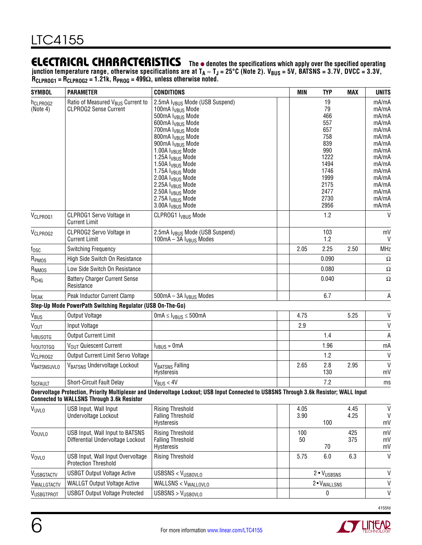junction temperature range, otherwise specifications are at T<sub>A</sub> ≈ T<sub>J</sub> = 25°C (Note 2). V<sub>BUS</sub> = 5V, BATSNS = 3.7V, DVCC = 3.3V, **RCLPROG1 = RCLPROG2 = 1.21k, RPROG = 499Ω, unless otherwise noted.**

| <b>SYMBOL</b>                    | <b>PARAMETER</b>                                                              | <b>CONDITIONS</b>                                                                                                                                                                                                                                                                                                                                                                                                                                                                                                                          | <b>MIN</b>   | <b>TYP</b>                                                                                                         | MAX          | <b>UNITS</b>                                                                                                                                 |
|----------------------------------|-------------------------------------------------------------------------------|--------------------------------------------------------------------------------------------------------------------------------------------------------------------------------------------------------------------------------------------------------------------------------------------------------------------------------------------------------------------------------------------------------------------------------------------------------------------------------------------------------------------------------------------|--------------|--------------------------------------------------------------------------------------------------------------------|--------------|----------------------------------------------------------------------------------------------------------------------------------------------|
| h <sub>CLPROG2</sub><br>(Note 4) | Ratio of Measured V <sub>BUS</sub> Current to<br><b>CLPROG2 Sense Current</b> | 2.5mA I <sub>VBUS</sub> Mode (USB Suspend)<br>100mA I <sub>VBUS</sub> Mode<br>500mA I <sub>VBUS</sub> Mode<br>600mA I <sub>VBUS</sub> Mode<br>700mA I <sub>VBUS</sub> Mode<br>800mA I <sub>VBUS</sub> Mode<br>900mA I <sub>VBUS</sub> Mode<br>1.00A I <sub>VBUS</sub> Mode<br>1.25A I <sub>VBUS</sub> Mode<br>1.50A I <sub>VBUS</sub> Mode<br>1.75A I <sub>VBUS</sub> Mode<br>2.00A I <sub>VBUS</sub> Mode<br>2.25A I <sub>VBUS</sub> Mode<br>2.50A I <sub>VBUS</sub> Mode<br>2.75A I <sub>VBUS</sub> Mode<br>3.00A I <sub>VBUS</sub> Mode |              | 19<br>79<br>466<br>557<br>657<br>758<br>839<br>990<br>1222<br>1494<br>1746<br>1999<br>2175<br>2477<br>2730<br>2956 |              | mA/mA<br>mA/mA<br>mA/mA<br>mA/mA<br>mA/mA<br>mA/mA<br>mA/mA<br>mA/mA<br>mA/mA<br>mA/mA<br>mA/mA<br>mA/mA<br>mA/mA<br>mA/mA<br>mA/mA<br>mA/mA |
| V <sub>CLPROG1</sub>             | CLPROG1 Servo Voltage in<br><b>Current Limit</b>                              | CLPROG1 I <sub>VBUS</sub> Mode                                                                                                                                                                                                                                                                                                                                                                                                                                                                                                             |              | 1.2                                                                                                                |              | $\vee$                                                                                                                                       |
| V <sub>CLPROG2</sub>             | CLPROG2 Servo Voltage in<br><b>Current Limit</b>                              | 2.5mA I <sub>VBUS</sub> Mode (USB Suspend)<br>100mA - 3A I <sub>VBUS</sub> Modes                                                                                                                                                                                                                                                                                                                                                                                                                                                           |              | 103<br>1.2                                                                                                         |              | mV<br>$\vee$                                                                                                                                 |
| $f_{\rm OSC}$                    | Switching Frequency                                                           |                                                                                                                                                                                                                                                                                                                                                                                                                                                                                                                                            | 2.05         | 2.25                                                                                                               | 2.50         | <b>MHz</b>                                                                                                                                   |
| R <sub>PMOS</sub>                | High Side Switch On Resistance                                                |                                                                                                                                                                                                                                                                                                                                                                                                                                                                                                                                            |              | 0.090                                                                                                              |              | $\Omega$                                                                                                                                     |
| R <sub>NMOS</sub>                | Low Side Switch On Resistance                                                 |                                                                                                                                                                                                                                                                                                                                                                                                                                                                                                                                            |              | 0.080                                                                                                              |              | $\Omega$                                                                                                                                     |
| R <sub>CHG</sub>                 | <b>Battery Charger Current Sense</b><br>Resistance                            |                                                                                                                                                                                                                                                                                                                                                                                                                                                                                                                                            |              | 0.040                                                                                                              |              | $\Omega$                                                                                                                                     |
| <b>IPEAK</b>                     | Peak Inductor Current Clamp                                                   | 500mA - 3A I <sub>VBUS</sub> Modes                                                                                                                                                                                                                                                                                                                                                                                                                                                                                                         |              | 6.7                                                                                                                |              | Α                                                                                                                                            |
|                                  | Step-Up Mode PowerPath Switching Regulator (USB On-The-Go)                    |                                                                                                                                                                                                                                                                                                                                                                                                                                                                                                                                            |              |                                                                                                                    |              |                                                                                                                                              |
| V <sub>BUS</sub>                 | Output Voltage                                                                | 0mA $\leq$ $I_{VBUS} \leq$ 500mA                                                                                                                                                                                                                                                                                                                                                                                                                                                                                                           | 4.75         |                                                                                                                    | 5.25         | $\sf V$                                                                                                                                      |
| VOUT                             | Input Voltage                                                                 |                                                                                                                                                                                                                                                                                                                                                                                                                                                                                                                                            | 2.9          |                                                                                                                    |              | $\mathsf{V}$                                                                                                                                 |
| <b>I</b> VBUSOTG                 | <b>Output Current Limit</b>                                                   |                                                                                                                                                                                                                                                                                                                                                                                                                                                                                                                                            |              | 1.4                                                                                                                |              | Α                                                                                                                                            |
| <b>I</b> voutotgo                | VOUT Quiescent Current                                                        | $I_{VBUS} = 0mA$                                                                                                                                                                                                                                                                                                                                                                                                                                                                                                                           |              | 1.96                                                                                                               |              | mA                                                                                                                                           |
| V <sub>CLPROG2</sub>             | Output Current Limit Servo Voltage                                            |                                                                                                                                                                                                                                                                                                                                                                                                                                                                                                                                            |              | 1.2                                                                                                                |              | $\mathsf{V}$                                                                                                                                 |
| <b>VBATSNSUVLO</b>               | VBATSNS Undervoltage Lockout                                                  | <b>VBATSNS Falling</b><br><b>Hysteresis</b>                                                                                                                                                                                                                                                                                                                                                                                                                                                                                                | 2.65         | 2.8<br>130                                                                                                         | 2.95         | $\mathsf{V}$<br>mV                                                                                                                           |
| t <sub>SCFAULT</sub>             | Short-Circuit Fault Delay                                                     | $V_{BUS}$ < 4V                                                                                                                                                                                                                                                                                                                                                                                                                                                                                                                             |              | 7.2                                                                                                                |              | ms                                                                                                                                           |
|                                  | <b>Connected to WALLSNS Through 3.6k Resistor</b>                             | Overvoltage Protection, Priority Multiplexer and Undervoltage Lockout; USB Input Connected to USBSNS Through 3.6k Resistor; WALL Input                                                                                                                                                                                                                                                                                                                                                                                                     |              |                                                                                                                    |              |                                                                                                                                              |
| <b>VUVLO</b>                     | USB Input, Wall Input<br>Undervoltage Lockout                                 | <b>Rising Threshold</b><br><b>Falling Threshold</b><br>Hysteresis                                                                                                                                                                                                                                                                                                                                                                                                                                                                          | 4.05<br>3.90 | 100                                                                                                                | 4.45<br>4.25 | V<br>V<br>mV                                                                                                                                 |
| V <sub>DUVLO</sub>               | USB Input, Wall Input to BATSNS<br>Differential Undervoltage Lockout          | <b>Rising Threshold</b><br><b>Falling Threshold</b><br>Hysteresis                                                                                                                                                                                                                                                                                                                                                                                                                                                                          | 100<br>50    | 70                                                                                                                 | 425<br>375   | mV<br>mV<br>mV                                                                                                                               |
| VOVLO                            | USB Input, Wall Input Overvoltage<br><b>Protection Threshold</b>              | <b>Rising Threshold</b>                                                                                                                                                                                                                                                                                                                                                                                                                                                                                                                    | 5.75         | 6.0                                                                                                                | 6.3          | $\mathsf{V}$                                                                                                                                 |
| VUSBGTACTV                       | <b>USBGT Output Voltage Active</b>                                            | USBSNS < VUSBOVLO                                                                                                                                                                                                                                                                                                                                                                                                                                                                                                                          |              |                                                                                                                    |              | $\mathsf{V}$                                                                                                                                 |
| VWALLGTACTV                      | <b>WALLGT Output Voltage Active</b>                                           | <b>WALLSNS &lt; V<sub>WALLOVLO</sub></b>                                                                                                                                                                                                                                                                                                                                                                                                                                                                                                   |              | 2 · VUSBSNS<br>2 · V <sub>WALLSNS</sub><br>0                                                                       |              | $\mathsf{V}$                                                                                                                                 |
| VUSBGTPROT                       | <b>USBGT Output Voltage Protected</b>                                         | USBSNS > V <sub>USBOVLO</sub>                                                                                                                                                                                                                                                                                                                                                                                                                                                                                                              |              |                                                                                                                    |              | $\mathsf{V}$                                                                                                                                 |





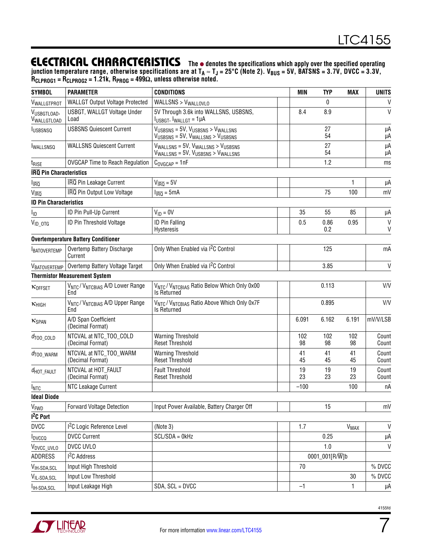junction temperature range, otherwise specifications are at T<sub>A</sub> ≈ T<sub>J</sub> = 25°C (Note 2). V<sub>BUS</sub> = 5V, BATSNS = 3.7V, DVCC = 3.3V, **RCLPROG1 = RCLPROG2 = 1.21k, RPROG = 499Ω, unless otherwise noted.**

| <b>SYMBOL</b>                  | <b>PARAMETER</b>                                              | <b>CONDITIONS</b>                                                                                          | <b>MIN</b> | <b>TYP</b>             | <b>MAX</b>             | <b>UNITS</b>   |
|--------------------------------|---------------------------------------------------------------|------------------------------------------------------------------------------------------------------------|------------|------------------------|------------------------|----------------|
| VWALLGTPROT                    | <b>WALLGT Output Voltage Protected</b>                        | WALLSNS > V <sub>WALLOVLO</sub>                                                                            |            | 0                      |                        | V              |
| VUSBGTLOAD,<br>Vwallgtload     | USBGT, WALLGT Voltage Under<br>Load                           | 5V Through 3.6k into WALLSNS, USBSNS,<br>$IUSBGT, IWALLGT = 1\muA$                                         | 8.4        | 8.9                    |                        | $\mathsf{V}$   |
| <b>IUSBSNSQ</b>                | <b>USBSNS Quiescent Current</b>                               | VUSBSNS = 5V, VUSBSNS > VWALLSNS<br>$V_{\text{USBSNS}} = 5V$ , $V_{\text{WALLSNS}} > V_{\text{USBSNS}}$    |            | 27<br>54               |                        | μA<br>μA       |
| <b>IWALLSNSQ</b>               | <b>WALLSNS Quiescent Current</b>                              | $V_{\text{WALLSNS}} = 5V$ , $V_{\text{WALLSNS}} > V_{\text{USB SNS}}$<br>VWALLSNS = 5V, VUSBSNS > VWALLSNS |            | 27<br>54               |                        | μA<br>μA       |
| t <sub>rise</sub>              | <b>OVGCAP Time to Reach Regulation</b>                        | $C_{\text{OVGCAP}} = 1nF$                                                                                  |            | 1.2                    |                        | ms             |
| <b>IRQ Pin Characteristics</b> |                                                               |                                                                                                            |            |                        |                        |                |
| $I_{\overline{\text{IRQ}}}$    | <b>IRQ Pin Leakage Current</b>                                | $V_{\overline{\text{IRO}}} = 5V$                                                                           |            |                        | 1                      | μA             |
| V <sub>IRQ</sub>               | IRQ Pin Output Low Voltage                                    | $I_{\overline{IRQ}} = 5mA$                                                                                 |            | 75                     | 100                    | mV             |
| <b>ID Pin Characteristics</b>  |                                                               |                                                                                                            |            |                        |                        |                |
| l <sub>ID</sub>                | ID Pin Pull-Up Current                                        | $V_{ID} = 0V$                                                                                              | 35         | 55                     | 85                     | μA             |
| $V_{ID\_OTG}$                  | ID Pin Threshold Voltage                                      | <b>ID Pin Falling</b><br><b>Hysteresis</b>                                                                 | 0.5        | 0.86<br>0.2            | 0.95                   | V<br>V         |
|                                | <b>Overtemperature Battery Conditioner</b>                    |                                                                                                            |            |                        |                        |                |
| <b>BATOVERTEMP</b>             | Overtemp Battery Discharge<br>Current                         | Only When Enabled via I <sup>2</sup> C Control                                                             |            | 125                    |                        | mA             |
|                                | VBATOVERTEMP   Overtemp Battery Voltage Target                | Only When Enabled via I <sup>2</sup> C Control                                                             |            | 3.85<br>0.113<br>0.895 |                        | $\mathsf{V}$   |
|                                | <b>Thermistor Measurement System</b>                          |                                                                                                            |            |                        |                        |                |
| KOFFSET                        | VNTC / VNTCBIAS A/D Lower Range<br>End                        | VNTC / VNTCBIAS Ratio Below Which Only 0x00<br><b>Is Returned</b>                                          |            |                        |                        | V/V            |
| $K$ HIGH                       | V <sub>NTC</sub> /V <sub>NTCBIAS</sub> A/D Upper Range<br>End | V <sub>NTC</sub> / V <sub>NTCBIAS</sub> Ratio Above Which Only 0x7F<br><b>Is Returned</b>                  |            |                        |                        | V/V            |
| KSPAN                          | A/D Span Coefficient<br>(Decimal Format)                      |                                                                                                            | 6.091      | 6.162                  | 6.191                  | mV/V/LSB       |
| $d_{\text{TOO\_COLD}}$         | NTCVAL at NTC_TOO_COLD<br>(Decimal Format)                    | <b>Warning Threshold</b><br><b>Reset Threshold</b>                                                         | 102<br>98  | 102<br>98              | 102<br>98              | Count<br>Count |
| $d_{\text{TOO\_WARM}}$         | NTCVAL at NTC_TOO_WARM<br>(Decimal Format)                    | <b>Warning Threshold</b><br><b>Reset Threshold</b>                                                         | 41<br>45   | 41<br>45               | 41<br>45               | Count<br>Count |
| $d_{\text{HOT\_FAULT}}$        | NTCVAL at HOT_FAULT<br>(Decimal Format)                       | <b>Fault Threshold</b><br><b>Reset Threshold</b>                                                           | 19<br>23   | 19<br>23               | 19<br>23               | Count<br>Count |
| <b>INTC</b>                    | NTC Leakage Current                                           |                                                                                                            | $-100$     |                        | 100                    | nA             |
| <b>Ideal Diode</b>             |                                                               |                                                                                                            |            |                        |                        |                |
| V <sub>FWD</sub>               | <b>Forward Voltage Detection</b>                              | Input Power Available, Battery Charger Off                                                                 |            | 15                     |                        | mV             |
| I <sup>2</sup> C Port          |                                                               |                                                                                                            |            |                        |                        |                |
| <b>DVCC</b>                    | <sup>2</sup> C Logic Reference Level                          | (Note 3)                                                                                                   | 1.7        |                        | <b>V<sub>MAX</sub></b> | $\mathsf{V}$   |
| <b>I</b> <sub>DVCCQ</sub>      | <b>DVCC Current</b>                                           | $SCL/SDA = OKHz$                                                                                           |            | 0.25                   |                        | μA             |
| V <sub>DVCC_UVLO</sub>         | DVCC UVLO                                                     |                                                                                                            |            | 1.0                    |                        | $\mathsf{V}$   |
| <b>ADDRESS</b>                 | I <sup>2</sup> C Address                                      |                                                                                                            |            | 0001_001[R/W]b         |                        |                |
| V <sub>IH</sub> , SDA, SCL     | Input High Threshold                                          |                                                                                                            | 70         |                        |                        | % DVCC         |
| VIL, SDA, SCL                  | Input Low Threshold                                           |                                                                                                            |            |                        | 30                     | % DVCC         |
| I <sub>IH</sub> , SDA, SCL     | Input Leakage High                                            | SDA, SCL = DVCC                                                                                            | $-1$       |                        | 1                      | μA             |



7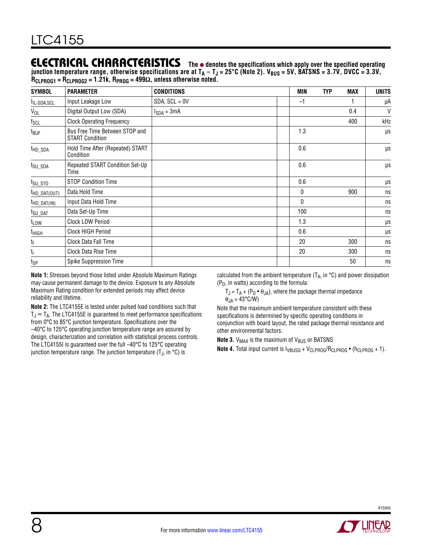junction temperature range, otherwise specifications are at T<sub>A</sub> ≈ T<sub>J</sub> = 25°C (Note 2). V<sub>BUS</sub> = 5V, BATSNS = 3.7V, DVCC = 3.3V, **RCLPROG1 = RCLPROG2 = 1.21k, RPROG = 499Ω, unless otherwise noted.**

| <b>SYMBOL</b>                       | <b>PARAMETER</b>                                         | <b>CONDITIONS</b> | MIN          | <b>TYP</b> | MAX | <b>UNITS</b> |
|-------------------------------------|----------------------------------------------------------|-------------------|--------------|------------|-----|--------------|
| IL,SDA,SCL                          | Input Leakage Low                                        | $SDA, SCL = 0V$   | $-1$         |            |     | μA           |
| $V_{OL}$                            | Digital Output Low (SDA)                                 | $I_{SDA} = 3mA$   |              |            | 0.4 | V            |
| $f_{SCL}$                           | <b>Clock Operating Frequency</b>                         |                   |              |            | 400 | kHz          |
| t <sub>BUF</sub>                    | Bus Free Time Between STOP and<br><b>START Condition</b> |                   | 1.3          |            |     | μs           |
| t <sub>HD_SDA</sub>                 | Hold Time After (Repeated) START<br>Condition            |                   | 0.6          |            |     | μs           |
| t <sub>SU_SDA</sub>                 | Repeated START Condition Set-Up<br>Time                  |                   | 0.6          |            |     | μs           |
| $t_{\text{SU}_\text{-} \text{STO}}$ | <b>STOP Condition Time</b>                               |                   | 0.6          |            |     | $\mu s$      |
| t <sub>HD_DAT(OUT)</sub>            | Data Hold Time                                           |                   | 0            |            | 900 | ns           |
| $t_{HD\_DAT(IN)}$                   | Input Data Hold Time                                     |                   | $\mathbf{0}$ |            |     | ns           |
| t <sub>SU_DAT</sub>                 | Data Set-Up Time                                         |                   | 100          |            |     | ns           |
| $t_{LOW}$                           | Clock LOW Period                                         |                   | 1.3          |            |     | $\mu s$      |
| t <sub>HIGH</sub>                   | Clock HIGH Period                                        |                   | 0.6          |            |     | μs           |
| $t_{\mathsf{f}}$                    | Clock Data Fall Time                                     |                   | 20           |            | 300 | ns           |
| $t_{r}$                             | Clock Data Rise Time                                     |                   | 20           |            | 300 | ns           |
| tsp                                 | Spike Suppression Time                                   |                   |              |            | 50  | ns           |

**Note 1:** Stresses beyond those listed under Absolute Maximum Ratings may cause permanent damage to the device. Exposure to any Absolute Maximum Rating condition for extended periods may affect device reliability and lifetime.

**Note 2:** The LTC4155E is tested under pulsed load conditions such that  $T_J \approx T_A$ . The LTC4155E is guaranteed to meet performance specifications from 0°C to 85°C junction temperature. Specifications over the –40°C to 125°C operating junction temperature range are assured by design, characterization and correlation with statistical process controls. The LTC4155I is guaranteed over the full –40°C to 125°C operating junction temperature range. The junction temperature  $(T_J, in \, ^\circ\text{C})$  is

calculated from the ambient temperature (T<sub>A</sub>, in  $^{\circ}$ C) and power dissipation  $(P_D, in watts) according to the formula:$ 

 $T_J = T_A + (P_D \cdot \theta_{JA})$ , where the package thermal impedance  $\theta_{JA} = 43^{\circ}$ C/W)

Note that the maximum ambient temperature consistent with these specifications is determined by specific operating conditions in conjunction with board layout, the rated package thermal resistance and other environmental factors.

**Note 3.** V<sub>MAX</sub> is the maximum of V<sub>BUS</sub> or BATSNS

**Note 4.** Total input current is  $V_{\text{BUSQ}} + V_{\text{CLPROG}} / R_{\text{CLPROG}} \cdot (h_{\text{CLPROG}} + 1)$ .

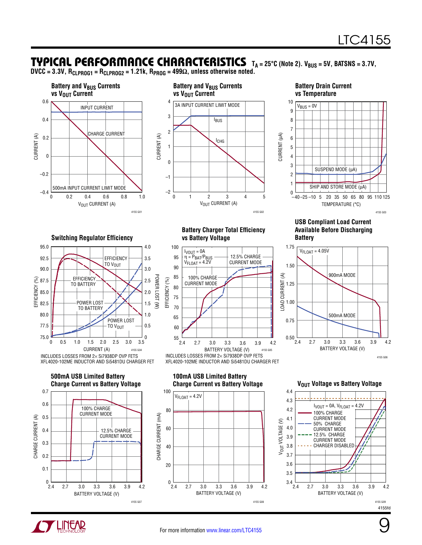### TYPICAL PERFORMANCE CHARACTERISTICS TA = 25°C (Note 2). V<sub>BUS</sub> = 5V, BATSNS = 3.7V,

**DVCC = 3.3V, RCLPROG1 = RCLPROG2 = 1.21k, RPROG = 499Ω, unless otherwise noted.**

3.5

3.0

4.0



**Switching Regulator Efficiency**

EFFICIENCY (%)

**EFFICIENCY** 

92.5

90.0  $\widehat{\mathcal{S}}$  87.5

95.0

85.0

80.0

82.5

77.5 75.0

0.7





#### **Battery Charger Total Efficiency vs Battery Voltage**



#### **USB Compliant Load Current Available Before Discharging Battery**







4155fd



**EFFICIENCY** TO V<sub>OUT</sub>



**100mA USB Limited Battery Charge Current vs Battery Voltage <b>V**OUT Voltage vs Battery Voltage





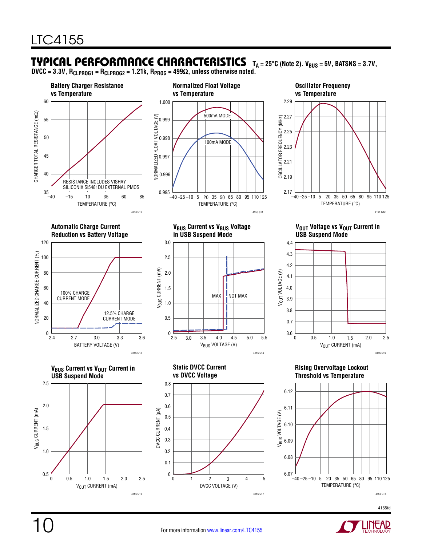#### Typical Performance Characteristics  $T_A = 25^{\circ}C$  (Note 2).  $V_{BUS} = 5V$ , BATSNS = 3.7V,

**DVCC = 3.3V, RCLPROG1 = RCLPROG2 = 1.21k, RPROG = 499Ω, unless otherwise noted.**



4155fd

4155 G17

4155 G16

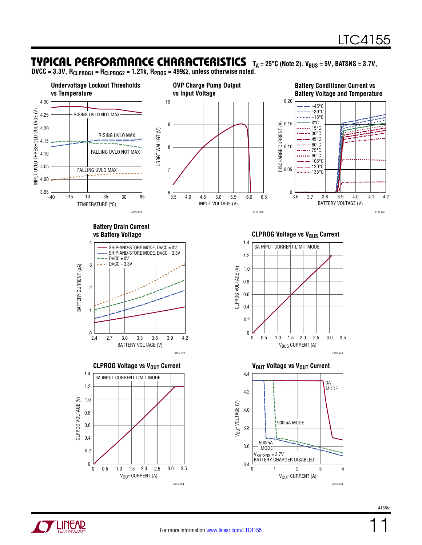### TYPICAL PERFORMANCE CHARACTERISTICS TA=25°C (Note 2). V<sub>BUS</sub>=5V, BATSNS=3.7V,

**DVCC = 3.3V, RCLPROG1 = RCLPROG2 = 1.21k, RPROG = 499Ω, unless otherwise noted.**





11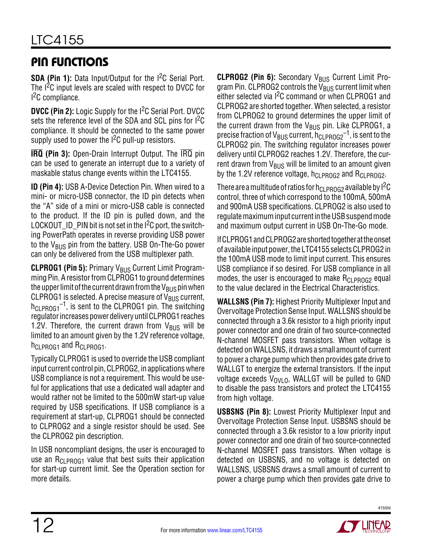# Pin Functions

**SDA (Pin 1):** Data Input/Output for the I<sup>2</sup>C Serial Port. The  $I^2C$  input levels are scaled with respect to DVCC for <sup>2</sup>C compliance.

**DVCC (Pin 2):** Logic Supply for the I<sup>2</sup>C Serial Port. DVCC sets the reference level of the SDA and SCL pins for I<sup>2</sup>C compliance. It should be connected to the same power supply used to power the  $1<sup>2</sup>C$  pull-up resistors.

**IRQ (Pin 3):** Open-Drain Interrupt Output. The IRQ pin can be used to generate an interrupt due to a variety of maskable status change events within the LTC4155.

**ID (Pin 4):** USB A-Device Detection Pin. When wired to a mini- or micro-USB connector, the ID pin detects when the "A" side of a mini or micro-USB cable is connected to the product. If the ID pin is pulled down, and the LOCKOUT\_ID\_PIN bit is not set in the I<sup>2</sup>C port, the switching PowerPath operates in reverse providing USB power to the  $V_{BUS}$  pin from the battery. USB On-The-Go power can only be delivered from the USB multiplexer path.

**CLPROG1 (Pin 5):** Primary V<sub>BUS</sub> Current Limit Programming Pin. A resistor from CLPROG1 to ground determines the upper limit of the current drawn from the V<sub>BUS</sub> pin when CLPROG1 is selected. A precise measure of  $V_{\rm RUS}$  current,  $h_{CLPROG1}^{-1}$ , is sent to the CLPROG1 pin. The switching regulatorincreasespowerdeliveryuntilCLPROG1 reaches 1.2V. Therefore, the current drawn from  $V_{BUS}$  will be limited to an amount given by the 1.2V reference voltage, h<sub>CLPROG1</sub> and R<sub>CLPROG1</sub>.

Typically CLPROG1 is used to override the USB compliant input current control pin, CLPROG2, in applications where USB compliance is not a requirement. This would be useful for applications that use a dedicated wall adapter and would rather not be limited to the 500mW start-up value required by USB specifications. If USB compliance is a requirement at start-up, CLPROG1 should be connected to CLPROG2 and a single resistor should be used. See the CLPROG2 pin description.

In USB noncompliant designs, the user is encouraged to use an  $R_{Cl\text{PROG1}}$  value that best suits their application for start-up current limit. See the Operation section for more details.

**CLPROG2 (Pin 6):** Secondary V<sub>BUS</sub> Current Limit Program Pin. CLPROG2 controls the  $V_{BUS}$  current limit when either selected via I<sup>2</sup>C command or when CLPROG1 and CLPROG2 are shorted together. When selected, a resistor from CLPROG2 to ground determines the upper limit of the current drawn from the  $V_{\rm BUS}$  pin. Like CLPROG1, a precise fraction of V<sub>BUS</sub> current,  $h_{CLPROG2}^{-1}$ , is sent to the CLPROG2 pin. The switching regulator increases power delivery until CLPROG2 reaches 1.2V. Therefore, the current drawn from  $V_{BUS}$  will be limited to an amount given by the 1.2V reference voltage,  $h_{Cl}$   $_{PROG2}$  and  $R_{Cl}$   $_{PROG2}$ .

There are a multitude of ratios for h<sub>CLPROG2</sub> available by  $I^2C$ control, three of which correspond to the 100mA, 500mA and 900mA USB specifications. CLPROG2 is also used to regulate maximum input current in the USB suspend mode and maximum output current in USB On-The-Go mode.

If CLPROG1 and CLPROG2 are shorted together at the onset of available input power, the LTC4155 selects CLPROG2 in the 100mA USB mode to limit input current. This ensures USB compliance if so desired. For USB compliance in all modes, the user is encouraged to make  $R_{Cl\,PROG2}$  equal to the value declared in the Electrical Characteristics.

**WALLSNS (Pin 7):** Highest Priority Multiplexer Input and Overvoltage Protection Sense Input. WALLSNS should be connected through a 3.6k resistor to a high priority input power connector and one drain of two source-connected N-channel MOSFET pass transistors. When voltage is detected on WALLSNS, it draws a small amount of current to power a charge pump which then provides gate drive to WALLGT to energize the external transistors. If the input voltage exceeds  $V_{\text{OVLO}}$ , WALLGT will be pulled to GND to disable the pass transistors and protect the LTC4155 from high voltage.

**USBSNS (Pin 8):** Lowest Priority Multiplexer Input and Overvoltage Protection Sense Input. USBSNS should be connected through a 3.6k resistor to a low priority input power connector and one drain of two source-connected N-channel MOSFET pass transistors. When voltage is detected on USBSNS, and no voltage is detected on WALLSNS, USBSNS draws a small amount of current to power a charge pump which then provides gate drive to

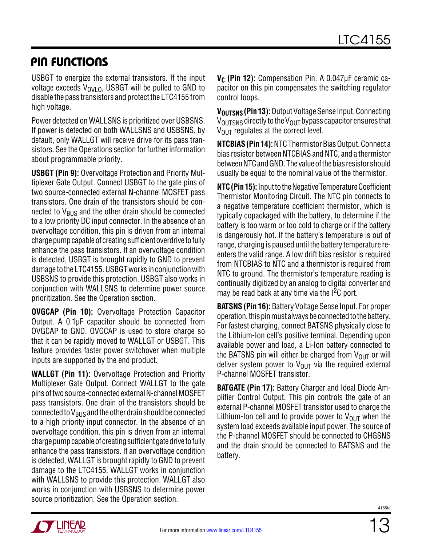### Pin Functions

USBGT to energize the external transistors. If the input voltage exceeds  $V_{OVIO}$ , USBGT will be pulled to GND to disable the pass transistors and protect the LTC4155 from high voltage.

Power detected on WALLSNS is prioritized over USBSNS. If power is detected on both WALLSNS and USBSNS, by default, only WALLGT will receive drive for its pass transistors. See the Operations section for further information about programmable priority.

**USBGT (Pin 9):** Overvoltage Protection and Priority Multiplexer Gate Output. Connect USBGT to the gate pins of two source-connected external N-channel MOSFET pass transistors. One drain of the transistors should be connected to  $V_{\text{BUS}}$  and the other drain should be connected to a low priority DC input connector. In the absence of an overvoltage condition, this pin is driven from an internal charge pump capable of creating sufficient overdrive to fully enhance the pass transistors. If an overvoltage condition is detected, USBGT is brought rapidly to GND to prevent damage totheLTC4155. USBGTworks inconjunctionwith USBSNS to provide this protection. USBGT also works in conjunction with WALLSNS to determine power source prioritization. See the Operation section.

**OVGCAP (Pin 10):** Overvoltage Protection Capacitor Output. A 0.1µF capacitor should be connected from OVGCAP to GND. OVGCAP is used to store charge so that it can be rapidly moved to WALLGT or USBGT. This feature provides faster power switchover when multiple inputs are supported by the end product.

**WALLGT (Pin 11):** Overvoltage Protection and Priority Multiplexer Gate Output. Connect WALLGT to the gate pins of two source-connected external N-channel MOSFET pass transistors. One drain of the transistors should be connected to  $V_{BUS}$  and the other drain should be connected to a high priority input connector. In the absence of an overvoltage condition, this pin is driven from an internal charge pump capable of creating sufficient gate drive to fully enhance the pass transistors. If an overvoltage condition is detected, WALLGT is brought rapidly to GND to prevent damage to the LTC4155. WALLGT works in conjunction with WALLSNS to provide this protection. WALLGT also works in conjunction with USBSNS to determine power source prioritization. See the Operation section.

**V<sub>C</sub>** (Pin 12): Compensation Pin. A 0.047μF ceramic capacitor on this pin compensates the switching regulator control loops.

**V<sub>OUTSNS</sub> (Pin 13):** Output Voltage Sense Input. Connecting  $V_{\text{OUTSNS}}$  directly to the  $V_{\text{OUT}}$  bypass capacitor ensures that  $V<sub>OUT</sub>$  regulates at the correct level.

**NTCBIAS (Pin 14): NTC Thermistor Bias Output. Connect a** bias resistor between NTCBIAS and NTC, and a thermistor between NTC and GND. The value of the bias resistor should usually be equal to the nominal value of the thermistor.

**NTC (Pin 15):** Input to the Negative Temperature Coefficient Thermistor Monitoring Circuit. The NTC pin connects to a negative temperature coefficient thermistor, which is typically copackaged with the battery, to determine if the battery is too warm or too cold to charge or if the battery is dangerously hot. If the battery's temperature is out of range, charging is paused until the battery temperature reenters the valid range. A low drift bias resistor is required from NTCBIAS to NTC and a thermistor is required from NTC to ground. The thermistor's temperature reading is continually digitized by an analog to digital converter and may be read back at any time via the  $1^2C$  port.

**BATSNS (Pin 16):** Battery Voltage Sense Input. For proper operation, this pin must always be connected to the battery. For fastest charging, connect BATSNS physically close to the Lithium-Ion cell's positive terminal. Depending upon available power and load, a Li-Ion battery connected to the BATSNS pin will either be charged from  $V_{OUT}$  or will deliver system power to  $V_{\text{OUT}}$  via the required external P-channel MOSFET transistor.

**BATGATE (Pin 17):** Battery Charger and Ideal Diode Amplifier Control Output. This pin controls the gate of an external P-channel MOSFET transistor used to charge the Lithium-Ion cell and to provide power to  $V_{\text{OUT}}$  when the system load exceeds available input power. The source of the P-channel MOSFET should be connected to CHGSNS and the drain should be connected to BATSNS and the battery.

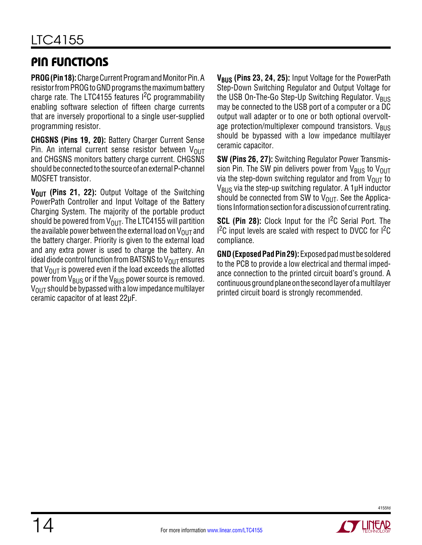# Pin Functions

**PROG (Pin 18):** Charge Current Program and Monitor Pin. A resistor from PROG to GND programs the maximum battery charge rate. The LTC4155 features  $1^2C$  programmability enabling software selection of fifteen charge currents that are inversely proportional to a single user-supplied programming resistor.

**CHGSNS (Pins 19, 20):** Battery Charger Current Sense Pin. An internal current sense resistor between  $V_{\text{OUT}}$ and CHGSNS monitors battery charge current. CHGSNS should be connected to the source of an external P-channel MOSFET transistor.

**V<sub>OUT</sub>** (Pins 21, 22): Output Voltage of the Switching PowerPath Controller and Input Voltage of the Battery Charging System. The majority of the portable product should be powered from  $V_{\text{OUT}}$ . The LTC4155 will partition the available power between the external load on  $V_{\text{OUT}}$  and the battery charger. Priority is given to the external load and any extra power is used to charge the battery. An ideal diode control function from BATSNS to  $V_{\text{OUT}}$  ensures that  $V_{\text{OUT}}$  is powered even if the load exceeds the allotted power from  $V_{\rm BUS}$  or if the  $V_{\rm BUS}$  power source is removed.  $V_{\text{OUT}}$  should be bypassed with a low impedance multilayer ceramic capacitor of at least 22µF.

**V<sub>BUS</sub> (Pins 23, 24, 25):** Input Voltage for the PowerPath Step-Down Switching Regulator and Output Voltage for the USB On-The-Go Step-Up Switching Regulator.  $V_{BUS}$ may be connected to the USB port of a computer or a DC output wall adapter or to one or both optional overvoltage protection/multiplexer compound transistors.  $V_{BUS}$ should be bypassed with a low impedance multilayer ceramic capacitor.

**SW (Pins 26, 27):** Switching Regulator Power Transmission Pin. The SW pin delivers power from  $V_{BUS}$  to  $V_{OUT}$ via the step-down switching regulator and from  $V_{OUT}$  to  $V_{\rm BUS}$  via the step-up switching regulator. A 1µH inductor should be connected from SW to  $V_{OUT}$ . See the Applications Information section for a discussion of current rating.

**SCL (Pin 28):** Clock Input for the I<sup>2</sup>C Serial Port. The  $1<sup>2</sup>C$  input levels are scaled with respect to DVCC for  $1<sup>2</sup>C$ compliance.

**GND (Exposed Pad Pin 29):** Exposed pad must be soldered to the PCB to provide a low electrical and thermal impedance connection to the printed circuit board's ground. A continuous ground plane on the second layer of a multilayer printed circuit board is strongly recommended.

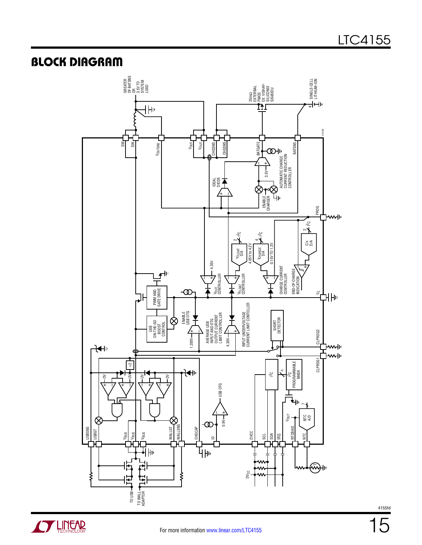### **BLOCK DIAGRAM**



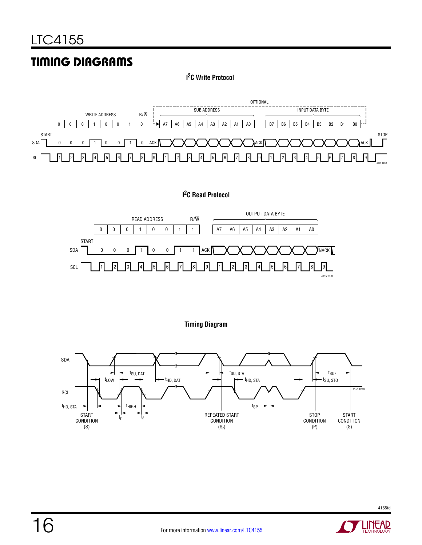# Timing Diagrams

**I 2C Write Protocol**



**I 2C Read Protocol**







4155fd

1EAR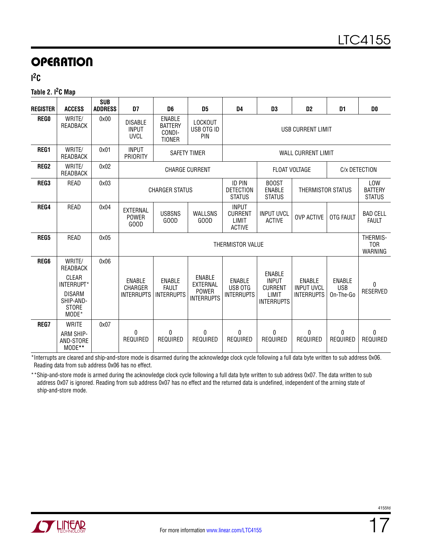**I 2C**

#### **Table 2. I2C Map**

| <b>REGISTER</b>  | <b>ACCESS</b>                                                                                    | <b>SUB</b><br><b>ADDRESS</b> | D7                                                                                                                                                                 | D <sub>6</sub>                                             | D5                                                             | D <sub>4</sub>                           | D <sub>3</sub>                                                                | D <sub>2</sub>                                          | D <sub>1</sub>                                | D <sub>0</sub>                  |  |  |
|------------------|--------------------------------------------------------------------------------------------------|------------------------------|--------------------------------------------------------------------------------------------------------------------------------------------------------------------|------------------------------------------------------------|----------------------------------------------------------------|------------------------------------------|-------------------------------------------------------------------------------|---------------------------------------------------------|-----------------------------------------------|---------------------------------|--|--|
| <b>REGO</b>      | WRITE/<br>READBACK                                                                               | 0x00                         | <b>DISABLE</b><br><b>INPUT</b><br><b>UVCL</b>                                                                                                                      | <b>ENABLE</b><br><b>BATTERY</b><br>CONDI-<br><b>TIONER</b> | LOCKOUT<br>USB OTG ID<br>PIN                                   |                                          | USB CURRENT LIMIT                                                             |                                                         |                                               |                                 |  |  |
| REG1             | WRITE/<br>READBACK                                                                               | 0x01                         | <b>INPUT</b><br>PRIORITY                                                                                                                                           |                                                            | <b>SAFETY TIMER</b>                                            |                                          |                                                                               | <b>WALL CURRENT LIMIT</b>                               |                                               |                                 |  |  |
| REG <sub>2</sub> | WRITE/<br>READBACK                                                                               | 0x02                         |                                                                                                                                                                    | <b>CHARGE CURRENT</b>                                      |                                                                |                                          | <b>FLOAT VOLTAGE</b><br>C/x DETECTION                                         |                                                         |                                               |                                 |  |  |
| REG3             | READ                                                                                             | 0x03                         | <b>ID PIN</b><br><b>BOOST</b><br><b>DETECTION</b><br><b>ENABLE</b><br><b>CHARGER STATUS</b><br>THERMISTOR STATUS<br><b>STATUS</b><br><b>STATUS</b><br><b>INPUT</b> |                                                            |                                                                |                                          |                                                                               |                                                         | <b>LOW</b><br><b>BATTERY</b><br><b>STATUS</b> |                                 |  |  |
| REG4             | READ                                                                                             | 0x04                         | EXTERNAL<br><b>POWER</b><br>GOOD                                                                                                                                   | <b>USBSNS</b><br>GOOD                                      | <b>WALLSNS</b><br>GOOD                                         | <b>CURRENT</b><br>LIMIT<br><b>ACTIVE</b> | <b>INPUT UVCL</b><br><b>ACTIVE</b>                                            | <b>OVP ACTIVE</b>                                       | OTG FAULT                                     | <b>BAD CELL</b><br><b>FAULT</b> |  |  |
| REG5             | READ                                                                                             | 0x05                         |                                                                                                                                                                    | THERMIS-<br>THERMISTOR VALUE<br>WARNING                    |                                                                |                                          |                                                                               |                                                         |                                               |                                 |  |  |
| <b>REG6</b>      | WRITE/<br>READBACK<br>CLEAR<br>INTERRUPT*<br><b>DISARM</b><br>SHIP-AND-<br><b>STORE</b><br>MODE* | 0x06                         | <b>ENABLE</b><br>CHARGER<br><b>INTERRUPTS</b>                                                                                                                      | <b>ENABLE</b><br><b>FAULT</b><br><b>INTERRUPTS</b>         | <b>ENABLE</b><br>EXTERNAL<br><b>POWER</b><br><b>INTERRUPTS</b> | ENABLE<br>USB OTG<br><b>INTERRUPTS</b>   | <b>ENABLE</b><br><b>INPUT</b><br><b>CURRENT</b><br>LIMIT<br><b>INTERRUPTS</b> | <b>ENABLE</b><br><b>INPUT UVCL</b><br><b>INTERRUPTS</b> | <b>ENABLE</b><br><b>USB</b><br>On-The-Go      | $\Omega$<br><b>RESERVED</b>     |  |  |
| REG7             | <b>WRITE</b><br>ARM SHIP-<br>AND-STORE<br>MODE**                                                 | 0x07                         | 0<br>REQUIRED                                                                                                                                                      | 0<br>REQUIRED                                              | $\theta$<br>REQUIRED                                           | 0<br>REQUIRED                            | $\Omega$<br>REQUIRED                                                          | 0<br>REQUIRED                                           | $\Omega$<br>REQUIRED                          | 0<br>REQUIRED                   |  |  |

\*Interrupts are cleared and ship-and-store mode is disarmed during the acknowledge clock cycle following a full data byte written to sub address 0x06. Reading data from sub address 0x06 has no effect.

\*\*Ship-and-store mode is armed during the acknowledge clock cycle following a full data byte written to sub address 0x07. The data written to sub address 0x07 is ignored. Reading from sub address 0x07 has no effect and the returned data is undefined, independent of the arming state of ship-and-store mode.

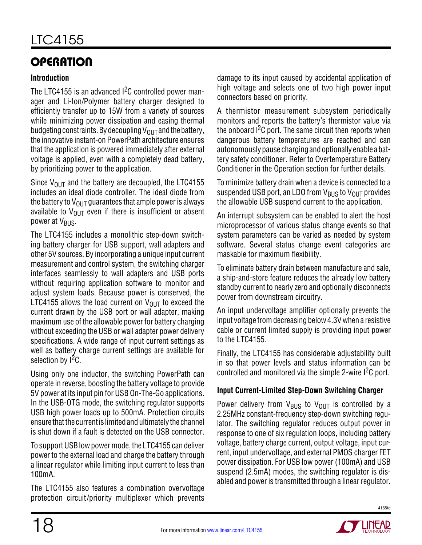### **Introduction**

The LTC4155 is an advanced <sup>2</sup>C controlled power manager and Li-Ion/Polymer battery charger designed to efficiently transfer up to 15W from a variety of sources while minimizing power dissipation and easing thermal budgeting constraints. By decoupling  $V_{\text{OUT}}$  and the battery, the innovative instant-on PowerPath architecture ensures that the application is powered immediately after external voltage is applied, even with a completely dead battery, by prioritizing power to the application.

Since  $V_{\text{OUT}}$  and the battery are decoupled, the LTC4155 includes an ideal diode controller. The ideal diode from the battery to  $V_{\text{OUT}}$  guarantees that ample power is always available to  $V_{\text{OUT}}$  even if there is insufficient or absent power at V<sub>BUS</sub>.

The LTC4155 includes a monolithic step-down switching battery charger for USB support, wall adapters and other 5V sources. By incorporating a unique input current measurement and control system, the switching charger interfaces seamlessly to wall adapters and USB ports without requiring application software to monitor and adjust system loads. Because power is conserved, the LTC4155 allows the load current on  $V_{\text{OUT}}$  to exceed the current drawn by the USB port or wall adapter, making maximum use of the allowable power for battery charging without exceeding the USB or wall adapter power delivery specifications. A wide range of input current settings as well as battery charge current settings are available for selection by  $1^2C$ .

Using only one inductor, the switching PowerPath can operate in reverse, boosting the battery voltage to provide 5V power at its input pin for USB On-The-Go applications. In the USB-OTG mode, the switching regulator supports USB high power loads up to 500mA. Protection circuits ensure that the current is limited and ultimately the channel is shut down if a fault is detected on the USB connector.

To support USB low power mode, the LTC4155 can deliver power to the external load and charge the battery through a linear regulator while limiting input current to less than 100mA.

The LTC4155 also features a combination overvoltage protection circuit/priority multiplexer which prevents damage to its input caused by accidental application of high voltage and selects one of two high power input connectors based on priority.

A thermistor measurement subsystem periodically monitors and reports the battery's thermistor value via the onboard  $1<sup>2</sup>C$  port. The same circuit then reports when dangerous battery temperatures are reached and can autonomously pause charging and optionally enable a battery safety conditioner. Refer to Overtemperature Battery Conditioner in the Operation section for further details.

To minimize battery drain when a device is connected to a suspended USB port, an LDO from  $V_{BUS}$  to  $V_{OUT}$  provides the allowable USB suspend current to the application.

An interrupt subsystem can be enabled to alert the host microprocessor of various status change events so that system parameters can be varied as needed by system software. Several status change event categories are maskable for maximum flexibility.

To eliminate battery drain between manufacture and sale, a ship-and-store feature reduces the already low battery standby current to nearly zero and optionally disconnects power from downstream circuitry.

An input undervoltage amplifier optionally prevents the input voltage from decreasing below 4.3V when a resistive cable or current limited supply is providing input power to the LTC4155.

Finally, the LTC4155 has considerable adjustability built in so that power levels and status information can be controlled and monitored via the simple 2-wire  ${}^{12}C$  port.

### **Input Current-Limited Step-Down Switching Charger**

Power delivery from  $V_{BUS}$  to  $V_{OUT}$  is controlled by a 2.25MHz constant-frequency step-down switching regulator. The switching regulator reduces output power in response to one of six regulation loops, including battery voltage, battery charge current, output voltage, input current, input undervoltage, and external PMOS charger FET power dissipation. For USB low power (100mA) and USB suspend (2.5mA) modes, the switching regulator is disabled and power is transmitted through a linear regulator.

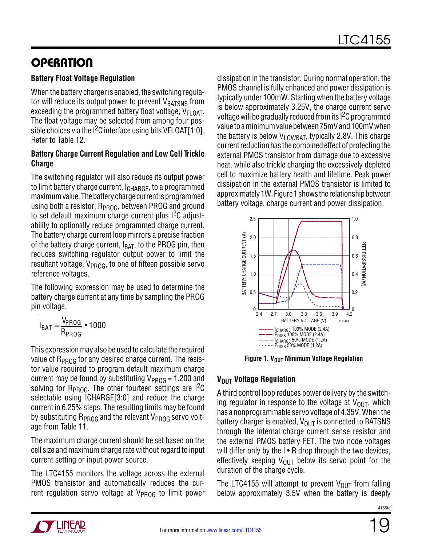### **Battery Float Voltage Regulation**

When the battery charger is enabled, the switching regulator will reduce its output power to prevent VBATSNS from exceeding the programmed battery float voltage,  $V_{FI\;OAT}$ . The float voltage may be selected from among four possible choices via the  $1<sup>2</sup>C$  interface using bits VFLOAT[1:0]. Refer to Table 12.

### **Battery Charge Current Regulation and Low Cell Trickle Charge**

The switching regulator will also reduce its output power to limit battery charge current, I<sub>CHARGE</sub>, to a programmed maximum value. The battery charge current is programmed using both a resistor,  $R_{PROG}$ , between PROG and ground to set default maximum charge current plus I<sup>2</sup>C adjustability to optionally reduce programmed charge current. The battery charge current loop mirrors a precise fraction of the battery charge current,  $I_{BAT}$ , to the PROG pin, then reduces switching regulator output power to limit the resultant voltage,  $V_{PROG}$ , to one of fifteen possible servo reference voltages.

The following expression may be used to determine the battery charge current at any time by sampling the PROG pin voltage.

$$
I_{BAT} = \frac{V_{PROG}}{R_{PROG}} \cdot 1000
$$

This expression may also be used to calculate the required value of  $R_{PROG}$  for any desired charge current. The resistor value required to program default maximum charge current may be found by substituting  $V_{PROG} = 1.200$  and solving for  $R_{PROG}$ . The other fourteen settings are I<sup>2</sup>C selectable using ICHARGE[3:0] and reduce the charge current in 6.25% steps. The resulting limits may be found by substituting  $R_{PROG}$  and the relevant  $V_{PROG}$  servo voltage from Table 11.

The maximum charge current should be set based on the cell size and maximum charge rate without regard to input current setting or input power source.

The LTC4155 monitors the voltage across the external PMOS transistor and automatically reduces the current regulation servo voltage at  $V_{\text{PROG}}$  to limit power

dissipation in the transistor. During normal operation, the PMOS channel is fully enhanced and power dissipation is typically under 100mW. Starting when the battery voltage is below approximately 3.25V, the charge current servo voltage will be gradually reduced from its I2C programmed value to a minimum value between 75mV and 100mV when the battery is below  $V_{LOWBAT}$ , typically 2.8V. This charge current reduction has the combined effect of protecting the external PMOS transistor from damage due to excessive heat, while also trickle charging the excessively depleted cell to maximize battery health and lifetime. Peak power dissipation in the external PMOS transistor is limited to approximately 1W. Figure 1 shows the relationship between battery voltage, charge current and power dissipation.



**Figure 1. V<sub>OUT</sub> Minimum Voltage Regulation** 

### **VOUT Voltage Regulation**

A third control loop reduces power delivery by the switching regulator in response to the voltage at  $V_{\text{OUT}}$ , which has a nonprogrammable servo voltage of 4.35V. When the battery charger is enabled,  $V_{\text{OUT}}$  is connected to BATSNS through the internal charge current sense resistor and the external PMOS battery FET. The two node voltages will differ only by the  $I \cdot R$  drop through the two devices, effectively keeping  $V_{\text{OUT}}$  below its servo point for the duration of the charge cycle.

The LTC4155 will attempt to prevent  $V_{OUT}$  from falling below approximately 3.5V when the battery is deeply

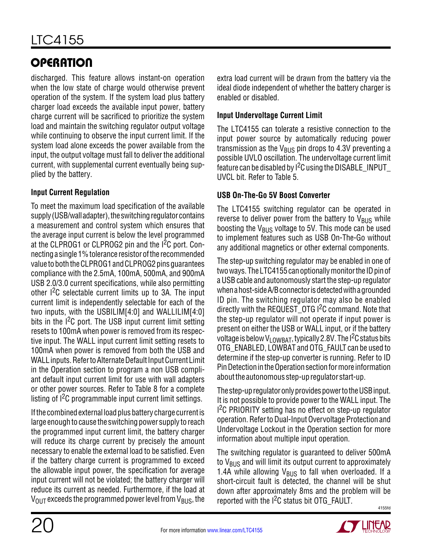discharged. This feature allows instant-on operation when the low state of charge would otherwise prevent operation of the system. If the system load plus battery charger load exceeds the available input power, battery charge current will be sacrificed to prioritize the system load and maintain the switching regulator output voltage while continuing to observe the input current limit. If the system load alone exceeds the power available from the input, the output voltage must fall to deliver the additional current, with supplemental current eventually being supplied by the battery.

### **Input Current Regulation**

To meet the maximum load specification of the available supply (USB/wall adapter), the switching regulator contains a measurement and control system which ensures that the average input current is below the level programmed at the CLPROG1 or CLPROG2 pin and the I<sup>2</sup>C port. Connecting a single 1% tolerance resistorofthe recommended value toboththeCLPROG1 andCLPROG2 pinsguarantees compliance with the 2.5mA, 100mA, 500mA, and 900mA USB 2.0/3.0 current specifications, while also permitting other I2C selectable current limits up to 3A. The input current limit is independently selectable for each of the two inputs, with the USBILIM[4:0] and WALLILIM[4:0] bits in the  $1<sup>2</sup>C$  port. The USB input current limit setting resets to 100mA when power is removed from its respective input. The WALL input current limit setting resets to 100mA when power is removed from both the USB and WALL inputs. Refer to Alternate Default Input Current Limit in the Operation section to program a non USB compliant default input current limit for use with wall adapters or other power sources. Refer to Table 8 for a complete listing of  $I^2C$  programmable input current limit settings.

If the combined external load plus battery charge current is large enough to cause the switching power supply to reach the programmed input current limit, the battery charger will reduce its charge current by precisely the amount necessary to enable the external load to be satisfied. Even if the battery charge current is programmed to exceed the allowable input power, the specification for average input current will not be violated; the battery charger will reduce its current as needed. Furthermore, if the load at  $V_{\text{OUT}}$  exceeds the programmed power level from  $V_{\text{BUS}}$ , the

extra load current will be drawn from the battery via the ideal diode independent of whether the battery charger is enabled or disabled.

### **Input Undervoltage Current Limit**

The LTC4155 can tolerate a resistive connection to the input power source by automatically reducing power transmission as the  $V_{\text{RUS}}$  pin drops to 4.3V preventing a possible UVLO oscillation. The undervoltage current limit feature can be disabled by  $1^2C$  using the DISABLE\_INPUT UVCL bit. Refer to Table 5.

### **USB On-The-Go 5V Boost Converter**

The LTC4155 switching regulator can be operated in reverse to deliver power from the battery to  $V_{\rm BUS}$  while boosting the  $V_{BUS}$  voltage to 5V. This mode can be used to implement features such as USB On-The-Go without any additional magnetics or other external components.

The step-up switching regulator may be enabled in one of two ways. The LTC4155 can optionally monitor the ID pin of a USB cable and autonomously start the step-up regulator when a host-side A/B connector is detected with a grounded ID pin. The switching regulator may also be enabled directly with the REQUEST\_OTG I<sup>2</sup>C command. Note that the step-up regulator will not operate if input power is present on either the USB or WALL input, or if the battery voltage is below V<sub>LOWBAT</sub>, typically 2.8V. The I<sup>2</sup>C status bits OTG ENABLED, LOWBAT and OTG FAULT can be used to determine if the step-up converter is running. Refer to ID Pin Detection in the Operation section for more information about the autonomous step-up regulator start-up.

The step-up regulator only provides power to the USB input. It is not possible to provide power to the WALL input. The <sup>2</sup>C PRIORITY setting has no effect on step-up regulator operation. Refer to Dual-Input Overvoltage Protection and Undervoltage Lockout in the Operation section for more information about multiple input operation.

4155fd The switching regulator is guaranteed to deliver 500mA to  $V_{\text{BUS}}$  and will limit its output current to approximately 1.4A while allowing  $V_{\text{BUS}}$  to fall when overloaded. If a short-circuit fault is detected, the channel will be shut down after approximately 8ms and the problem will be reported with the  $1<sup>2</sup>C$  status bit OTG FAULT.

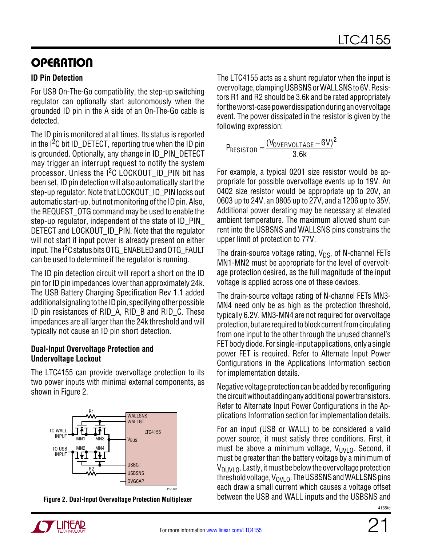### **ID Pin Detection**

For USB On-The-Go compatibility, the step-up switching regulator can optionally start autonomously when the grounded ID pin in the A side of an On-The-Go cable is detected.

The ID pin is monitored at all times. Its status is reported in the  $1<sup>2</sup>C$  bit ID DETECT, reporting true when the ID pin is grounded. Optionally, any change in ID\_PIN\_DETECT may trigger an interrupt request to notify the system processor. Unless the  $1<sup>2</sup>C$  LOCKOUT ID PIN bit has been set, ID pin detection will also automatically start the step-up regulator. Note that LOCKOUT ID PIN locks out automatic start-up, but not monitoring of the ID pin. Also, the REQUEST\_OTG command may be used to enable the step-up regulator, independent of the state of ID\_PIN\_ DETECT and LOCKOUT ID PIN. Note that the regulator will not start if input power is already present on either input. The I<sup>2</sup>C status bits OTG ENABLED and OTG FAULT can be used to determine if the regulator is running.

The ID pin detection circuit will report a short on the ID pin for ID pin impedances lower than approximately 24k. The USB Battery Charging Specification Rev 1.1 added additional signaling to the ID pin, specifying other possible ID pin resistances of RID\_A, RID\_B and RID\_C. These impedances are all larger than the 24k threshold and will typically not cause an ID pin short detection.

#### **Dual-Input Overvoltage Protection and Undervoltage Lockout**

The LTC4155 can provide overvoltage protection to its two power inputs with minimal external components, as shown in Figure 2.



The LTC4155 acts as a shunt regulator when the input is overvoltage, clampingUSBSNSorWALLSNSto 6V. Resistors R1 and R2 should be 3.6k and be rated appropriately for the worst-case power dissipation during an overvoltage event. The power dissipated in the resistor is given by the following expression:

$$
P_{\text{RESISTOR}} = \frac{(V_{\text{OVERVOLTAGE}} - 6V)^2}{3.6k}
$$

For example, a typical 0201 size resistor would be appropriate for possible overvoltage events up to 19V. An 0402 size resistor would be appropriate up to 20V, an 0603 up to 24V, an 0805 up to 27V, and a 1206 up to 35V. Additional power derating may be necessary at elevated ambient temperature. The maximum allowed shunt current into the USBSNS and WALLSNS pins constrains the upper limit of protection to 77V.

The drain-source voltage rating,  $V_{DS}$ , of N-channel FETs MN1-MN2 must be appropriate for the level of overvoltage protection desired, as the full magnitude of the input voltage is applied across one of these devices.

The drain-source voltage rating of N-channel FETs MN3- MN4 need only be as high as the protection threshold, typically 6.2V. MN3-MN4 are not required for overvoltage protection, but are required to block current from circulating from one input to the other through the unused channel's FET body diode. For single-input applications, only a single power FET is required. Refer to Alternate Input Power Configurations in the Applications Information section for implementation details.

Negative voltage protection can be added by reconfiguring the circuit without adding any additional power transistors. Refer to Alternate Input Power Configurations in the Applications Information section for implementation details.

For an input (USB or WALL) to be considered a valid power source, it must satisfy three conditions. First, it must be above a minimum voltage,  $V_{UVLO}$ . Second, it must be greater than the battery voltage by a minimum of  $V_{\text{DIIVL}}$   $\Omega$ . Lastly, it must be below the overvoltage protection threshold voltage,  $V_{OVIO}$ . The USBSNS and WALLSNS pins each draw a small current which causes a voltage offset between the USB and WALL inputs and the USBSNS and **Figure 2. Dual-Input Overvoltage Protection Multiplexer**

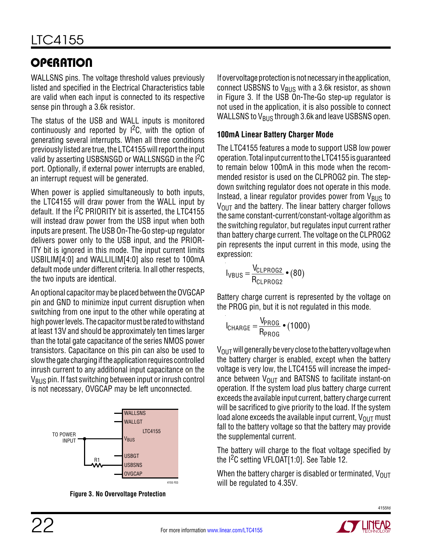WALLSNS pins. The voltage threshold values previously listed and specified in the Electrical Characteristics table are valid when each input is connected to its respective sense pin through a 3.6k resistor.

The status of the USB and WALL inputs is monitored continuously and reported by  $1^2C$ , with the option of generating several interrupts. When all three conditions previously listed are true, the LTC4155 will report the input valid by asserting USBSNSGD or WALLSNSGD in the <sup>12</sup>C port. Optionally, if external power interrupts are enabled, an interrupt request will be generated.

When power is applied simultaneously to both inputs, the LTC4155 will draw power from the WALL input by default. If the <sup>2</sup>C PRIORITY bit is asserted, the LTC4155 will instead draw power from the USB input when both inputs are present. The USB On-The-Go step-up regulator delivers power only to the USB input, and the PRIOR-ITY bit is ignored in this mode. The input current limits USBILIM[4:0] and WALLILIM[4:0] also reset to 100mA default mode under different criteria. In all other respects, the two inputs are identical.

An optional capacitor may be placed between the OVGCAP pin and GND to minimize input current disruption when switching from one input to the other while operating at high power levels. The capacitor must be rated to withstand at least 13V and should be approximately ten times larger than the total gate capacitance of the series NMOS power transistors. Capacitance on this pin can also be used to slow the gate charging if the application requires controlled inrush current to any additional input capacitance on the V<sub>BUS</sub> pin. If fast switching between input or inrush control is not necessary, OVGCAP may be left unconnected.



**Figure 3. No Overvoltage Protection**

If overvoltage protection is not necessary in the application, connect USBSNS to  $V_{BUS}$  with a 3.6k resistor, as shown in Figure 3. If the USB On-The-Go step-up regulator is not used in the application, it is also possible to connect WALLSNS to  $V_{\text{BUS}}$  through 3.6k and leave USBSNS open.

### **100mA Linear Battery Charger Mode**

The LTC4155 features a mode to support USB low power operation. Total input current to the LTC4155 is quaranteed to remain below 100mA in this mode when the recommended resistor is used on the CLPROG2 pin. The stepdown switching regulator does not operate in this mode. Instead, a linear regulator provides power from  $V_{\text{BUS}}$  to  $V<sub>OUT</sub>$  and the battery. The linear battery charger follows the same constant-current/constant-voltage algorithm as the switching regulator, but regulates input current rather than battery charge current. The voltage on the CLPROG2 pin represents the input current in this mode, using the expression:

$$
I_{VBUS} = \frac{V_{CLPROG2}}{R_{CLPROG2}} \bullet (80)
$$

Battery charge current is represented by the voltage on the PROG pin, but it is not regulated in this mode.

$$
I_{\text{CHARGE}} = \frac{V_{\text{PROG}}}{R_{\text{PROG}}} \bullet (1000)
$$

 $V_{\text{OUT}}$  will generally be very close to the battery voltage when the battery charger is enabled, except when the battery voltage is very low, the LTC4155 will increase the impedance between  $V_{\text{OUT}}$  and BATSNS to facilitate instant-on operation. If the system load plus battery charge current exceeds the available input current, battery charge current will be sacrificed to give priority to the load. If the system load alone exceeds the available input current,  $V_{OUT}$  must fall to the battery voltage so that the battery may provide the supplemental current.

The battery will charge to the float voltage specified by the I2C setting VFLOAT[1:0]. See Table 12.

When the battery charger is disabled or terminated,  $V_{OUT}$ will be regulated to 4.35V.

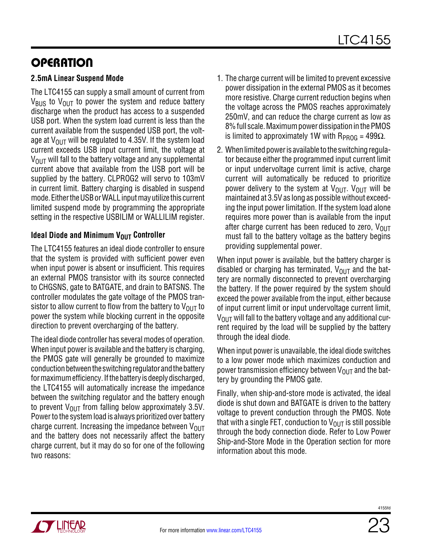### **2.5mA Linear Suspend Mode**

The LTC4155 can supply a small amount of current from  $V_{\text{BUS}}$  to  $V_{\text{OUT}}$  to power the system and reduce battery discharge when the product has access to a suspended USB port. When the system load current is less than the current available from the suspended USB port, the voltage at  $V_{\text{OUT}}$  will be regulated to 4.35V. If the system load current exceeds USB input current limit, the voltage at  $V_{\text{OUT}}$  will fall to the battery voltage and any supplemental current above that available from the USB port will be supplied by the battery. CLPROG2 will servo to 103mV in current limit. Battery charging is disabled in suspend mode. Either the USB or WALL input may utilize this current limited suspend mode by programming the appropriate setting in the respective USBILIM or WALLILIM register.

#### **Ideal Diode and Minimum V<sub>OUT</sub> Controller**

The LTC4155 features an ideal diode controller to ensure that the system is provided with sufficient power even when input power is absent or insufficient. This requires an external PMOS transistor with its source connected to CHGSNS, gate to BATGATE, and drain to BATSNS. The controller modulates the gate voltage of the PMOS transistor to allow current to flow from the battery to  $V_{\text{OUT}}$  to power the system while blocking current in the opposite direction to prevent overcharging of the battery.

The ideal diode controller has several modes of operation. When input power is available and the battery is charging, the PMOS gate will generally be grounded to maximize conduction between the switching regulator and the battery for maximum efficiency. If the battery is deeply discharged, the LTC4155 will automatically increase the impedance between the switching regulator and the battery enough to prevent  $V_{\text{OUT}}$  from falling below approximately 3.5V. Power to the system load is always prioritized over battery charge current. Increasing the impedance between  $V_{\text{OUT}}$ and the battery does not necessarily affect the battery charge current, but it may do so for one of the following two reasons:

- 1. The charge current will be limited to prevent excessive power dissipation in the external PMOS as it becomes more resistive. Charge current reduction begins when the voltage across the PMOS reaches approximately 250mV, and can reduce the charge current as low as 8% full scale. Maximumpowerdissipation inthePMOS is limited to approximately 1W with  $R_{PROG} = 499\Omega$ .
- 2. When limited power is available to the switching regulator because either the programmed input current limit or input undervoltage current limit is active, charge current will automatically be reduced to prioritize power delivery to the system at  $V_{\text{OUT}}$ .  $V_{\text{OUT}}$  will be maintained at 3.5V as long as possible without exceeding the input power limitation. If the system load alone requires more power than is available from the input after charge current has been reduced to zero,  $V_{\text{OUT}}$ must fall to the battery voltage as the battery begins providing supplemental power.

When input power is available, but the battery charger is disabled or charging has terminated,  $V_{\text{OUT}}$  and the battery are normally disconnected to prevent overcharging the battery. If the power required by the system should exceed the power available from the input, either because of input current limit or input undervoltage current limit,  $V_{\text{OUT}}$  will fall to the battery voltage and any additional current required by the load will be supplied by the battery through the ideal diode.

When input power is unavailable, the ideal diode switches to a low power mode which maximizes conduction and power transmission efficiency between  $V_{\text{OUT}}$  and the battery by grounding the PMOS gate.

Finally, when ship-and-store mode is activated, the ideal diode is shut down and BATGATE is driven to the battery voltage to prevent conduction through the PMOS. Note that with a single FET, conduction to  $V_{OUT}$  is still possible through the body connection diode. Refer to Low Power Ship-and-Store Mode in the Operation section for more information about this mode.

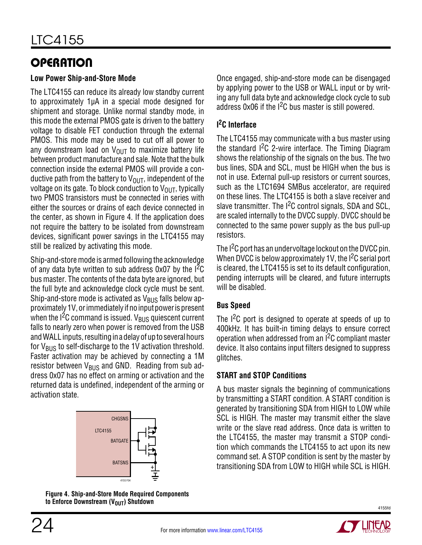#### **Low Power Ship-and-Store Mode**

The LTC4155 can reduce its already low standby current to approximately 1µA in a special mode designed for shipment and storage. Unlike normal standby mode, in this mode the external PMOS gate is driven to the battery voltage to disable FET conduction through the external PMOS. This mode may be used to cut off all power to any downstream load on  $V_{\text{OUT}}$  to maximize battery life between product manufacture and sale. Note that the bulk connection inside the external PMOS will provide a conductive path from the battery to  $V_{\text{OUT}}$ , independent of the voltage on its gate. To block conduction to  $V_{\text{OUT}}$ , typically two PMOS transistors must be connected in series with either the sources or drains of each device connected in the center, as shown in Figure 4. If the application does not require the battery to be isolated from downstream devices, significant power savings in the LTC4155 may still be realized by activating this mode.

Ship-and-store mode is armed following the acknowledge of any data byte written to sub address  $0 \times 07$  by the  $1^{2}C$ bus master. The contents of the data byte are ignored, but the full byte and acknowledge clock cycle must be sent. Ship-and-store mode is activated as  $V_{BUS}$  falls below approximately 1V, or immediately if no input power is present when the I<sup>2</sup>C command is issued. V<sub>BUS</sub> quiescent current falls to nearly zero when power is removed from the USB and WALL inputs, resulting in a delay of up to several hours for  $V_{BUS}$  to self-discharge to the 1V activation threshold. Faster activation may be achieved by connecting a 1M resistor between  $V_{BUS}$  and GND. Reading from sub address 0x07 has no effect on arming or activation and the returned data is undefined, independent of the arming or activation state.



**Figure 4. Ship-and-Store Mode Required Components**  to Enforce Downstream (V<sub>OUT</sub>) Shutdown

Once engaged, ship-and-store mode can be disengaged by applying power to the USB or WALL input or by writing any full data byte and acknowledge clock cycle to sub address  $0x06$  if the  $12C$  bus master is still powered.

### **I 2C Interface**

The LTC4155 may communicate with a bus master using the standard I2C 2-wire interface. The Timing Diagram shows the relationship of the signals on the bus. The two bus lines, SDA and SCL, must be HIGH when the bus is not in use. External pull-up resistors or current sources, such as the LTC1694 SMBus accelerator, are required on these lines. The LTC4155 is both a slave receiver and slave transmitter. The I<sup>2</sup>C control signals, SDA and SCL, are scaled internally to the DVCC supply. DVCC should be connected to the same power supply as the bus pull-up resistors.

The I<sup>2</sup>C port has an undervoltage lockout on the DVCC pin. When DVCC is below approximately 1V, the I<sup>2</sup>C serial port is cleared, the LTC4155 is set to its default configuration, pending interrupts will be cleared, and future interrupts will be disabled.

### **Bus Speed**

The  $1^2C$  port is designed to operate at speeds of up to 400kHz. It has built-in timing delays to ensure correct operation when addressed from an I2C compliant master device. It also contains input filters designed to suppress glitches.

### **START and STOP Conditions**

A bus master signals the beginning of communications by transmitting a START condition. A START condition is generated by transitioning SDA from HIGH to LOW while SCL is HIGH. The master may transmit either the slave write or the slave read address. Once data is written to the LTC4155, the master may transmit a STOP condition which commands the LTC4155 to act upon its new command set. A STOP condition is sent by the master by transitioning SDA from LOW to HIGH while SCL is HIGH.

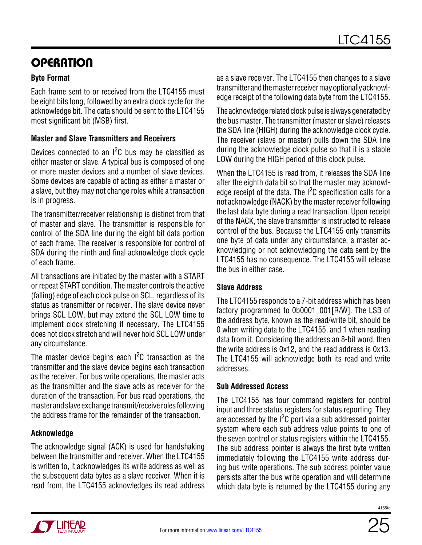### **Byte Format**

Each frame sent to or received from the LTC4155 must be eight bits long, followed by an extra clock cycle for the acknowledge bit. The data should be sent to the LTC4155 most significant bit (MSB) first.

#### **Master and Slave Transmitters and Receivers**

Devices connected to an  $1^2C$  bus may be classified as either master or slave. A typical bus is composed of one or more master devices and a number of slave devices. Some devices are capable of acting as either a master or a slave, but they may not change roles while a transaction is in progress.

The transmitter/receiver relationship is distinct from that of master and slave. The transmitter is responsible for control of the SDA line during the eight bit data portion of each frame. The receiver is responsible for control of SDA during the ninth and final acknowledge clock cycle of each frame.

All transactions are initiated by the master with a START or repeat START condition. The master controls the active (falling) edge of each clock pulse on SCL, regardless of its status as transmitter or receiver. The slave device never brings SCL LOW, but may extend the SCL LOW time to implement clock stretching if necessary. The LTC4155 does not clock stretch and will never hold SCL LOW under any circumstance.

The master device begins each  $1^2C$  transaction as the transmitter and the slave device begins each transaction as the receiver. For bus write operations, the master acts as the transmitter and the slave acts as receiver for the duration of the transaction. For bus read operations, the masterandslaveexchangetransmit/receiverolesfollowing the address frame for the remainder of the transaction.

### **Acknowledge**

The acknowledge signal (ACK) is used for handshaking between the transmitter and receiver. When the LTC4155 is written to, it acknowledges its write address as well as the subsequent data bytes as a slave receiver. When it is read from, the LTC4155 acknowledges its read address

as a slave receiver. The LTC4155 then changes to a slave transmitterandthemasterreceivermayoptionallyacknowledge receipt of the following data byte from the LTC4155.

The acknowledge related clock pulse is always generated by the bus master. The transmitter (master or slave) releases the SDA line (HIGH) during the acknowledge clock cycle. The receiver (slave or master) pulls down the SDA line during the acknowledge clock pulse so that it is a stable LOW during the HIGH period of this clock pulse.

When the LTC4155 is read from, it releases the SDA line after the eighth data bit so that the master may acknowledge receipt of the data. The  $I^2C$  specification calls for a not acknowledge (NACK) by the master receiver following the last data byte during a read transaction. Upon receipt of the NACK, the slave transmitter is instructed to release control of the bus. Because the LTC4155 only transmits one byte of data under any circumstance, a master acknowledging or not acknowledging the data sent by the LTC4155 has no consequence. The LTC4155 will release the bus in either case.

### **Slave Address**

The LTC4155 responds to a 7-bit address which has been factory programmed to 0b0001  $001[R/\overline{W}]$ . The LSB of the address byte, known as the read/write bit, should be 0 when writing data to the LTC4155, and 1 when reading data from it. Considering the address an 8-bit word, then the write address is 0x12, and the read address is 0x13. The LTC4155 will acknowledge both its read and write addresses.

### **Sub Addressed Access**

The LTC4155 has four command registers for control input and three status registers for status reporting. They are accessed by the  $1<sup>2</sup>C$  port via a sub addressed pointer system where each sub address value points to one of the seven control or status registers within the LTC4155. The sub address pointer is always the first byte written immediately following the LTC4155 write address during bus write operations. The sub address pointer value persists after the bus write operation and will determine which data byte is returned by the LTC4155 during any

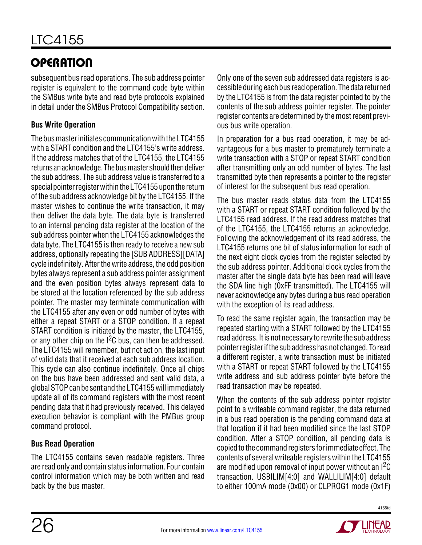subsequent bus read operations. The sub address pointer register is equivalent to the command code byte within the SMBus write byte and read byte protocols explained in detail under the SMBus Protocol Compatibility section.

### **Bus Write Operation**

The bus master initiates communication with the LTC4155 with a START condition and the LTC4155's write address. If the address matches that of the LTC4155, the LTC4155 returnsanacknowledge. Thebusmastershouldthendeliver the sub address. The sub address value is transferred to a special pointer register within the LTC4155 upon the return of the sub address acknowledge bit by the LTC4155. If the master wishes to continue the write transaction, it may then deliver the data byte. The data byte is transferred to an internal pending data register at the location of the sub address pointer when the LTC4155 acknowledges the data byte. The LTC4155 is then ready to receive a new sub address, optionally repeating the [SUB ADDRESS][DATA] cycle indefinitely. After the write address, the odd position bytes always represent a sub address pointer assignment and the even position bytes always represent data to be stored at the location referenced by the sub address pointer. The master may terminate communication with the LTC4155 after any even or odd number of bytes with either a repeat START or a STOP condition. If a repeat START condition is initiated by the master, the LTC4155, or any other chip on the  $1^2C$  bus, can then be addressed. The LTC4155 will remember, but not act on, the last input of valid data that it received at each sub address location. This cycle can also continue indefinitely. Once all chips on the bus have been addressed and sent valid data, a global STOP can be sent and the LTC4155 will immediately update all of its command registers with the most recent pending data that it had previously received. This delayed execution behavior is compliant with the PMBus group command protocol.

### **Bus Read Operation**

The LTC4155 contains seven readable registers. Three are read only and contain status information. Four contain control information which may be both written and read back by the bus master.

Only one of the seven sub addressed data registers is accessible during each bus read operation. The data returned by the LTC4155 is from the data register pointed to by the contents of the sub address pointer register. The pointer register contents are determined by the most recent previous bus write operation.

In preparation for a bus read operation, it may be advantageous for a bus master to prematurely terminate a write transaction with a STOP or repeat START condition after transmitting only an odd number of bytes. The last transmitted byte then represents a pointer to the register of interest for the subsequent bus read operation.

The bus master reads status data from the LTC4155 with a START or repeat START condition followed by the LTC4155 read address. If the read address matches that of the LTC4155, the LTC4155 returns an acknowledge. Following the acknowledgement of its read address, the LTC4155 returns one bit of status information for each of the next eight clock cycles from the register selected by the sub address pointer. Additional clock cycles from the master after the single data byte has been read will leave the SDA line high (0xFF transmitted). The LTC4155 will never acknowledge any bytes during a bus read operation with the exception of its read address.

To read the same register again, the transaction may be repeated starting with a START followed by the LTC4155 read address. It is not necessary to rewrite the sub address pointerregisterifthe subaddresshasnot changed. Toread a different register, a write transaction must be initiated with a START or repeat START followed by the LTC4155 write address and sub address pointer byte before the read transaction may be repeated.

When the contents of the sub address pointer register point to a writeable command register, the data returned in a bus read operation is the pending command data at that location if it had been modified since the last STOP condition. After a STOP condition, all pending data is copied to the command registers for immediate effect. The contents of several writeable registers within the LTC4155 are modified upon removal of input power without an  ${}^{12}C$ transaction. USBILIM[4:0] and WALLILIM[4:0] default to either 100mA mode (0x00) or CLPROG1 mode (0x1F)

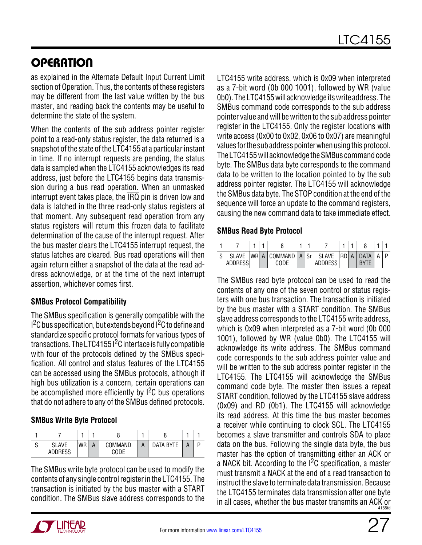as explained in the Alternate Default Input Current Limit section of Operation. Thus, the contents of these registers may be different from the last value written by the bus master, and reading back the contents may be useful to determine the state of the system.

When the contents of the sub address pointer register point to a read-only status register, the data returned is a snapshot of the state of the LTC4155 at a particular instant in time. If no interrupt requests are pending, the status data is sampled when the LTC4155 acknowledges its read address, just before the LTC4155 begins data transmission during a bus read operation. When an unmasked interrupt event takes place, the  $\overline{\text{IRQ}}$  pin is driven low and data is latched in the three read-only status registers at that moment. Any subsequent read operation from any status registers will return this frozen data to facilitate determination of the cause of the interrupt request. After the bus master clears the LTC4155 interrupt request, the status latches are cleared. Bus read operations will then again return either a snapshot of the data at the read address acknowledge, or at the time of the next interrupt assertion, whichever comes first.

### **SMBus Protocol Compatibility**

The SMBus specification is generally compatible with the  $1<sup>2</sup>C$  bus specification, but extends beyond  $1<sup>2</sup>C$  to define and standardize specific protocol formats for various types of transactions. The LTC4155 I<sup>2</sup>C interface is fully compatible with four of the protocols defined by the SMBus specification. All control and status features of the LTC4155 can be accessed using the SMBus protocols, although if high bus utilization is a concern, certain operations can be accomplished more efficiently by  $1^2C$  bus operations that do not adhere to any of the SMBus defined protocols.

### **SMBus Write Byte Protocol**

| ົ<br>ں | <b>SLAVE</b><br><b>ADDRESS</b> | <b>WR</b> | А | COMMAND<br>CODE | <b>DATA RYTE</b> |  |
|--------|--------------------------------|-----------|---|-----------------|------------------|--|

The SMBus write byte protocol can be used to modify the contents of any single control register in the LTC4155. The transaction is initiated by the bus master with a START condition. The SMBus slave address corresponds to the LTC4155 write address, which is 0x09 when interpreted as a 7-bit word (0b 000 1001), followed by WR (value 0b0). TheLTC4155will acknowledge itswrite address. The SMBus command code corresponds to the sub address pointer value and will be written to the sub address pointer register in the LTC4155. Only the register locations with write access (0x00 to 0x02, 0x06 to 0x07) are meaningful values for the sub address pointer when using this protocol. The LTC4155 will acknowledge the SMBus command code byte. The SMBus data byte corresponds to the command data to be written to the location pointed to by the sub address pointer register. The LTC4155 will acknowledge the SMBus data byte. The STOP condition at the end of the sequence will force an update to the command registers, causing the new command data to take immediate effect.

#### **SMBus Read Byte Protocol**

| <b>SLAVE</b><br><b>ADDRESS</b> | <b>IWR</b> | А | <b>COMMAND</b><br>CODE | A | l Srl | <b>SLAVE</b><br><b>ADDRESS</b> | IRD | A | <b>DATA</b><br><b>RVTF</b> |  |
|--------------------------------|------------|---|------------------------|---|-------|--------------------------------|-----|---|----------------------------|--|

4155fd The SMBus read byte protocol can be used to read the contents of any one of the seven control or status registers with one bus transaction. The transaction is initiated by the bus master with a START condition. The SMBus slave address corresponds to the LTC4155 write address, which is 0x09 when interpreted as a 7-bit word (0b 000 1001), followed by WR (value 0b0). The LTC4155 will acknowledge its write address. The SMBus command code corresponds to the sub address pointer value and will be written to the sub address pointer register in the LTC4155. The LTC4155 will acknowledge the SMBus command code byte. The master then issues a repeat START condition, followed by the LTC4155 slave address (0x09) and RD (0b1). The LTC4155 will acknowledge its read address. At this time the bus master becomes a receiver while continuing to clock SCL. The LTC4155 becomes a slave transmitter and controls SDA to place data on the bus. Following the single data byte, the bus master has the option of transmitting either an ACK or a NACK bit. According to the  $1^2C$  specification, a master must transmit a NACK at the end of a read transaction to instruct the slave to terminate data transmission. Because the LTC4155 terminates data transmission after one byte in all cases, whether the bus master transmits an ACK or

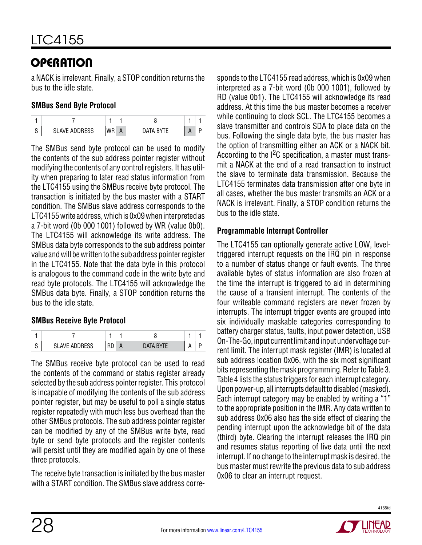# Operation

a NACK is irrelevant. Finally, a STOP condition returns the bus to the idle state.

### **SMBus Send Byte Protocol**

| ົ<br>U | <b>SLAVE ADDRESS</b> | WR | ′ ∆AT آ | $\mathbf{v}$ |  |
|--------|----------------------|----|---------|--------------|--|

The SMBus send byte protocol can be used to modify the contents of the sub address pointer register without modifying the contents of any control registers. It has utility when preparing to later read status information from the LTC4155 using the SMBus receive byte protocol. The transaction is initiated by the bus master with a START condition. The SMBus slave address corresponds to the LTC4155 write address, which is 0x09 when interpreted as a 7-bit word (0b 000 1001) followed by WR (value 0b0). The LTC4155 will acknowledge its write address. The SMBus data byte corresponds to the sub address pointer value and will be written to the sub address pointer register in the LTC4155. Note that the data byte in this protocol is analogous to the command code in the write byte and read byte protocols. The LTC4155 will acknowledge the SMBus data byte. Finally, a STOP condition returns the bus to the idle state.

### **SMBus Receive Byte Protocol**

| ົ<br>. . | VE ADDRESS | . | $\mathbf{I}$ |  |  |
|----------|------------|---|--------------|--|--|

The SMBus receive byte protocol can be used to read the contents of the command or status register already selected by the sub address pointer register. This protocol is incapable of modifying the contents of the sub address pointer register, but may be useful to poll a single status register repeatedly with much less bus overhead than the other SMBus protocols. The sub address pointer register can be modified by any of the SMBus write byte, read byte or send byte protocols and the register contents will persist until they are modified again by one of these three protocols.

The receive byte transaction is initiated by the bus master with a START condition. The SMBus slave address corresponds to the LTC4155 read address, which is 0x09 when interpreted as a 7-bit word (0b 000 1001), followed by RD (value 0b1). The LTC4155 will acknowledge its read address. At this time the bus master becomes a receiver while continuing to clock SCL. The LTC4155 becomes a slave transmitter and controls SDA to place data on the bus. Following the single data byte, the bus master has the option of transmitting either an ACK or a NACK bit. According to the  $1^2C$  specification, a master must transmit a NACK at the end of a read transaction to instruct the slave to terminate data transmission. Because the LTC4155 terminates data transmission after one byte in all cases, whether the bus master transmits an ACK or a NACK is irrelevant. Finally, a STOP condition returns the bus to the idle state.

#### **Programmable Interrupt Controller**

The LTC4155 can optionally generate active LOW, leveltriggered interrupt requests on the  $\overline{\text{IRQ}}$  pin in response to a number of status change or fault events. The three available bytes of status information are also frozen at the time the interrupt is triggered to aid in determining the cause of a transient interrupt. The contents of the four writeable command registers are never frozen by interrupts. The interrupt trigger events are grouped into six individually maskable categories corresponding to battery charger status, faults, input power detection, USB On-The-Go, input current limit and input undervoltage current limit. The interrupt mask register (IMR) is located at sub address location 0x06, with the six most significant bits representing the mask programming. Refer to Table 3. Table 4 lists the status triggers for each interrupt category. Upon power-up, all interrupts default to disabled (masked). Each interrupt category may be enabled by writing a "1" to the appropriate position in the IMR. Any data written to sub address 0x06 also has the side effect of clearing the pending interrupt upon the acknowledge bit of the data (third) byte. Clearing the interrupt releases the  $\overline{IRQ}$  pin and resumes status reporting of live data until the next interrupt. If no change to the interrupt mask is desired, the bus master must rewrite the previous data to sub address 0x06 to clear an interrupt request.

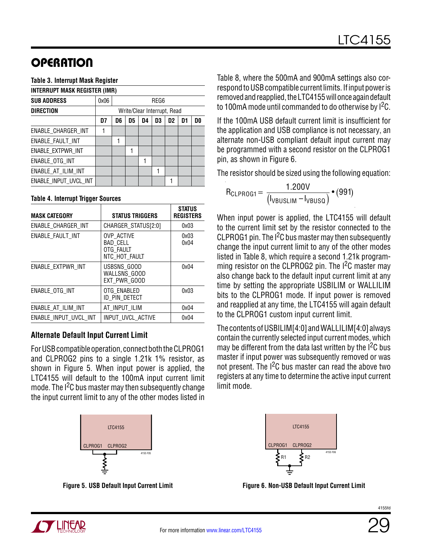#### **Table 3. Interrupt Mask Register**

| <b>INTERRUPT MASK REGISTER (IMR)</b>                                 |   |  |  |  |  |  |                             |  |  |
|----------------------------------------------------------------------|---|--|--|--|--|--|-----------------------------|--|--|
| 0x06<br>REG6                                                         |   |  |  |  |  |  |                             |  |  |
|                                                                      |   |  |  |  |  |  |                             |  |  |
| D3<br>D7<br>D5<br>D4<br>D <sub>2</sub><br>D <sub>1</sub><br>D0<br>D6 |   |  |  |  |  |  |                             |  |  |
|                                                                      |   |  |  |  |  |  |                             |  |  |
|                                                                      | 1 |  |  |  |  |  |                             |  |  |
|                                                                      |   |  |  |  |  |  |                             |  |  |
|                                                                      |   |  |  |  |  |  |                             |  |  |
|                                                                      |   |  |  |  |  |  |                             |  |  |
|                                                                      |   |  |  |  |  |  |                             |  |  |
|                                                                      |   |  |  |  |  |  | Write/Clear Interrupt, Read |  |  |

#### **Table 4. Interrupt Trigger Sources**

| <b>MASK CATEGORY</b>  | <b>STATUS TRIGGERS</b>                               | <b>STATUS</b><br><b>REGISTERS</b> |
|-----------------------|------------------------------------------------------|-----------------------------------|
| ENABLE CHARGER INT    | CHARGER_STATUS[2:0]                                  | 0x03                              |
| ENABLE FAULT INT      | OVP ACTIVE<br>BAD_CELL<br>OTG FAULT<br>NTC HOT FAULT | 0x03<br>0x04                      |
| ENABLE EXTPWR INT     | USBSNS GOOD<br>WALLSNS GOOD<br>EXT PWR GOOD          | 0x04                              |
| ENABLE OTG INT        | OTG ENABLED<br>id pin detect                         | 0x03                              |
| ENABLE_AT_ILIM_INT    | AT INPUT ILIM                                        | 0x04                              |
| ENABLE INPUT UVCL INT | INPUT UVCL ACTIVE                                    | 0x04                              |

#### **Alternate Default Input Current Limit**

For USB compatible operation, connect both the CLPROG1 and CLPROG2 pins to a single 1.21k 1% resistor, as shown in Figure 5. When input power is applied, the LTC4155 will default to the 100mA input current limit mode. The  $1<sup>2</sup>C$  bus master may then subsequently change the input current limit to any of the other modes listed in



**Figure 5. USB Default Input Current Limit**

Table 8, where the 500mA and 900mA settings also correspond to USB compatible current limits. If input power is removed and reapplied, the LTC4155 will once again default to 100mA mode until commanded to do otherwise by  $1<sup>2</sup>C$ .

If the 100mA USB default current limit is insufficient for the application and USB compliance is not necessary, an alternate non-USB compliant default input current may be programmed with a second resistor on the CLPROG1 pin, as shown in Figure 6.

The resistor should be sized using the following equation:

$$
R_{CLPROG1} = \frac{1.200V}{(I_{VBUSLIM} - I_{VBUSQ})} \bullet (991)
$$

When input power is applied, the LTC4155 will default to the current limit set by the resistor connected to the CLPROG1 pin. The I<sup>2</sup>C bus master may then subsequently change the input current limit to any of the other modes listed in Table 8, which require a second 1.21k programming resistor on the CLPROG2 pin. The I<sup>2</sup>C master may also change back to the default input current limit at any time by setting the appropriate USBILIM or WALLILIM bits to the CLPROG1 mode. If input power is removed and reapplied at any time, the LTC4155 will again default to the CLPROG1 custom input current limit.

The contents of USBILIM[4:0] and WALLILIM[4:0] always contain the currently selected input current modes, which may be different from the data last written by the  $1^2C$  bus master if input power was subsequently removed or was not present. The  $1^2C$  bus master can read the above two registers at any time to determine the active input current limit mode.



**Figure 6. Non-USB Default Input Current Limit**

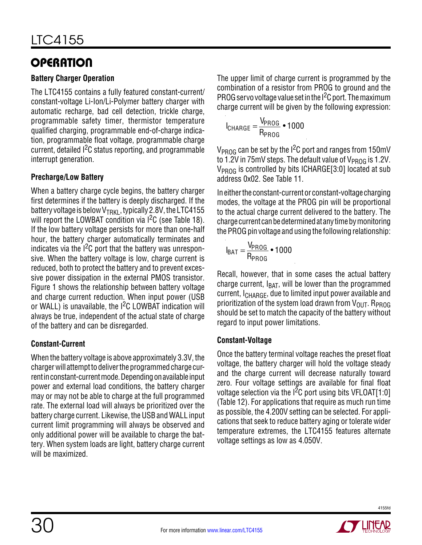### **Battery Charger Operation**

The LTC4155 contains a fully featured constant-current/ constant-voltage Li-Ion/Li-Polymer battery charger with automatic recharge, bad cell detection, trickle charge, programmable safety timer, thermistor temperature qualified charging, programmable end-of-charge indication, programmable float voltage, programmable charge current, detailed <sup>2</sup>C status reporting, and programmable interrupt generation.

### **Precharge/Low Battery**

When a battery charge cycle begins, the battery charger first determines if the battery is deeply discharged. If the battery voltage is below  $V_{TRK1}$ , typically 2.8V, the LTC4155 will report the LOWBAT condition via  $1^2C$  (see Table 18). If the low battery voltage persists for more than one-half hour, the battery charger automatically terminates and indicates via the  $1<sup>2</sup>C$  port that the battery was unresponsive. When the battery voltage is low, charge current is reduced, both to protect the battery and to prevent excessive power dissipation in the external PMOS transistor. Figure 1 shows the relationship between battery voltage and charge current reduction. When input power (USB or WALL) is unavailable, the  $1<sup>2</sup>C$  LOWBAT indication will always be true, independent of the actual state of charge of the battery and can be disregarded.

### **Constant-Current**

When the battery voltage is above approximately 3.3V, the charger will attempt to deliver the programmed charge current in constant-current mode. Depending on available input power and external load conditions, the battery charger may or may not be able to charge at the full programmed rate. The external load will always be prioritized over the battery charge current. Likewise, the USB and WALL input current limit programming will always be observed and only additional power will be available to charge the battery. When system loads are light, battery charge current will be maximized.

The upper limit of charge current is programmed by the combination of a resistor from PROG to ground and the PROG servo voltage value set in the I<sup>2</sup>C port. The maximum charge current will be given by the following expression:

$$
I_{\text{CHARGE}} = \frac{V_{\text{PROG}}}{R_{\text{PROG}}} \cdot 1000
$$

 $V_{\text{PROG}}$  can be set by the I<sup>2</sup>C port and ranges from 150mV to 1.2V in 75mV steps. The default value of  $V_{PROG}$  is 1.2V.  $V_{PROG}$  is controlled by bits ICHARGE[3:0] located at sub address 0x02. See Table 11.

In either the constant-current or constant-voltage charging modes, the voltage at the PROG pin will be proportional to the actual charge current delivered to the battery. The charge current can be determined at any time by monitoring the PROG pin voltage and using the following relationship:

$$
I_{BAT} = \frac{V_{PROG}}{R_{PROG}} \cdot 1000
$$

Recall, however, that in some cases the actual battery charge current,  $I<sub>BAT</sub>$ , will be lower than the programmed current, I<sub>CHARGE</sub>, due to limited input power available and prioritization of the system load drawn from  $V_{OUT}$ . R<sub>PROG</sub> should be set to match the capacity of the battery without regard to input power limitations.

### **Constant-Voltage**

Once the battery terminal voltage reaches the preset float voltage, the battery charger will hold the voltage steady and the charge current will decrease naturally toward zero. Four voltage settings are available for final float voltage selection via the  $1^2C$  port using bits VFLOAT[1:0] (Table 12). For applications that require as much run time as possible, the 4.200V setting can be selected. For applications that seek to reduce battery aging or tolerate wider temperature extremes, the LTC4155 features alternate voltage settings as low as 4.050V.

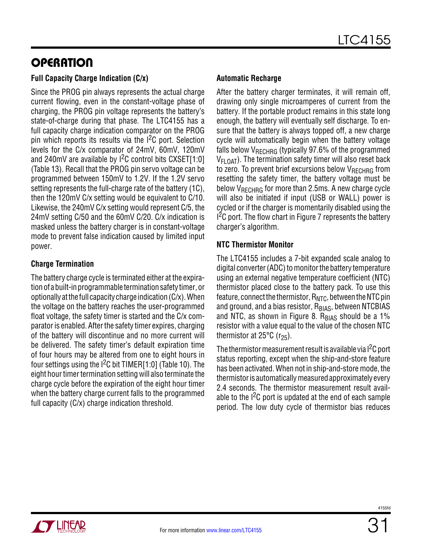#### **Full Capacity Charge Indication (C/x)**

Since the PROG pin always represents the actual charge current flowing, even in the constant-voltage phase of charging, the PROG pin voltage represents the battery's state-of-charge during that phase. The LTC4155 has a full capacity charge indication comparator on the PROG pin which reports its results via the  $1<sup>2</sup>C$  port. Selection levels for the C/x comparator of 24mV, 60mV, 120mV and 240mV are available by  $1^2C$  control bits CXSET[1:0] (Table 13). Recall that the PROG pin servo voltage can be programmed between 150mV to 1.2V. If the 1.2V servo setting represents the full-charge rate of the battery (1C), then the 120mV C/x setting would be equivalent to C/10. Likewise, the 240mV C/x setting would represent C/5, the 24mV setting C/50 and the 60mV C/20. C/x indication is masked unless the battery charger is in constant-voltage mode to prevent false indication caused by limited input power.

#### **Charge Termination**

The battery charge cycle is terminated either at the expiration of a built-in programmable termination safety timer, or optionally atthe full capacity charge indication (C/x). When the voltage on the battery reaches the user-programmed float voltage, the safety timer is started and the C/x comparator is enabled. After the safety timer expires, charging of the battery will discontinue and no more current will be delivered. The safety timer's default expiration time of four hours may be altered from one to eight hours in four settings using the  $12C$  bit TIMER[1:0] (Table 10). The eight hour timer termination setting will also terminate the charge cycle before the expiration of the eight hour timer when the battery charge current falls to the programmed full capacity (C/x) charge indication threshold.

#### **Automatic Recharge**

After the battery charger terminates, it will remain off, drawing only single microamperes of current from the battery. If the portable product remains in this state long enough, the battery will eventually self discharge. To ensure that the battery is always topped off, a new charge cycle will automatically begin when the battery voltage falls below  $V_{RFCHRG}$  (typically 97.6% of the programmed VFLOAT). The termination safety timer will also reset back to zero. To prevent brief excursions below  $V_{RFCHRG}$  from resetting the safety timer, the battery voltage must be below VRECHRG for more than 2.5ms. A new charge cycle will also be initiated if input (USB or WALL) power is cycled or if the charger is momentarily disabled using the  $1<sup>2</sup>C$  port. The flow chart in Figure 7 represents the battery charger's algorithm.

#### **NTC Thermistor Monitor**

The LTC4155 includes a 7-bit expanded scale analog to digital converter (ADC) to monitor the battery temperature using an external negative temperature coefficient (NTC) thermistor placed close to the battery pack. To use this feature, connect the thermistor,  $R_{NTC}$ , between the NTC pin and ground, and a bias resistor, R<sub>BIAS</sub>, between NTCBIAS and NTC, as shown in Figure 8.  $R_{B|AS}$  should be a 1% resistor with a value equal to the value of the chosen NTC thermistor at  $25^{\circ}$ C (r<sub>25</sub>).

The thermistor measurement result is available via  $1^2C$  port status reporting, except when the ship-and-store feature has been activated. When not in ship-and-store mode, the thermistoris automaticallymeasured approximately every 2.4 seconds. The thermistor measurement result available to the  $1<sup>2</sup>C$  port is updated at the end of each sample period. The low duty cycle of thermistor bias reduces

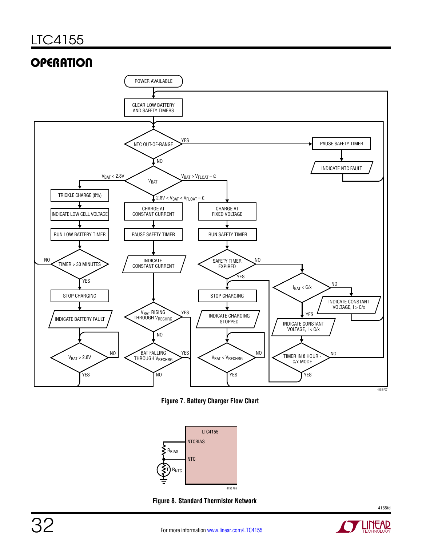

**Figure 7. Battery Charger Flow Chart**



**Figure 8. Standard Thermistor Network**

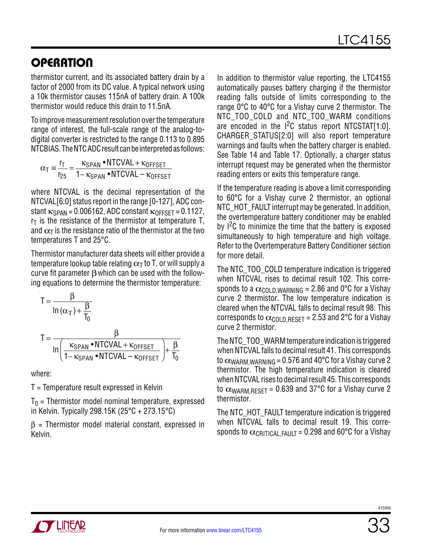thermistor current, and its associated battery drain by a factor of 2000 from its DC value. A typical network using a 10k thermistor causes 115nA of battery drain. A 100k thermistor would reduce this drain to 11.5nA.

To improve measurement resolution over the temperature range of interest, the full-scale range of the analog-todigital converter is restricted to the range 0.113 to 0.895 NTCBIAS. The NTC ADC result can be interpreted as follows:

$$
\alpha_{T} \equiv \frac{r_{T}}{r_{25}} = \frac{\kappa_{SPAN} \cdot \text{NTCVAL} + \kappa_{OFFSET}}{1 - \kappa_{SPAN} \cdot \text{NTCVAL} - \kappa_{OFFSET}}
$$

where NTCVAL is the decimal representation of the NTCVAL[6:0] status report in the range [0-127], ADC constant  $\kappa_{SPAN}$  = 0.006162, ADC constant  $\kappa_{OFFSFT}$  = 0.1127,  $r<sub>T</sub>$  is the resistance of the thermistor at temperature T, and  $\alpha$ <sub>T</sub> is the resistance ratio of the thermistor at the two temperatures T and 25°C.

Thermistor manufacturer data sheets will either provide a temperature lookup table relating  $\alpha_T$  to T, or will supply a curve fit parameter  $\beta$  which can be used with the following equations to determine the thermistor temperature:

$$
T = \frac{\beta}{\ln{(\alpha_{T}) + \frac{\beta}{T_0}}}
$$
  
\n
$$
T = \frac{\beta}{\ln{\left(\frac{\kappa_{SPAN} \cdot NTCVAL + \kappa_{OFFSET}}{1 - \kappa_{SPAN} \cdot NTCVAL - \kappa_{OFFSET}}\right) + \frac{\beta}{T_0}}}
$$

where:

T = Temperature result expressed in Kelvin

 $T_0$  = Thermistor model nominal temperature, expressed in Kelvin. Typically 298.15K (25°C + 273.15°C)

 $\beta$  = Thermistor model material constant, expressed in Kelvin.

In addition to thermistor value reporting, the LTC4155 automatically pauses battery charging if the thermistor reading falls outside of limits corresponding to the range 0°C to 40°C for a Vishay curve 2 thermistor. The NTC\_TOO\_COLD and NTC\_TOO\_WARM conditions are encoded in the  $1^2C$  status report NTCSTAT[1:0]. CHARGER\_STATUS[2:0] will also report temperature warnings and faults when the battery charger is enabled. See Table 14 and Table 17. Optionally, a charger status interrupt request may be generated when the thermistor reading enters or exits this temperature range.

If the temperature reading is above a limit corresponding to 60°C for a Vishay curve 2 thermistor, an optional NTC\_HOT\_FAULT interrupt may be generated. In addition, the overtemperature battery conditioner may be enabled by  $1^2C$  to minimize the time that the battery is exposed simultaneously to high temperature and high voltage. Refer to the Overtemperature Battery Conditioner section for more detail.

The NTC\_TOO\_COLD temperature indication is triggered when NTCVAL rises to decimal result 102. This corresponds to a  $\alpha_{\text{COLD,WRRNING}}$  = 2.86 and 0°C for a Vishay curve 2 thermistor. The low temperature indication is cleared when the NTCVAL falls to decimal result 98. This corresponds to  $\alpha_{\text{COI D, RFSFT}}$  = 2.53 and 2°C for a Vishay curve 2 thermistor.

The NTC\_TOO\_WARM temperature indication is triggered when NTCVAL falls to decimal result 41. This corresponds to  $\alpha_{\text{WARM WARMING}} = 0.576$  and 40°C for a Vishay curve 2 thermistor. The high temperature indication is cleared when NTCVAL rises to decimal result 45. This corresponds to  $\alpha_{\text{WARM.REST}}$  = 0.639 and 37°C for a Vishay curve 2 thermistor.

The NTC HOT FAULT temperature indication is triggered when NTCVAL falls to decimal result 19. This corresponds to  $\alpha_{\text{CRITICAL FALIT}} = 0.298$  and 60°C for a Vishay

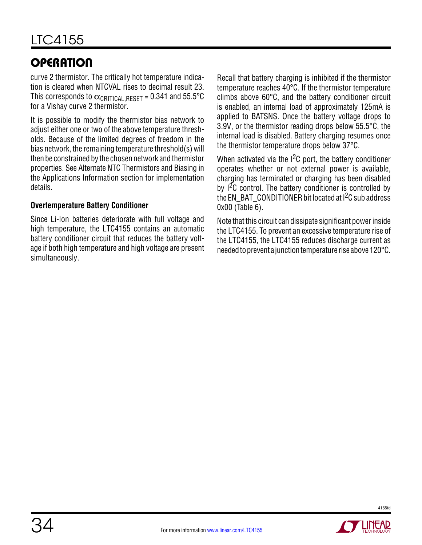curve 2 thermistor. The critically hot temperature indication is cleared when NTCVAL rises to decimal result 23. This corresponds to  $\alpha$ CRITICAL, RESET = 0.341 and 55.5°C for a Vishay curve 2 thermistor.

It is possible to modify the thermistor bias network to adjust either one or two of the above temperature thresholds. Because of the limited degrees of freedom in the bias network, the remaining temperature threshold(s) will then be constrained by the chosen network and thermistor properties. See Alternate NTC Thermistors and Biasing in the Applications Information section for implementation details.

#### **Overtemperature Battery Conditioner**

Since Li-Ion batteries deteriorate with full voltage and high temperature, the LTC4155 contains an automatic battery conditioner circuit that reduces the battery voltage if both high temperature and high voltage are present simultaneously.

Recall that battery charging is inhibited if the thermistor temperature reaches 40°C. If the thermistor temperature climbs above 60°C, and the battery conditioner circuit is enabled, an internal load of approximately 125mA is applied to BATSNS. Once the battery voltage drops to 3.9V, or the thermistor reading drops below 55.5°C, the internal load is disabled. Battery charging resumes once the thermistor temperature drops below 37°C.

When activated via the  $1<sup>2</sup>C$  port, the battery conditioner operates whether or not external power is available, charging has terminated or charging has been disabled by  $1^2C$  control. The battery conditioner is controlled by the EN\_BAT\_CONDITIONER bit located at  $1^2C$  sub address 0x00 (Table 6).

Note that this circuit can dissipate significant power inside the LTC4155. To prevent an excessive temperature rise of the LTC4155, the LTC4155 reduces discharge current as needed to prevent a junction temperature rise above 120°C.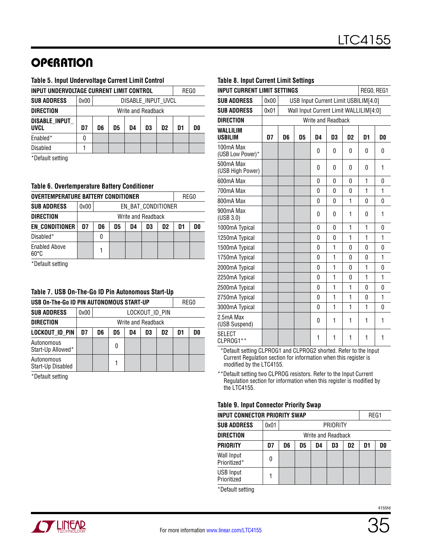#### **Table 5. Input Undervoltage Current Limit Control**

| INPUT UNDERVOLTAGE CURRENT LIMIT CONTROL           |                    |  |  |  |  |  |      |  |  |
|----------------------------------------------------|--------------------|--|--|--|--|--|------|--|--|
| 0x00                                               | DISABLE_INPUT_UVCL |  |  |  |  |  |      |  |  |
|                                                    | Write and Readback |  |  |  |  |  |      |  |  |
| D7<br>D5<br>D1<br>D6<br>D3<br>D <sub>2</sub><br>D4 |                    |  |  |  |  |  | D0   |  |  |
| 0                                                  |                    |  |  |  |  |  |      |  |  |
|                                                    |                    |  |  |  |  |  |      |  |  |
|                                                    |                    |  |  |  |  |  | REG0 |  |  |

\*Default setting

#### **Table 6. Overtemperature Battery Conditioner**

| <b>OVERTEMPERATURE BATTERY CONDITIONER</b> | REG0 |                                                    |  |  |  |  |  |  |  |
|--------------------------------------------|------|----------------------------------------------------|--|--|--|--|--|--|--|
| <b>SUB ADDRESS</b>                         | 0x00 | EN BAT CONDITIONER                                 |  |  |  |  |  |  |  |
| <b>DIRECTION</b>                           |      | Write and Readback                                 |  |  |  |  |  |  |  |
| <b>EN_CONDITIONER</b>                      | D7   | DO<br>D6<br>D5<br>D3<br>D1<br>D <sub>2</sub><br>D4 |  |  |  |  |  |  |  |
| Disabled*                                  |      | 0                                                  |  |  |  |  |  |  |  |
| <b>Enabled Above</b><br>$60^{\circ}$ C     |      |                                                    |  |  |  |  |  |  |  |

\*Default setting

#### **Table 7. USB On-The-Go ID Pin Autonomous Start-Up**

| USB On-The-Go ID PIN AUTONOMOUS START-UP |      | REG0                                               |   |  |  |  |  |  |  |  |
|------------------------------------------|------|----------------------------------------------------|---|--|--|--|--|--|--|--|
| <b>SUB ADDRESS</b>                       | 0x00 | LOCKOUT_ID_PIN                                     |   |  |  |  |  |  |  |  |
| <b>DIRECTION</b>                         |      | Write and Readback                                 |   |  |  |  |  |  |  |  |
| LOCKOUT ID PIN                           | D7   | D0<br>D3<br>D <sub>2</sub><br>D5<br>D6<br>D4<br>D1 |   |  |  |  |  |  |  |  |
| Autonomous<br>Start-Up Allowed*          |      |                                                    | 0 |  |  |  |  |  |  |  |
| Autonomous<br>Start-Up Disabled          |      |                                                    |   |  |  |  |  |  |  |  |

\*Default setting

#### **Table 8. Input Current Limit Settings**

| <b>INPUT CURRENT LIMIT SETTINGS</b><br>REGO, REG1<br>USB Input Current Limit USBILIM[4.0] |      |                    |                                              |              |              |              |              |          |  |  |  |  |
|-------------------------------------------------------------------------------------------|------|--------------------|----------------------------------------------|--------------|--------------|--------------|--------------|----------|--|--|--|--|
| <b>SUB ADDRESS</b>                                                                        | 0x00 |                    |                                              |              |              |              |              |          |  |  |  |  |
| <b>SUB ADDRESS</b>                                                                        | 0x01 |                    | Wall Input Current Limit WALLILIM[4:0]       |              |              |              |              |          |  |  |  |  |
| <b>DIRECTION</b>                                                                          |      | Write and Readback |                                              |              |              |              |              |          |  |  |  |  |
| WALLILIM<br><b>USBILIM</b>                                                                | D7   | D6                 | D5<br>D4<br>D3<br>D <sub>2</sub><br>D1<br>D0 |              |              |              |              |          |  |  |  |  |
| 100mA Max<br>(USB Low Power)*                                                             |      |                    |                                              | 0            | 0            | 0            | 0            | 0        |  |  |  |  |
| 500mA Max<br>(USB High Power)                                                             |      |                    |                                              | 0            | 0            | 0            | 0            | 1        |  |  |  |  |
| 600mA Max                                                                                 |      |                    |                                              | 0            | 0            | 0            | $\mathbf{1}$ | 0        |  |  |  |  |
| 700mA Max                                                                                 |      |                    |                                              | 1            | 1            |              |              |          |  |  |  |  |
| 800mA Max                                                                                 |      |                    |                                              | 0            | $\Omega$     |              |              |          |  |  |  |  |
| 900mA Max<br>(USE 3.0)                                                                    |      |                    |                                              | 0            | $\Omega$     | 1            | 0            | 1        |  |  |  |  |
| 1000mA Typical                                                                            |      |                    |                                              | 0            | 0            | 1            | 1            | 0        |  |  |  |  |
| 1250mA Typical                                                                            |      |                    |                                              | 0            | 0            | 1            | 1            | 1        |  |  |  |  |
| 1500mA Typical                                                                            |      |                    |                                              | $\Omega$     | 1            | $\Omega$     | $\Omega$     | $\Omega$ |  |  |  |  |
| 1750mA Typical                                                                            |      |                    |                                              | 0            | 1            | 0            | 0            | 1        |  |  |  |  |
| 2000mA Typical                                                                            |      |                    |                                              | 0            | 1            | $\mathbf{0}$ | 1            | 0        |  |  |  |  |
| 2250mA Typical                                                                            |      |                    |                                              | 0            | 1            | $\Omega$     | 1            | 1        |  |  |  |  |
| 2500mA Typical                                                                            |      |                    |                                              | 0            | $\mathbf{1}$ | 1            | 0            | 0        |  |  |  |  |
| 2750mA Typical                                                                            |      |                    |                                              | $\mathbf{0}$ | 1            | $\mathbf{1}$ | 0            | 1        |  |  |  |  |
| 3000mA Typical                                                                            |      |                    |                                              | 0            | 1            | 1            | 1            | 0        |  |  |  |  |
| 2.5mA Max<br>(USB Suspend)                                                                |      |                    |                                              | 0            | 1            | 1            | 1            | 1        |  |  |  |  |
| <b>SELECT</b><br>CLPROG1**                                                                |      |                    |                                              | 1            | 1            | 1            | 1            | 1        |  |  |  |  |

 \*Default setting CLPROG1 and CLPROG2 shorted. Refer to the Input Current Regulation section for information when this register is modified by the LTC4155.

\*\*Default setting two CLPROG resistors. Refer to the Input Current Regulation section for information when this register is modified by the LTC4155.

#### **Table 9. Input Connector Priority Swap**

| <b>INPUT CONNECTOR PRIORITY SWAP</b> |      |                                        |  |  |          |  |  | REG1 |  |
|--------------------------------------|------|----------------------------------------|--|--|----------|--|--|------|--|
| <b>SUB ADDRESS</b>                   | 0x01 |                                        |  |  | PRIORITY |  |  |      |  |
| <b>DIRECTION</b>                     |      | Write and Readback                     |  |  |          |  |  |      |  |
| <b>PRIORITY</b>                      | D7   | D5<br>D3<br>D0<br>D2<br>D6<br>D1<br>D4 |  |  |          |  |  |      |  |
| Wall Input<br>Prioritized*           | O    |                                        |  |  |          |  |  |      |  |
| <b>USB Input</b><br>Prioritized      |      |                                        |  |  |          |  |  |      |  |

\*Default setting

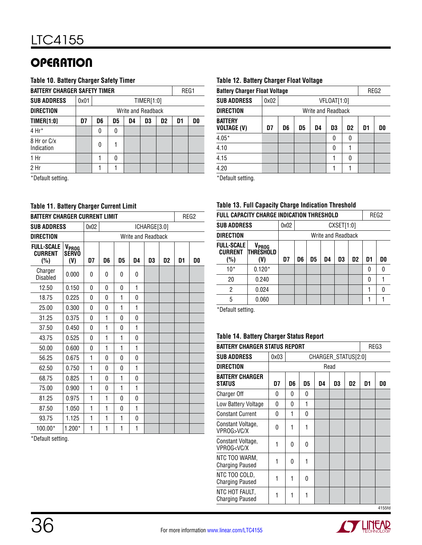#### **Table 10. Battery Charger Safety Timer**

|                           | <b>BATTERY CHARGER SAFETY TIMER</b> |                                                    |   |  |  |  |  |  |  |  |  |  |
|---------------------------|-------------------------------------|----------------------------------------------------|---|--|--|--|--|--|--|--|--|--|
| <b>SUB ADDRESS</b>        | 0x01                                | TIMER[1:0]                                         |   |  |  |  |  |  |  |  |  |  |
| <b>DIRECTION</b>          |                                     | Write and Readback                                 |   |  |  |  |  |  |  |  |  |  |
| <b>TIMER[1:0]</b>         | D7                                  | D5<br>D1<br>D6<br>D <sub>2</sub><br>D0<br>D4<br>D3 |   |  |  |  |  |  |  |  |  |  |
| $4 Hr^*$                  |                                     | 0                                                  | 0 |  |  |  |  |  |  |  |  |  |
| 8 Hr or C/x<br>Indication |                                     | 0                                                  |   |  |  |  |  |  |  |  |  |  |
| 1 <sub>hr</sub>           |                                     | 1<br>0                                             |   |  |  |  |  |  |  |  |  |  |
| 2 Hr                      |                                     |                                                    |   |  |  |  |  |  |  |  |  |  |
| $*$ Dofault cotting       |                                     |                                                    |   |  |  |  |  |  |  |  |  |  |

\*Default setting.

#### **Table 11. Battery Charger Current Limit**

| <b>BATTERY CHARGER CURRENT LIMIT</b>       |                                          |                    |              |              |              |              |                |    | REG2 |  |  |
|--------------------------------------------|------------------------------------------|--------------------|--------------|--------------|--------------|--------------|----------------|----|------|--|--|
| <b>SUB ADDRESS</b>                         |                                          | 0x02               |              |              |              | ICHARGE[3.0] |                |    |      |  |  |
| <b>DIRECTION</b>                           |                                          | Write and Readback |              |              |              |              |                |    |      |  |  |
| <b>FULL-SCALE</b><br><b>CURRENT</b><br>(%) | V <sub>PROG</sub><br><b>SERVO</b><br>(V) | D7                 | D6           | D5           | D4           | D3           | D <sub>2</sub> | D1 | D0   |  |  |
| Charger<br>Disabled                        | 0.000                                    | 0                  | 0            | 0            | 0            |              |                |    |      |  |  |
| 12.50                                      | 0.150                                    | 0                  | 0            | 0            | 1            |              |                |    |      |  |  |
| 18.75                                      | 0.225                                    | 0                  | 0            | $\mathbf{1}$ | 0            |              |                |    |      |  |  |
| 25.00                                      | 0.300                                    | 0                  | 0            | 1            | 1            |              |                |    |      |  |  |
| 31.25                                      | 0.375                                    | 0                  | 1            | 0            | $\mathbf{0}$ |              |                |    |      |  |  |
| 37.50                                      | 0.450                                    | 0                  | 1            | 0            | 1            |              |                |    |      |  |  |
| 43.75                                      | 0.525                                    | 0                  | 1            | 1            | 0            |              |                |    |      |  |  |
| 50.00                                      | 0.600                                    | 0                  | 1            | 1            | 1            |              |                |    |      |  |  |
| 56.25                                      | 0.675                                    | 1                  | 0            | 0            | $\mathbf{0}$ |              |                |    |      |  |  |
| 62.50                                      | 0.750                                    | 1                  | $\Omega$     | 0            | 1            |              |                |    |      |  |  |
| 68.75                                      | 0.825                                    | 1                  | $\Omega$     | 1            | 0            |              |                |    |      |  |  |
| 75.00                                      | 0.900                                    | 1                  | $\mathbf{0}$ | 1            | 1            |              |                |    |      |  |  |
| 81.25                                      | 0.975                                    | 1                  | 1            | 0            | 0            |              |                |    |      |  |  |
| 87.50                                      | 1.050                                    | 1                  | 1            | 0            | 1            |              |                |    |      |  |  |
| 93.75                                      | 1.125                                    | 1                  | 1            | 1            | 0            |              |                |    |      |  |  |
| 100.00*                                    | $1.200*$                                 | 1                  | 1            | $\mathbf{1}$ | 1            |              |                |    |      |  |  |

\*Default setting.

#### **Table 12. Battery Charger Float Voltage**

|                                      | REG2<br><b>Battery Charger Float Voltage</b> |                                                    |  |  |             |   |  |  |  |  |  |  |
|--------------------------------------|----------------------------------------------|----------------------------------------------------|--|--|-------------|---|--|--|--|--|--|--|
|                                      |                                              |                                                    |  |  |             |   |  |  |  |  |  |  |
| <b>SUB ADDRESS</b>                   | 0x02                                         |                                                    |  |  | VFLOAT[1:0] |   |  |  |  |  |  |  |
| <b>DIRECTION</b>                     |                                              | Write and Readback                                 |  |  |             |   |  |  |  |  |  |  |
| <b>BATTERY</b><br><b>VOLTAGE (V)</b> | D7                                           | D5<br>D3<br>D1<br>D6<br>D <sub>2</sub><br>D0<br>D4 |  |  |             |   |  |  |  |  |  |  |
| $4.05*$                              |                                              |                                                    |  |  | 0           | 0 |  |  |  |  |  |  |
| 4.10                                 |                                              |                                                    |  |  | 0           |   |  |  |  |  |  |  |
| 4.15                                 |                                              | 0                                                  |  |  |             |   |  |  |  |  |  |  |
| 4.20                                 |                                              |                                                    |  |  |             |   |  |  |  |  |  |  |
| $*$ Dafault aatting                  |                                              |                                                    |  |  |             |   |  |  |  |  |  |  |

\*Default setting.

#### **Table 13. Full Capacity Charge Indication Threshold**

|                                            | <b>FULL CAPACITY CHARGE INDICATION THRESHOLD</b> |                    |    |    |    |    |                |    |    |  |
|--------------------------------------------|--------------------------------------------------|--------------------|----|----|----|----|----------------|----|----|--|
| <b>SUB ADDRESS</b>                         |                                                  | 0x02<br>CXSET[1:0] |    |    |    |    |                |    |    |  |
| <b>DIRECTION</b>                           |                                                  | Write and Readback |    |    |    |    |                |    |    |  |
| <b>FULL-SCALE</b><br><b>CURRENT</b><br>(%) | V <sub>prog</sub><br><b>THRESHOLD</b><br>(V)     | D7                 | D6 | D5 | D4 | D3 | D <sub>2</sub> | D1 | D0 |  |
| $10*$                                      | $0.120*$                                         |                    |    |    |    |    |                | 0  | n  |  |
| 20                                         | 0.240                                            |                    |    |    |    |    |                | N  |    |  |
| $\overline{2}$                             | 0.024                                            |                    |    |    |    |    |                |    |    |  |
| 5                                          | 0.060                                            |                    |    |    |    |    |                |    |    |  |

\*Default setting.

#### **Table 14. Battery Charger Status Report**

| <b>BATTERY CHARGER STATUS REPORT</b>                                                                                        |      |                     |          |    |      |                |    | REG3   |  |  |
|-----------------------------------------------------------------------------------------------------------------------------|------|---------------------|----------|----|------|----------------|----|--------|--|--|
| <b>SUB ADDRESS</b>                                                                                                          | 0x03 | CHARGER_STATUS[2:0] |          |    |      |                |    |        |  |  |
| <b>DIRECTION</b>                                                                                                            |      |                     |          |    | Read |                |    |        |  |  |
| <b>BATTERY CHARGER</b><br><b>STATUS</b>                                                                                     | D7   | D6                  | D5       | D4 | D3   | D <sub>2</sub> | D1 | D0     |  |  |
| <b>Charger Off</b>                                                                                                          | 0    | 0                   | 0        |    |      |                |    |        |  |  |
| Low Battery Voltage                                                                                                         | 0    | 0                   | 1        |    |      |                |    |        |  |  |
| <b>Constant Current</b>                                                                                                     | 0    | 1                   | $\Omega$ |    |      |                |    |        |  |  |
| Constant Voltage,<br>VPROG>VC/X                                                                                             | 0    | 1                   | 1        |    |      |                |    |        |  |  |
| Constant Voltage,<br>VPROG <vc td="" x<=""><td>1</td><td>0</td><td>0</td><td></td><td></td><td></td><td></td><td></td></vc> | 1    | 0                   | 0        |    |      |                |    |        |  |  |
| NTC TOO WARM,<br><b>Charging Paused</b>                                                                                     | 1    | 0                   | 1        |    |      |                |    |        |  |  |
| NTC TOO COLD,<br><b>Charging Paused</b>                                                                                     | 1    | 1                   | 0        |    |      |                |    |        |  |  |
| NTC HOT FAULT,<br><b>Charging Paused</b>                                                                                    | 1    | 1                   | 1        |    |      |                |    |        |  |  |
|                                                                                                                             |      |                     |          |    |      |                |    | 4155fd |  |  |

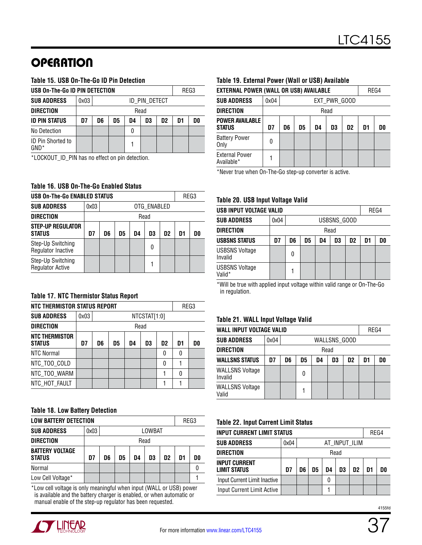#### **Table 15. USB On-The-Go ID Pin Detection**

| USB On-The-Go ID PIN DETECTION      |      |                                                    |  |  |  |  |  | REG3 |  |
|-------------------------------------|------|----------------------------------------------------|--|--|--|--|--|------|--|
| <b>SUB ADDRESS</b>                  | 0x03 | id pin detect                                      |  |  |  |  |  |      |  |
| <b>DIRECTION</b>                    |      | Read                                               |  |  |  |  |  |      |  |
| <b>ID PIN STATUS</b>                | D7   | D6<br>D3<br>D <sub>2</sub><br>D1<br>D5<br>DŪ<br>D4 |  |  |  |  |  |      |  |
| No Detection                        |      |                                                    |  |  |  |  |  |      |  |
| <b>ID Pin Shorted to</b><br>$GND^*$ |      |                                                    |  |  |  |  |  |      |  |

\*LOCKOUT\_ID\_PIN has no effect on pin detection.

#### **Table 16. USB On-The-Go Enabled Status**

| <b>USB On-The-Go ENABLED STATUS</b>          |                     |      |    |    |    |                |    | REG3 |  |
|----------------------------------------------|---------------------|------|----|----|----|----------------|----|------|--|
| <b>SUB ADDRESS</b>                           | 0x03<br>OTG_ENABLED |      |    |    |    |                |    |      |  |
| <b>DIRECTION</b>                             |                     | Read |    |    |    |                |    |      |  |
| <b>STEP-UP REGULATOR</b><br><b>STATUS</b>    | D7                  | D6   | D5 | D4 | D3 | D <sub>2</sub> | D1 | nn   |  |
| Step-Up Switching<br>Regulator Inactive      |                     |      |    |    | 0  |                |    |      |  |
| Step-Up Switching<br><b>Regulator Active</b> |                     |      |    |    |    |                |    |      |  |

#### **Table 17. NTC Thermistor Status Report**

| NTC THERMISTOR STATUS REPORT    |      |                                                                |  |  |  |   | REG3 |  |  |
|---------------------------------|------|----------------------------------------------------------------|--|--|--|---|------|--|--|
| <b>SUB ADDRESS</b>              | 0x03 | NTCSTAT[1:0]                                                   |  |  |  |   |      |  |  |
| <b>DIRECTION</b>                |      | Read                                                           |  |  |  |   |      |  |  |
| NTC THERMISTOR<br><b>STATUS</b> | D7   | D <sub>1</sub><br>D5<br>D3<br>D <sub>2</sub><br>D6<br>D0<br>D4 |  |  |  |   |      |  |  |
| <b>NTC Normal</b>               |      |                                                                |  |  |  | 0 | 0    |  |  |
| NTC_TOO_COLD                    |      |                                                                |  |  |  | N |      |  |  |
| NTC_TOO_WARM                    |      |                                                                |  |  |  |   | 0    |  |  |
| NTC_HOT_FAULT                   |      |                                                                |  |  |  |   |      |  |  |

#### **Table 18. Low Battery Detection**

|                                         | <b>LOW BATTERY DETECTION</b> |                                        |  |  |  |  |  |    |  |
|-----------------------------------------|------------------------------|----------------------------------------|--|--|--|--|--|----|--|
| <b>SUB ADDRESS</b>                      | 0x03                         | LOWBAT                                 |  |  |  |  |  |    |  |
| <b>DIRECTION</b>                        |                              | Read                                   |  |  |  |  |  |    |  |
| <b>BATTERY VOLTAGE</b><br><b>STATUS</b> | D7                           | D <sub>2</sub><br>D6<br>D3<br>D5<br>D4 |  |  |  |  |  | D0 |  |
| Normal                                  |                              |                                        |  |  |  |  |  |    |  |
| Low Cell Voltage*                       |                              |                                        |  |  |  |  |  |    |  |

\*Low cell voltage is only meaningful when input (WALL or USB) power is available and the battery charger is enabled, or when automatic or manual enable of the step-up regulator has been requested.

#### **Table 19. External Power (Wall or USB) Available**

| <b>EXTERNAL POWER (WALL OR USB) AVAILABLE</b> |      |                                                                |  |  |  |  |  | REG4 |  |  |
|-----------------------------------------------|------|----------------------------------------------------------------|--|--|--|--|--|------|--|--|
| <b>SUB ADDRESS</b>                            | 0x04 | EXT_PWR_GOOD                                                   |  |  |  |  |  |      |  |  |
| <b>DIRECTION</b>                              |      | Read                                                           |  |  |  |  |  |      |  |  |
| <b>POWER AVAILABLE</b><br><b>STATUS</b>       | D7   | D5<br>D <sub>3</sub><br>D <sub>2</sub><br>D1<br>D6<br>D0<br>D4 |  |  |  |  |  |      |  |  |
| <b>Battery Power</b><br>Only                  | O    |                                                                |  |  |  |  |  |      |  |  |
| <b>External Power</b><br>Available*           |      |                                                                |  |  |  |  |  |      |  |  |

\*Never true when On-The-Go step-up converter is active.

#### **Table 20. USB Input Voltage Valid**

| USB INPUT VOLTAGE VALID          |      |                                                    |  |  |  |  |  | REG4 |  |
|----------------------------------|------|----------------------------------------------------|--|--|--|--|--|------|--|
| <b>SUB ADDRESS</b>               | 0x04 | USBSNS_GOOD                                        |  |  |  |  |  |      |  |
| <b>DIRECTION</b>                 |      | Read                                               |  |  |  |  |  |      |  |
| <b>USBSNS STATUS</b>             | D7   | D <sub>2</sub><br>D6<br>D5<br>D3<br>D1<br>DO<br>D4 |  |  |  |  |  |      |  |
| <b>USBSNS Voltage</b><br>Invalid |      | 0                                                  |  |  |  |  |  |      |  |
| <b>USBSNS Voltage</b><br>Valid*  |      |                                                    |  |  |  |  |  |      |  |

\*Will be true with applied input voltage within valid range or On-The-Go in regulation.

#### **Table 21. WALL Input Voltage Valid**

| WALL INPUT VOLTAGE VALID          |      |                                                    |   |  |  |  |  | REG4 |  |
|-----------------------------------|------|----------------------------------------------------|---|--|--|--|--|------|--|
| <b>SUB ADDRESS</b>                | 0x04 | WALLSNS_GOOD                                       |   |  |  |  |  |      |  |
| <b>DIRECTION</b>                  |      | Read                                               |   |  |  |  |  |      |  |
| <b>WALLSNS STATUS</b>             | D7   | D6<br>D3<br>D1<br>D0<br>D5<br>D <sub>2</sub><br>D4 |   |  |  |  |  |      |  |
| <b>WALLSNS Voltage</b><br>Invalid |      |                                                    | N |  |  |  |  |      |  |
| <b>WALLSNS Voltage</b><br>Valid   |      |                                                    |   |  |  |  |  |      |  |

#### **Table 22. Input Current Limit Status**

| INPUT CURRENT LIMIT STATUS    |                       |                            |  |   |  |  | REG4 |    |
|-------------------------------|-----------------------|----------------------------|--|---|--|--|------|----|
| <b>SUB ADDRESS</b>            | AT_INPUT_ILIM<br>0x04 |                            |  |   |  |  |      |    |
| DIRECTION                     | Read                  |                            |  |   |  |  |      |    |
| INPUT CURRENT<br>LIMIT STATUS | D7                    | D6<br>D5<br>D2<br>D4<br>D3 |  |   |  |  |      | D0 |
| Input Current Limit Inactive  |                       |                            |  | 0 |  |  |      |    |
| Input Current Limit Active    |                       |                            |  |   |  |  |      |    |

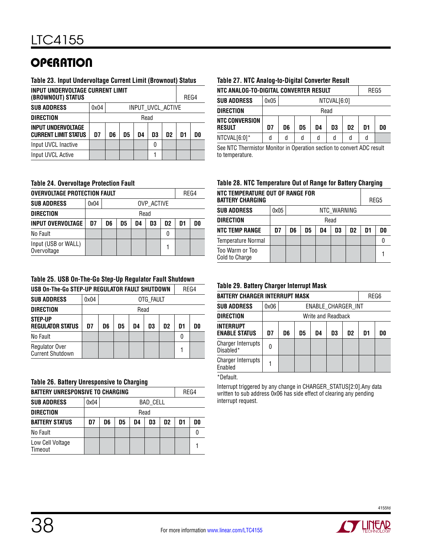#### **Table 23. Input Undervoltage Current Limit (Brownout) Status**

| INPUT UNDERVOLTAGE CURRENT LIMIT<br>(BROWNOUT) STATUS    |      |                            |                   |  |   |  |  | REG4 |
|----------------------------------------------------------|------|----------------------------|-------------------|--|---|--|--|------|
| <b>SUB ADDRESS</b>                                       | 0x04 |                            | INPUT_UVCL_ACTIVE |  |   |  |  |      |
| <b>DIRECTION</b>                                         | Read |                            |                   |  |   |  |  |      |
| <b>INPUT UNDERVOLTAGE</b><br><b>CURRENT LIMIT STATUS</b> | D7   | D3<br>D2<br>D6<br>D5<br>D4 |                   |  |   |  |  | DO   |
| Input UVCL Inactive                                      |      |                            |                   |  | 0 |  |  |      |
| Input UVCL Active                                        |      |                            |                   |  |   |  |  |      |

#### **Table 24. Overvoltage Protection Fault**

| <b>OVERVOLTAGE PROTECTION FAULT</b> |      |                                        |  |  |  |  |  | REG4 |  |  |
|-------------------------------------|------|----------------------------------------|--|--|--|--|--|------|--|--|
| <b>SUB ADDRESS</b>                  | 0x04 | OVP ACTIVE                             |  |  |  |  |  |      |  |  |
| <b>DIRECTION</b>                    |      | Read                                   |  |  |  |  |  |      |  |  |
| <b>INPUT OVERVOLTAGE</b>            | D7   | D2<br>D5<br>D3<br>D6<br>D4<br>DO<br>D1 |  |  |  |  |  |      |  |  |
| No Fault                            |      |                                        |  |  |  |  |  |      |  |  |
| Input (USB or WALL)<br>Overvoltage  |      |                                        |  |  |  |  |  |      |  |  |

#### **Table 25. USB On-The-Go Step-Up Regulator Fault Shutdown**

| USB On-The-Go STEP-UP REGULATOR FAULT SHUTDOWN   |      |                                              |  |  |  |  | REG4 |  |  |
|--------------------------------------------------|------|----------------------------------------------|--|--|--|--|------|--|--|
| <b>SUB ADDRESS</b>                               | 0x04 | OTG FAULT                                    |  |  |  |  |      |  |  |
| <b>DIRECTION</b>                                 |      | Read                                         |  |  |  |  |      |  |  |
| <b>STEP-UP</b><br><b>REGULATOR STATUS</b>        | D7   | D <sub>2</sub><br>D6<br>D5<br>D3<br>D1<br>D4 |  |  |  |  |      |  |  |
| No Fault                                         |      |                                              |  |  |  |  |      |  |  |
| <b>Regulator Over</b><br><b>Current Shutdown</b> |      |                                              |  |  |  |  |      |  |  |

#### **Table 26. Battery Unresponsive to Charging**

| <b>BATTERY UNRESPONSIVE TO CHARGING</b> |      |                                                                |  |  |  |  |  | REG4 |  |
|-----------------------------------------|------|----------------------------------------------------------------|--|--|--|--|--|------|--|
| <b>SUB ADDRESS</b>                      | 0x04 | <b>BAD CELL</b>                                                |  |  |  |  |  |      |  |
| <b>DIRECTION</b>                        |      | Read                                                           |  |  |  |  |  |      |  |
| <b>BATTERY STATUS</b>                   | D7   | D6<br>D5<br>D <sub>2</sub><br>D <sub>1</sub><br>D3<br>DO<br>D4 |  |  |  |  |  |      |  |
| No Fault                                |      |                                                                |  |  |  |  |  |      |  |
| Low Cell Voltage<br>Timeout             |      |                                                                |  |  |  |  |  |      |  |

#### **Table 27. NTC Analog-to-Digital Converter Result**

| NTC ANALOG-TO-DIGITAL CONVERTER RESULT |      | REG5                                               |  |  |  |  |  |  |  |  |
|----------------------------------------|------|----------------------------------------------------|--|--|--|--|--|--|--|--|
| <b>SUB ADDRESS</b>                     | 0x05 | NTCVAL[6:0]                                        |  |  |  |  |  |  |  |  |
| <b>DIRECTION</b>                       |      | Read                                               |  |  |  |  |  |  |  |  |
| <b>NTC CONVERSION</b><br><b>RESULT</b> | D7   | D3<br>D <sub>2</sub><br>D6<br>D5<br>D4<br>D1<br>D0 |  |  |  |  |  |  |  |  |
| NTCVAL[6:0]*                           | d    | d<br>d<br>d<br>d<br>d<br>٥                         |  |  |  |  |  |  |  |  |

See NTC Thermistor Monitor in Operation section to convert ADC result to temperature.

#### **Table 28. NTC Temperature Out of Range for Battery Charging**

| NTC TEMPERATURE OUT OF RANGE FOR<br><b>BATTERY CHARGING</b> |                                                          |             |  |  |  |  | REG5 |  |
|-------------------------------------------------------------|----------------------------------------------------------|-------------|--|--|--|--|------|--|
| <b>SUB ADDRESS</b>                                          | 0x05                                                     | NTC_WARNING |  |  |  |  |      |  |
| <b>DIRECTION</b>                                            | Read                                                     |             |  |  |  |  |      |  |
| <b>NTC TEMP RANGE</b>                                       | D <sub>2</sub><br>D6<br>D5<br>D1<br>D7<br>D0<br>D3<br>D4 |             |  |  |  |  |      |  |
| Temperature Normal                                          |                                                          |             |  |  |  |  |      |  |
| Too Warm or Too<br>Cold to Charge                           |                                                          |             |  |  |  |  |      |  |

#### **Table 29. Battery Charger Interrupt Mask**

| <b>BATTERY CHARGER INTERRUPT MASK</b><br>REG6 |      |                                                                |  |  |                    |  |  |  |  |  |
|-----------------------------------------------|------|----------------------------------------------------------------|--|--|--------------------|--|--|--|--|--|
| <b>SUB ADDRESS</b>                            | 0x06 | ENABLE_CHARGER_INT                                             |  |  |                    |  |  |  |  |  |
| <b>DIRECTION</b>                              |      |                                                                |  |  | Write and Readback |  |  |  |  |  |
| <b>INTERRUPT</b><br><b>ENABLE STATUS</b>      | D7   | D <sub>1</sub><br>D5<br>D3<br>D <sub>2</sub><br>D0<br>D6<br>D4 |  |  |                    |  |  |  |  |  |
| <b>Charger Interrupts</b><br>Disabled*        | 0    |                                                                |  |  |                    |  |  |  |  |  |
| <b>Charger Interrupts</b><br>Enabled          |      |                                                                |  |  |                    |  |  |  |  |  |

#### \*Default.

Interrupt triggered by any change in CHARGER\_STATUS[2:0].Any data written to sub address 0x06 has side effect of clearing any pending interrupt request.

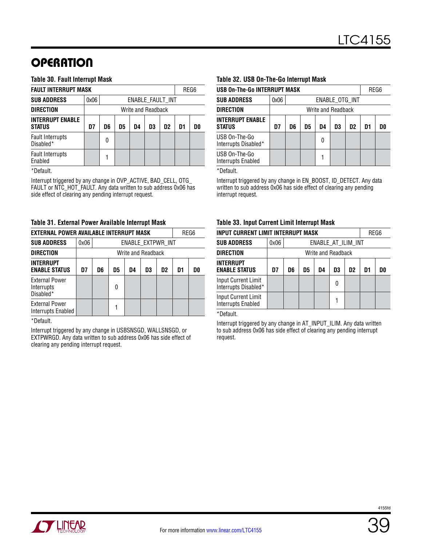#### **Table 30. Fault Interrupt Mask**

| <b>FAULT INTERRUPT MASK</b>              |                                                          |  |  |                    |  |                  |  | REG6 |
|------------------------------------------|----------------------------------------------------------|--|--|--------------------|--|------------------|--|------|
| <b>SUB ADDRESS</b>                       | 0x06                                                     |  |  |                    |  | ENABLE FAULT INT |  |      |
| <b>DIRECTION</b>                         |                                                          |  |  | Write and Readback |  |                  |  |      |
| <b>INTERRUPT ENABLE</b><br><b>STATUS</b> | D3<br>D <sub>2</sub><br>D7<br>D6<br>D5<br>D1<br>D4<br>D0 |  |  |                    |  |                  |  |      |
| <b>Fault Interrupts</b><br>Disabled*     | ŋ                                                        |  |  |                    |  |                  |  |      |
| <b>Fault Interrupts</b><br>Enabled       |                                                          |  |  |                    |  |                  |  |      |

\*Default.

Interrupt triggered by any change in OVP\_ACTIVE, BAD\_CELL, OTG\_ FAULT or NTC\_HOT\_FAULT. Any data written to sub address 0x06 has side effect of clearing any pending interrupt request.

#### **Table 31. External Power Available Interrupt Mask**

| EXTERNAL POWER AVAILABLE INTERRUPT MASK<br>REG6  |      |                                                    |  |  |  |                   |  |  |  |
|--------------------------------------------------|------|----------------------------------------------------|--|--|--|-------------------|--|--|--|
| <b>SUB ADDRESS</b>                               | 0x06 |                                                    |  |  |  | ENABLE_EXTPWR_INT |  |  |  |
| <b>DIRECTION</b>                                 |      | Write and Readback                                 |  |  |  |                   |  |  |  |
| <b>INTERRUPT</b><br><b>ENABLE STATUS</b>         | D7   | D5<br>D3<br>D <sub>2</sub><br>D1<br>D6<br>D0<br>D4 |  |  |  |                   |  |  |  |
| <b>External Power</b><br>Interrupts<br>Disabled* |      | 0                                                  |  |  |  |                   |  |  |  |
| <b>External Power</b><br>Interrupts Enabled      |      |                                                    |  |  |  |                   |  |  |  |

\*Default.

Interrupt triggered by any change in USBSNSGD, WALLSNSGD, or EXTPWRGD. Any data written to sub address 0x06 has side effect of clearing any pending interrupt request.

#### **Table 32. USB On-The-Go Interrupt Mask**

| <b>USB On-The-Go INTERRUPT MASK</b>      |                                                          |  |  |  |                    |  | REG6 |  |  |
|------------------------------------------|----------------------------------------------------------|--|--|--|--------------------|--|------|--|--|
| <b>SUB ADDRESS</b>                       | 0x06                                                     |  |  |  | ENABLE OTG INT     |  |      |  |  |
| <b>DIRECTION</b>                         |                                                          |  |  |  | Write and Readback |  |      |  |  |
| <b>INTERRUPT ENABLE</b><br><b>STATUS</b> | D7<br>D6<br>D <sub>2</sub><br>D3<br>D1<br>D5<br>D4<br>D0 |  |  |  |                    |  |      |  |  |
| USB On-The-Go<br>Interrupts Disabled*    | N                                                        |  |  |  |                    |  |      |  |  |
| USB On-The-Go<br>Interrupts Enabled      |                                                          |  |  |  |                    |  |      |  |  |

\*Default.

Interrupt triggered by any change in EN\_BOOST, ID\_DETECT. Any data written to sub address 0x06 has side effect of clearing any pending interrupt request.

#### **Table 33. Input Current Limit Interrupt Mask**

| INPUT CURRENT LIMIT INTERRUPT MASK                      |                                                                      |  | REG6 |  |                    |                    |  |  |
|---------------------------------------------------------|----------------------------------------------------------------------|--|------|--|--------------------|--------------------|--|--|
| <b>SUB ADDRESS</b>                                      | 0x06                                                                 |  |      |  |                    | ENABLE_AT_ILIM_INT |  |  |
| DIRECTION                                               |                                                                      |  |      |  | Write and Readback |                    |  |  |
| INTERRUPT<br><b>ENABLE STATUS</b>                       | D7<br>D <sub>2</sub><br>D <sub>1</sub><br>D6<br>D5<br>D4<br>D3<br>DO |  |      |  |                    |                    |  |  |
| <b>Input Current Limit</b><br>Interrupts Disabled*      | O                                                                    |  |      |  |                    |                    |  |  |
| <b>Input Current Limit</b><br><b>Interrupts Enabled</b> |                                                                      |  |      |  |                    |                    |  |  |

\*Default.

Interrupt triggered by any change in AT\_INPUT\_ILIM. Any data written to sub address 0x06 has side effect of clearing any pending interrupt request.

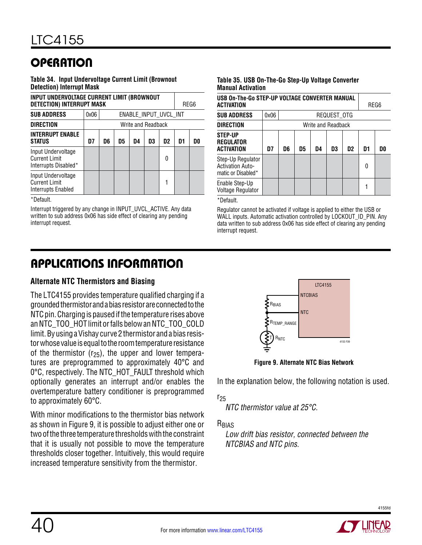**Table 34. Input Undervoltage Current Limit (Brownout Detection) Interrupt Mask**

| INPUT UNDERVOLTAGE CURRENT LIMIT (BROWNOUT<br><b>DETECTION) INTERRUPT MASK</b> |      |                                                    |  |                       |  |  |  | REG6 |  |
|--------------------------------------------------------------------------------|------|----------------------------------------------------|--|-----------------------|--|--|--|------|--|
| <b>SUB ADDRESS</b>                                                             | 0x06 |                                                    |  | ENABLE_INPUT_UVCL_INT |  |  |  |      |  |
| <b>DIRECTION</b>                                                               |      |                                                    |  | Write and Readback    |  |  |  |      |  |
| <b>INTERRUPT ENABLE</b><br><b>STATUS</b>                                       | D7   | D <sub>2</sub><br>D6<br>D5<br>D3<br>D1<br>D4<br>D0 |  |                       |  |  |  |      |  |
| Input Undervoltage<br><b>Current Limit</b><br>Interrupts Disabled*             | 0    |                                                    |  |                       |  |  |  |      |  |
| Input Undervoltage<br><b>Current Limit</b><br>Interrupts Enabled               |      |                                                    |  |                       |  |  |  |      |  |

\*Default.

Interrupt triggered by any change in INPUT\_UVCL\_ACTIVE. Any data written to sub address 0x06 has side effect of clearing any pending interrupt request.

#### **Table 35. USB On-The-Go Step-Up Voltage Converter Manual Activation**

| USB On-The-Go STEP-UP VOLTAGE CONVERTER MANUAL<br>ACTIVATION       |      |                                                          |  |  |                    |  |  | REG6 |
|--------------------------------------------------------------------|------|----------------------------------------------------------|--|--|--------------------|--|--|------|
| <b>SUB ADDRESS</b>                                                 | 0x06 |                                                          |  |  | REQUEST_OTG        |  |  |      |
| <b>DIRECTION</b>                                                   |      |                                                          |  |  | Write and Readback |  |  |      |
| <b>STEP-UP</b><br><b>REGULATOR</b><br><b>ACTIVATION</b>            | D7   | D5<br>D3<br>D <sub>1</sub><br>D6<br>D <sub>2</sub><br>D4 |  |  |                    |  |  |      |
| Step-Up Regulator<br><b>Activation Auto-</b><br>matic or Disabled* |      | 0                                                        |  |  |                    |  |  |      |
| Enable Step-Up<br><b>Voltage Regulator</b>                         |      |                                                          |  |  |                    |  |  |      |

\*Default.

Regulator cannot be activated if voltage is applied to either the USB or WALL inputs. Automatic activation controlled by LOCKOUT\_ID\_PIN. Any data written to sub address 0x06 has side effect of clearing any pending interrupt request.

# Applications Information

### **Alternate NTC Thermistors and Biasing**

The LTC4155 provides temperature qualified charging if a groundedthermistorand a biasresistorareconnectedtothe NTC pin. Charging is paused if the temperature rises above an NTC\_TOO\_HOT limit or falls below an NTC\_TOO\_COLD limit. By using a Vishay curve 2 thermistor and a bias resistor whose value is equal to the room temperature resistance of the thermistor  $(r_{25})$ , the upper and lower temperatures are preprogrammed to approximately 40°C and 0°C, respectively. The NTC\_HOT\_FAULT threshold which optionally generates an interrupt and/or enables the overtemperature battery conditioner is preprogrammed to approximately 60°C.

With minor modifications to the thermistor bias network as shown in Figure 9, it is possible to adjust either one or two of the three temperature thresholds with the constraint that it is usually not possible to move the temperature thresholds closer together. Intuitively, this would require increased temperature sensitivity from the thermistor.



**Figure 9. Alternate NTC Bias Network**

In the explanation below, the following notation is used.

 $r_{25}$ 

NTC thermistor value at 25°C.

R<sub>BIAS</sub>

Low drift bias resistor, connected between the NTCBIAS and NTC pins.

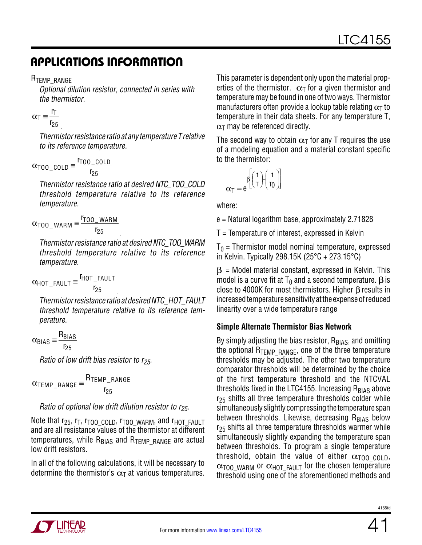R<sub>TEMP</sub> RANGE

Optional dilution resistor, connected in series with the thermistor.

$$
\alpha_{\overline{1}} \equiv \frac{r_{\overline{1}}}{r_{25}}
$$

Thermistorresistance ratioat any temperature T relative to its reference temperature.

$$
\alpha_{\text{TOO\_COLD}} \equiv \frac{r_{\text{TOO\_COLD}}}{r_{25}}
$$

Thermistor resistance ratio at desired NTC\_TOO\_COLD threshold temperature relative to its reference temperature.

$$
\alpha_{\text{TOO\_WARM}} \equiv \frac{r_{\text{TOO\_WARM}}}{r_{\text{25}}}
$$

Thermistor resistance ratio at desired NTC\_TOO\_WARM threshold temperature relative to its reference temperature.

 $\alpha_{\text{HOT\_FAULT}} \equiv \frac{\text{F_{HOT\_FAULT}}}{\sigma}$  $r_{25}$ 

Thermistor resistance ratio at desired NTC\_HOT\_FAULT threshold temperature relative to its reference temperature.

$$
\alpha_{\text{BIAS}} \equiv \frac{R_{\text{BIAS}}}{r}
$$

 $r_{25}$ 

Ratio of low drift bias resistor to  $r_{25}$ .

$$
\alpha_{\text{TEMP\_RANGE}} \equiv \frac{R_{\text{TEMP\_RANGE}}}{r_{25}}
$$

### Ratio of optional low drift dilution resistor to  $r_{25}$ .

Note that r<sub>25</sub>, r<sub>T</sub>, r<sub>TOO\_COLD</sub>, r<sub>TOO\_WARM</sub>, and r<sub>HOT\_FAULT</sub> and are all resistance values of the thermistor at different temperatures, while  $R_{BIAS}$  and  $R_{TEMP}$  RANGE are actual low drift resistors.

In all of the following calculations, it will be necessary to determine the thermistor's  $\alpha_{\text{I}}$  at various temperatures.

This parameter is dependent only upon the material properties of the thermistor.  $\alpha$ <sup>T</sup> for a given thermistor and temperature may be found in one of two ways. Thermistor manufacturers often provide a lookup table relating  $\alpha<sub>T</sub>$  to temperature in their data sheets. For any temperature T,  $\alpha$ <sub>T</sub> may be referenced directly.

The second way to obtain  $\alpha$ <sup>T</sup> for any T requires the use of a modeling equation and a material constant specific to the thermistor:

$$
\alpha_T = e^{\beta \left[\left(\frac{1}{T}\right)\left(\frac{1}{T_0}\right)\right]}
$$

where:

e = Natural logarithm base, approximately 2.71828

T = Temperature of interest, expressed in Kelvin

 $T_0$  = Thermistor model nominal temperature, expressed in Kelvin. Typically 298.15K (25°C + 273.15°C)

 $\beta$  = Model material constant, expressed in Kelvin. This model is a curve fit at  $T_0$  and a second temperature.  $\beta$  is close to 4000K for most thermistors. Higher  $\beta$  results in increased temperature sensitivity at the expense of reduced linearity over a wide temperature range

### **Simple Alternate Thermistor Bias Network**

By simply adjusting the bias resistor,  $R_{BIAS}$ , and omitting the optional  $R_{TEMP-RANGE}$ , one of the three temperature thresholds may be adjusted. The other two temperature comparator thresholds will be determined by the choice of the first temperature threshold and the NTCVAL thresholds fixed in the LTC4155. Increasing  $R_{\text{BIAS}}$  above  $r_{25}$  shifts all three temperature thresholds colder while simultaneously slightly compressing the temperature span between thresholds. Likewise, decreasing RBIAS below  $r_{25}$  shifts all three temperature thresholds warmer while simultaneously slightly expanding the temperature span between thresholds. To program a single temperature threshold, obtain the value of either  $\alpha_{\text{TOO}}$  cold,  $\alpha_{\text{TOO}}$  warm or  $\alpha_{\text{HOT FAULT}}$  for the chosen temperature threshold using one of the aforementioned methods and

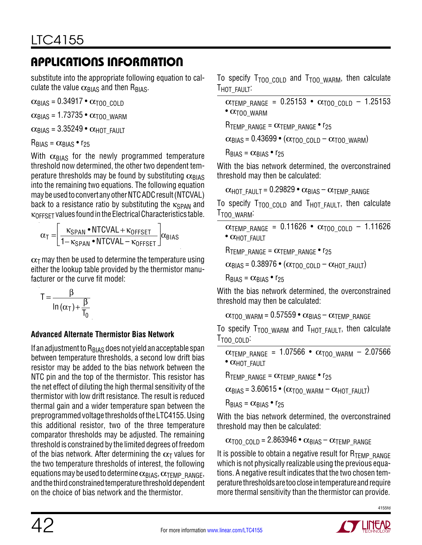substitute into the appropriate following equation to calculate the value  $\alpha_{\text{BIAS}}$  and then R<sub>BIAS</sub>.

 $\alpha_{\text{BIAS}}$  = 0.34917 •  $\alpha_{\text{TOO}}$  cold

 $\alpha_{\text{BIAS}}$  = 1.73735 •  $\alpha_{\text{TOO}}$  warm

 $\alpha_{\text{BIAS}}$  = 3.35249 •  $\alpha_{\text{HOT-FAUIT}}$ 

 $R_{BIAS} = \alpha_{BIAS} \cdot r_{25}$ 

With  $\alpha_{\text{BIAS}}$  for the newly programmed temperature threshold now determined, the other two dependent temperature thresholds may be found by substituting  $\alpha_{\text{BIAS}}$ into the remaining two equations. The following equation may be used to convert any other NTC ADC result (NTCVAL) back to a resistance ratio by substituting the  $\kappa_{\text{SPAN}}$  and κOFFSET values found in the Electrical Characteristics table.

$$
\alpha_{T} = \left[ \frac{\kappa_{SPAN} \cdot \text{NTCVAL} + \kappa_{OFFSET}}{1 - \kappa_{SPAN} \cdot \text{NTCVAL} - \kappa_{OFFSET}} \right] \alpha_{BIAS}
$$

 $\alpha$ <sub>T</sub> may then be used to determine the temperature using either the lookup table provided by the thermistor manufacturer or the curve fit model:

$$
T = \frac{\beta}{\ln{(\alpha_T)} + \frac{\beta}{T_0}}
$$

### **Advanced Alternate Thermistor Bias Network**

If an adjustment to  $R<sub>BIAS</sub>$  does not yield an acceptable span between temperature thresholds, a second low drift bias resistor may be added to the bias network between the NTC pin and the top of the thermistor. This resistor has the net effect of diluting the high thermal sensitivity of the thermistor with low drift resistance. The result is reduced thermal gain and a wider temperature span between the preprogrammedvoltage thresholdsoftheLTC4155. Using this additional resistor, two of the three temperature comparator thresholds may be adjusted. The remaining threshold is constrained by the limited degrees of freedom of the bias network. After determining the  $\alpha$ <sub>T</sub> values for the two temperature thresholds of interest, the following equations may be used to determine  $\alpha_{\text{BIAS}}, \alpha_{\text{TEMP}}$  RANGE, and the third constrained temperature threshold dependent on the choice of bias network and the thermistor.

To specify  $T_{TOO}$  colp and  $T_{TOO}$  warm, then calculate T<sub>HOT</sub> FAULT:

```
\alphaTEMP_RANGE = 0.25153 • \alpha<sub>T00</sub> cold – 1.25153
\bullet \alpha<sub>T00</sub> WARM
```
RTEMP\_RANGE =  $\alpha$ TEMP\_RANGE • r<sub>25</sub>

 $\alpha_{\text{BIAS}} = 0.43699 \bullet (\alpha_{\text{TOO\_COLD}} - \alpha_{\text{TOO\_WARM}})$ 

 $R_{BIAS} = \alpha_{BIAS} \cdot r_{25}$ 

With the bias network determined, the overconstrained threshold may then be calculated:

```
\alphaHOT_FAULT = 0.29829 • \alphaBIAS – \alphaTEMP_RANGE
```
To specify  $T_{TOO\ COLD}$  and  $T_{HOT\ FAULT}$ , then calculate T<sub>TOO</sub> WARM:

```
\alphaTEMP_RANGE = 0.11626 • \alpha<sub>T00_COLD</sub> - 1.11626
• CHOT_FAULT
```
RTEMP\_RANGE =  $\alpha$ TEMP\_RANGE • r<sub>25</sub>

 $\alpha_{\text{BIAS}}$  = 0.38976 • ( $\alpha_{\text{TOO}}$  cold –  $\alpha_{\text{HOT}}$  fault)

 $R_{BIAS} = \alpha_{BIAS} \cdot r_{25}$ 

With the bias network determined, the overconstrained threshold may then be calculated:

```
\alpha_{\text{TOO}} warm = 0.57559 • \alpha_{\text{BIAS}} – \alpha_{\text{TEMP}} range
```
To specify  $T_{TOO}$  warm and  $T_{HOT}$   $FAULT$ , then calculate T<sub>TOO</sub> coup:

 $\alpha_{\text{TEMP\_RANGE}} = 1.07566 \cdot \alpha_{\text{TOO\_WARM}} - 2.07566$  $\bullet$   $\alpha$ <sub>HOT</sub> FAULT

RTEMP\_RANGE =  $\alpha$ TEMP\_RANGE • r<sub>25</sub>

 $\alpha_{\text{BIAS}}$  = 3.60615 • ( $\alpha_{\text{TOO\_WARM}}$  –  $\alpha_{\text{HOT\_FAULT}}$ )

 $R_{BIAS} = \alpha_{BIAS} \cdot r_{25}$ 

With the bias network determined, the overconstrained threshold may then be calculated:

 $\alpha_{\text{TOO}}$  cold = 2.863946 •  $\alpha_{\text{BIAS}}$  –  $\alpha_{\text{TEMP}}$  range

It is possible to obtain a negative result for  $R_{\text{TFMP-RANGF}}$ which is not physically realizable using the previous equations. A negative result indicates that the two chosen temperaturethresholdsaretoocloseintemperatureandrequire more thermal sensitivity than the thermistor can provide.



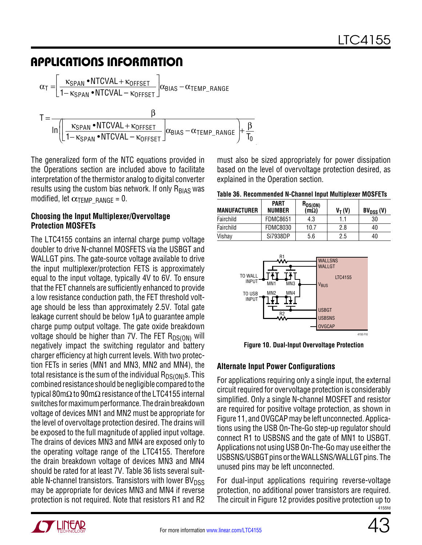$$
\alpha_{T} = \left[ \frac{\kappa_{SPAN} \cdot NTCVAL + \kappa_{OFFSET}}{1 - \kappa_{SPAN} \cdot NTCVAL - \kappa_{OFFSET}} \right] \alpha_{BIAS} - \alpha_{TEMP\_RANGE}
$$
\n
$$
T = \frac{\beta}{\ln \left( \left[ \frac{\kappa_{SPAN} \cdot NTCVAL + \kappa_{OFFSET}}{1 - \kappa_{SPAN} \cdot NTCVAL - \kappa_{OFFSET}} \right] \alpha_{BIAS} - \alpha_{TEMP\_RANGE} \right) + \frac{\beta}{T_{0}}}
$$

The generalized form of the NTC equations provided in the Operations section are included above to facilitate interpretation of the thermistor analog to digital converter results using the custom bias network. If only  $R_{BIAS}$  was modified, let  $\alpha$ <sub>TEMP\_RANGE</sub> = 0.

#### **Choosing the Input Multiplexer/Overvoltage Protection MOSFETs**

The LTC4155 contains an internal charge pump voltage doubler to drive N-channel MOSFETS via the USBGT and WALLGT pins. The gate-source voltage available to drive the input multiplexer/protection FETS is approximately equal to the input voltage, typically 4V to 6V. To ensure that the FET channels are sufficiently enhanced to provide a low resistance conduction path, the FET threshold voltage should be less than approximately 2.5V. Total gate leakage current should be below 1µA to guarantee ample charge pump output voltage. The gate oxide breakdown voltage should be higher than 7V. The FET  $R_{DS(ON)}$  will negatively impact the switching regulator and battery charger efficiency at high current levels. With two protection FETs in series (MN1 and MN3, MN2 and MN4), the total resistance is the sum of the individual  $R_{DS(ON)}s$ . This combined resistance should be negligible compared to the typical 80m $\Omega$  to 90m $\Omega$  resistance of the LTC4155 internal switches for maximum performance. The drain breakdown voltage of devices MN1 and MN2 must be appropriate for the level of overvoltage protection desired. The drains will be exposed to the full magnitude of applied input voltage. The drains of devices MN3 and MN4 are exposed only to the operating voltage range of the LTC4155. Therefore the drain breakdown voltage of devices MN3 and MN4 should be rated for at least 7V. Table 36 lists several suitable N-channel transistors. Transistors with lower  $BV<sub>DSS</sub>$ may be appropriate for devices MN3 and MN4 if reverse protection is not required. Note that resistors R1 and R2

must also be sized appropriately for power dissipation based on the level of overvoltage protection desired, as explained in the Operation section.

|  |  | Table 36. Recommended N-Channel Input Multiplexer MOSFETs |
|--|--|-----------------------------------------------------------|
|  |  |                                                           |

| <b>MANUFACTURER</b> | <b>PART</b><br><b>NUMBER</b> | $R_{DS(ON)}$<br>$(m\Omega)$ | $V_T(V)$ | $BV_{DSS}(V)$ |
|---------------------|------------------------------|-----------------------------|----------|---------------|
| Fairchild           | <b>FDMC8651</b>              | 4.3                         | 1.1      | 30            |
| Fairchild           | <b>FDMC8030</b>              | 10.7                        | 2.8      | 40            |
| Vishav              | Si7938DP                     | 5.6                         | 2.5      | 40            |



**Figure 10. Dual-Input Overvoltage Protection** 

### **Alternate Input Power Configurations**

For applications requiring only a single input, the external circuit required for overvoltage protection is considerably simplified. Only a single N-channel MOSFET and resistor are required for positive voltage protection, as shown in Figure 11, and OVGCAP may be left unconnected. Applications using the USB On-The-Go step-up regulator should connect R1 to USBSNS and the gate of MN1 to USBGT. Applications not using USB On-The-Go may use either the USBSNS/USBGT pins or the WALLSNS/WALLGT pins. The unused pins may be left unconnected.

4155fd For dual-input applications requiring reverse-voltage protection, no additional power transistors are required. The circuit in Figure 12 provides positive protection up to

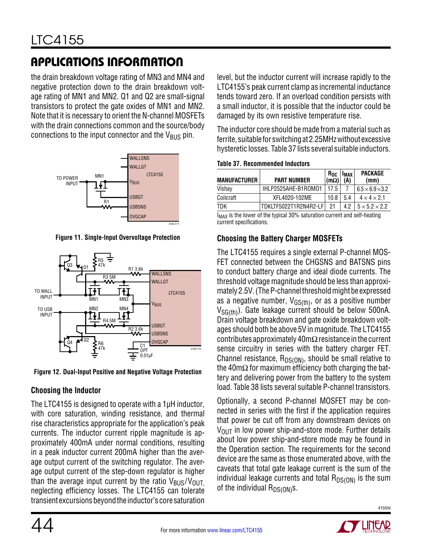the drain breakdown voltage rating of MN3 and MN4 and negative protection down to the drain breakdown voltage rating of MN1 and MN2. Q1 and Q2 are small-signal transistors to protect the gate oxides of MN1 and MN2. Note that it is necessary to orient the N-channel MOSFETs with the drain connections common and the source/body connections to the input connector and the  $V_{\text{BUS}}$  pin.



**Figure 11. Single-Input Overvoltage Protection**



**Figure 12. Dual-Input Positive and Negative Voltage Protection**

### **Choosing the Inductor**

The LTC4155 is designed to operate with a 1µH inductor, with core saturation, winding resistance, and thermal rise characteristics appropriate for the application's peak currents. The inductor current ripple magnitude is approximately 400mA under normal conditions, resulting in a peak inductor current 200mA higher than the average output current of the switching regulator. The average output current of the step-down regulator is higher than the average input current by the ratio  $V_{\text{BUS}}/V_{\text{OUT}}$ neglecting efficiency losses. The LTC4155 can tolerate transient excursionsbeyondthe inductor's core saturation level, but the inductor current will increase rapidly to the LTC4155's peak current clamp as incremental inductance tends toward zero. If an overload condition persists with a small inductor, it is possible that the inductor could be damaged by its own resistive temperature rise.

The inductor core should be made from a material such as ferrite, suitable for switchingat 2.25MHzwithout excessive hysteretic losses. Table 37 lists several suitable inductors.

**Table 37. Recommended Inductors**

| <b>MANUFACTURER</b>                                                     | <b>PART NUMBER</b>    | $R_{DC}$<br>(m $\Omega$ ) | <b>IMAX</b><br>(A) | <b>PACKAGE</b><br>(mm)      |  |
|-------------------------------------------------------------------------|-----------------------|---------------------------|--------------------|-----------------------------|--|
| Vishay                                                                  | IHLP2525AHE-B1ROM01   | 17.5                      |                    | $6.5 \times 6.9 \times 3.2$ |  |
| Coilcraft                                                               | XFL4020-102ME         | 10.8                      | 5.4                | $4 \times 4 \times 2.1$     |  |
| TDK                                                                     | TDKLTF5022T1R2N4R2-LF | 21                        | 42                 | $5 \times 5.2 \times 2.2$   |  |
| to the former of the trusted AAAA cotmodities comment and colf heather. |                       |                           |                    |                             |  |

 $I_{MAX}$  is the lower of the typical 30% saturation current and self-heating current specifications.

### **Choosing the Battery Charger MOSFETs**

The LTC4155 requires a single external P-channel MOS-FET connected between the CHGSNS and BATSNS pins to conduct battery charge and ideal diode currents. The threshold voltage magnitude should be less than approximately 2.5V. (The P-channel threshold might be expressed as a negative number,  $V_{GS(th)}$ , or as a positive number  $V_{SG(th)}$ ). Gate leakage current should be below 500nA. Drain voltage breakdown and gate oxide breakdown voltages should both be above 5V in magnitude. The LTC4155 contributes approximately 40mΩ resistance in the current sense circuitry in series with the battery charger FET. Channel resistance,  $R_{DS(ON)}$ , should be small relative to the 40m $\Omega$  for maximum efficiency both charging the battery and delivering power from the battery to the system load. Table 38 lists several suitable P-channel transistors.

Optionally, a second P-channel MOSFET may be connected in series with the first if the application requires that power be cut off from any downstream devices on  $V_{\text{OUT}}$  in low power ship-and-store mode. Further details about low power ship-and-store mode may be found in the Operation section. The requirements for the second device are the same as those enumerated above, with the caveats that total gate leakage current is the sum of the individual leakage currents and total  $R_{DS(ON)}$  is the sum of the individual  $R_{DS(ON)}s$ .

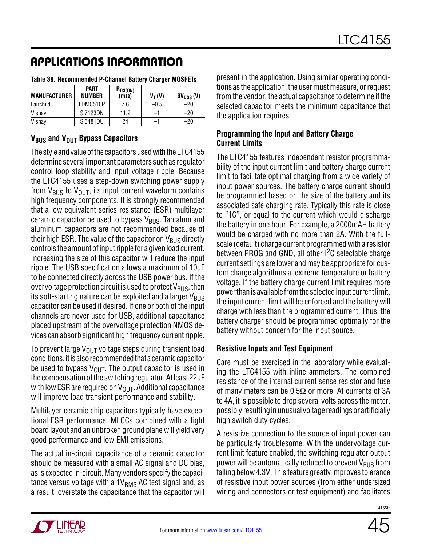| <b>MANUFACTURER</b> | <b>PART</b><br><b>NUMBER</b> | $R_{DS(ON)}$<br>(m $\Omega$ ) | $V_T(V)$ | $BV_{DSS}(V)$ |
|---------------------|------------------------------|-------------------------------|----------|---------------|
| Fairchild           | FDMC510P                     | 7.6                           | -0.5     | -20           |
| Vishay              | Si7123DN                     | 11.2                          | -1       | -20           |
| Vishay              | Si5481DU                     | 24                            | -1       | $-20$         |

#### **Table 38. Recommended P-Channel Battery Charger MOSFETs**

### **V<sub>BUS</sub>** and V<sub>OUT</sub> Bypass Capacitors

The style and value of the capacitors used with the LTC4155 determine several important parameters such as regulator control loop stability and input voltage ripple. Because the LTC4155 uses a step-down switching power supply from  $V_{BUS}$  to  $V_{OUT}$ , its input current waveform contains high frequency components. It is strongly recommended that a low equivalent series resistance (ESR) multilayer ceramic capacitor be used to bypass  $V_{\rm BUS}$ . Tantalum and aluminum capacitors are not recommended because of their high ESR. The value of the capacitor on  $V_{\rm BUS}$  directly controls the amount of input ripple for a given load current. Increasing the size of this capacitor will reduce the input ripple. The USB specification allows a maximum of 10μF to be connected directly across the USB power bus. If the overvoltage protection circuit is used to protect  $V_{BUS}$ , then its soft-starting nature can be exploited and a larger  $V_{\text{BUS}}$ capacitor can be used if desired. If one or both of the input channels are never used for USB, additional capacitance placed upstream of the overvoltage protection NMOS devices can absorb significant high frequency current ripple.

To prevent large  $V_{\text{OUT}}$  voltage steps during transient load conditions, it is also recommended that a ceramic capacitor be used to bypass  $V_{OUT}$ . The output capacitor is used in the compensation of the switching regulator. At least 22μF with low ESR are required on  $V_{\text{OUT}}$ . Additional capacitance will improve load transient performance and stability.

Multilayer ceramic chip capacitors typically have exceptional ESR performance. MLCCs combined with a tight board layout and an unbroken ground plane will yield very good performance and low EMI emissions.

The actual in-circuit capacitance of a ceramic capacitor should be measured with a small AC signal and DC bias, as is expected in-circuit. Many vendors specify the capacitance versus voltage with a  $1V<sub>RMS</sub>$  AC test signal and, as a result, overstate the capacitance that the capacitor will present in the application. Using similar operating conditions as the application, the user must measure, or request from the vendor, the actual capacitance to determine if the selected capacitor meets the minimum capacitance that the application requires.

#### **Programming the Input and Battery Charge Current Limits**

The LTC4155 features independent resistor programmability of the input current limit and battery charge current limit to facilitate optimal charging from a wide variety of input power sources. The battery charge current should be programmed based on the size of the battery and its associated safe charging rate. Typically this rate is close to "1C", or equal to the current which would discharge the battery in one hour. For example, a 2000mAH battery would be charged with no more than 2A. With the fullscale (default) charge current programmed with a resistor between PROG and GND, all other  $1^2C$  selectable charge current settings are lower and may be appropriate for custom charge algorithms at extreme temperature or battery voltage. If the battery charge current limit requires more powerthanis available fromthe selectedinput currentlimit, the input current limit will be enforced and the battery will charge with less than the programmed current. Thus, the battery charger should be programmed optimally for the battery without concern for the input source.

### **Resistive Inputs and Test Equipment**

Care must be exercised in the laboratory while evaluating the LTC4155 with inline ammeters. The combined resistance of the internal current sense resistor and fuse of many meters can be  $0.5\Omega$  or more. At currents of 3A to 4A, it is possible to drop several volts across the meter, possibly resulting in unusual voltage readings or artificially high switch duty cycles.

A resistive connection to the source of input power can be particularly troublesome. With the undervoltage current limit feature enabled, the switching regulator output power will be automatically reduced to prevent  $V_{\rm BUS}$  from falling below 4.3V. This feature greatly improves tolerance of resistive input power sources (from either undersized wiring and connectors or test equipment) and facilitates

**TT LINEAR**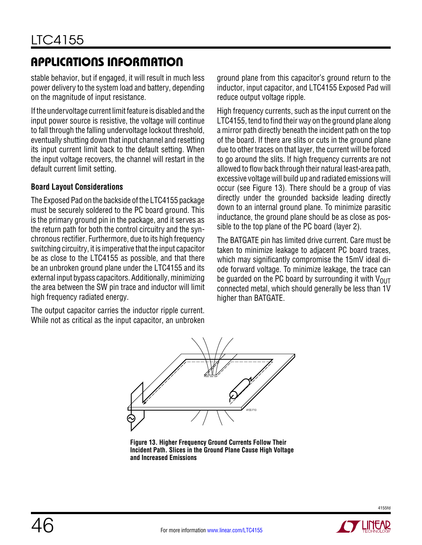stable behavior, but if engaged, it will result in much less power delivery to the system load and battery, depending on the magnitude of input resistance.

If the undervoltage current limit feature is disabled and the input power source is resistive, the voltage will continue to fall through the falling undervoltage lockout threshold, eventually shutting down that input channel and resetting its input current limit back to the default setting. When the input voltage recovers, the channel will restart in the default current limit setting.

#### **Board Layout Considerations**

The Exposed Pad on the backside of the LTC4155 package must be securely soldered to the PC board ground. This is the primary ground pin in the package, and it serves as the return path for both the control circuitry and the synchronous rectifier. Furthermore, due to its high frequency switching circuitry, it is imperative that the input capacitor be as close to the LTC4155 as possible, and that there be an unbroken ground plane under the LTC4155 and its external input bypass capacitors. Additionally, minimizing the area between the SW pin trace and inductor will limit high frequency radiated energy.

The output capacitor carries the inductor ripple current. While not as critical as the input capacitor, an unbroken ground plane from this capacitor's ground return to the inductor, input capacitor, and LTC4155 Exposed Pad will reduce output voltage ripple.

High frequency currents, such as the input current on the LTC4155, tend to find their way on the ground plane along a mirror path directly beneath the incident path on the top of the board. If there are slits or cuts in the ground plane due to other traces on that layer, the current will be forced to go around the slits. If high frequency currents are not allowed to flow back through their natural least-area path, excessive voltage will build up and radiated emissions will occur (see Figure 13). There should be a group of vias directly under the grounded backside leading directly down to an internal ground plane. To minimize parasitic inductance, the ground plane should be as close as possible to the top plane of the PC board (layer 2).

The BATGATE pin has limited drive current. Care must be taken to minimize leakage to adjacent PC board traces, which may significantly compromise the 15mV ideal diode forward voltage. To minimize leakage, the trace can be guarded on the PC board by surrounding it with  $V_{OUT}$ connected metal, which should generally be less than 1V higher than BATGATE.



**Figure 13. Higher Frequency Ground Currents Follow Their Incident Path. Slices in the Ground Plane Cause High Voltage and Increased Emissions**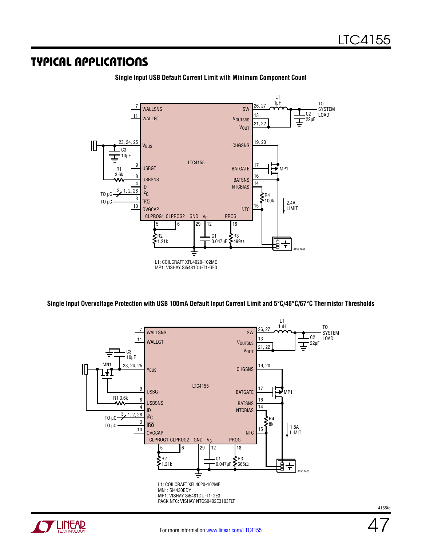### Typical Applications



**Single Input USB Default Current Limit with Minimum Component Count**

**Single Input Overvoltage Protection with USB 100mA Default Input Current Limit and 5°C/46°C/67°C Thermistor Thresholds**

![](_page_46_Figure_5.jpeg)

![](_page_46_Picture_6.jpeg)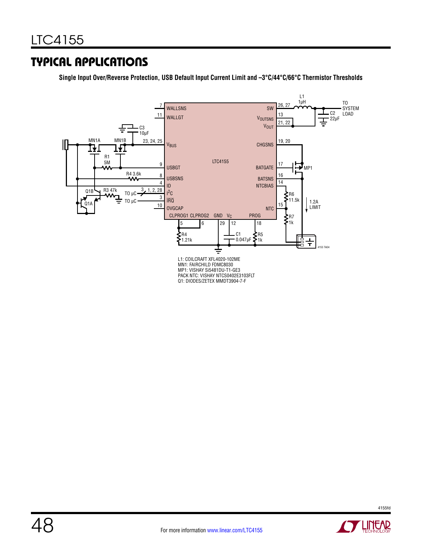### Typical Applications

**Single Input Over/Reverse Protection, USB Default Input Current Limit and –3°C/44°C/66°C Thermistor Thresholds**

![](_page_47_Figure_3.jpeg)

![](_page_47_Picture_4.jpeg)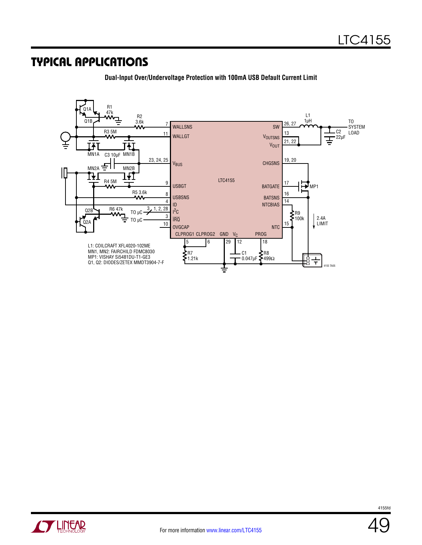### Typical Applications

![](_page_48_Figure_2.jpeg)

**Dual-Input Over/Undervoltage Protection with 100mA USB Default Current Limit**

![](_page_48_Picture_4.jpeg)

![](_page_48_Picture_6.jpeg)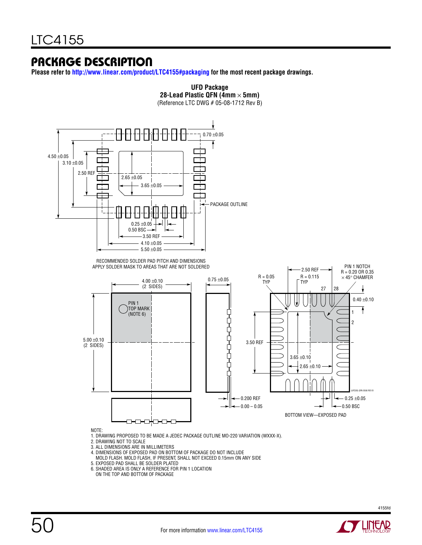### Package Description

**Please refer to <http://www.linear.com/product/LTC4155#packaging>for the most recent package drawings.**

![](_page_49_Figure_3.jpeg)

- MOLD FLASH. MOLD FLASH, IF PRESENT, SHALL NOT EXCEED 0.15mm ON ANY SIDE 5. EXPOSED PAD SHALL BE SOLDER PLATED
- 6. SHADED AREA IS ONLY A REFERENCE FOR PIN 1 LOCATION
- ON THE TOP AND BOTTOM OF PACKAGE

![](_page_49_Picture_8.jpeg)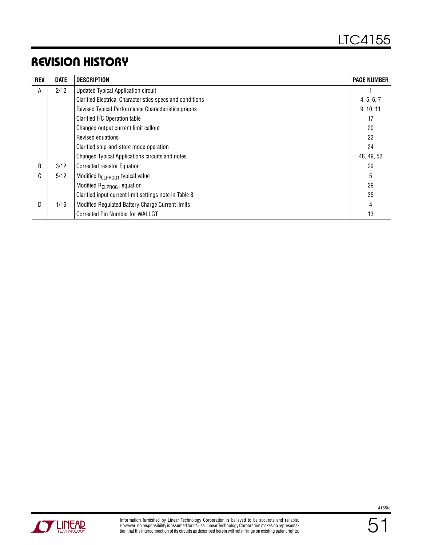# Revision History

| <b>REV</b> | <b>DATE</b> | <b>DESCRIPTION</b>                                        | <b>PAGE NUMBER</b> |
|------------|-------------|-----------------------------------------------------------|--------------------|
| A          | 2/12        | <b>Updated Typical Application circuit</b>                |                    |
|            |             | Clarified Electrical Characteristics specs and conditions | 4, 5, 6, 7         |
|            |             | Revised Typical Performance Characteristics graphs        | 9, 10, 11          |
|            |             | Clarified <sup>2</sup> C Operation table                  | 17                 |
|            |             | Changed output current limit callout                      | 20                 |
|            |             | Revised equations                                         | 22                 |
|            |             | Clarified ship-and-store mode operation                   | 24                 |
|            |             | Changed Typical Applications circuits and notes           | 48, 49, 52         |
| B          | 3/12        | Corrected resistor Equation                               | 29                 |
| C.         | 5/12        | Modified h <sub>CLPROG1</sub> typical value               | 5                  |
|            |             | Modified R <sub>CLPROG1</sub> equation                    | 29                 |
|            |             | Clarified input current limit settings note in Table 8    | 35                 |
| D          | 1/16        | Modified Regulated Battery Charge Current limits          | 4                  |
|            |             | Corrected Pin Number for WALLGT                           | 13                 |

![](_page_50_Picture_3.jpeg)